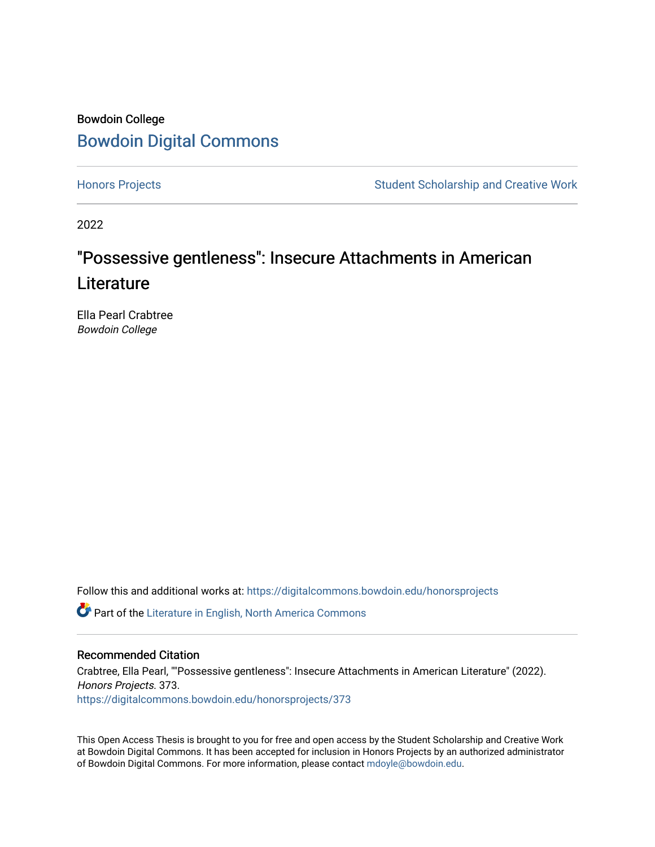## Bowdoin College [Bowdoin Digital Commons](https://digitalcommons.bowdoin.edu/)

[Honors Projects](https://digitalcommons.bowdoin.edu/honorsprojects) **Student Scholarship and Creative Work** Student Scholarship and Creative Work

2022

# "Possessive gentleness": Insecure Attachments in American **Literature**

Ella Pearl Crabtree Bowdoin College

Follow this and additional works at: [https://digitalcommons.bowdoin.edu/honorsprojects](https://digitalcommons.bowdoin.edu/honorsprojects?utm_source=digitalcommons.bowdoin.edu%2Fhonorsprojects%2F373&utm_medium=PDF&utm_campaign=PDFCoverPages)

Part of the [Literature in English, North America Commons](https://network.bepress.com/hgg/discipline/458?utm_source=digitalcommons.bowdoin.edu%2Fhonorsprojects%2F373&utm_medium=PDF&utm_campaign=PDFCoverPages) 

#### Recommended Citation

Crabtree, Ella Pearl, ""Possessive gentleness": Insecure Attachments in American Literature" (2022). Honors Projects. 373. [https://digitalcommons.bowdoin.edu/honorsprojects/373](https://digitalcommons.bowdoin.edu/honorsprojects/373?utm_source=digitalcommons.bowdoin.edu%2Fhonorsprojects%2F373&utm_medium=PDF&utm_campaign=PDFCoverPages)

This Open Access Thesis is brought to you for free and open access by the Student Scholarship and Creative Work at Bowdoin Digital Commons. It has been accepted for inclusion in Honors Projects by an authorized administrator of Bowdoin Digital Commons. For more information, please contact [mdoyle@bowdoin.edu.](mailto:mdoyle@bowdoin.edu)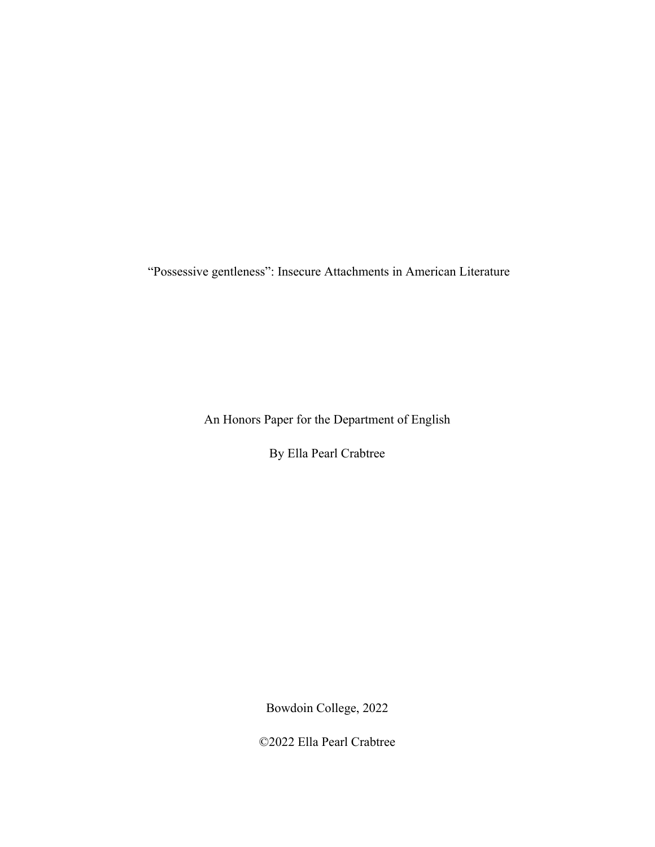"Possessive gentleness": Insecure Attachments in American Literature

An Honors Paper for the Department of English

By Ella Pearl Crabtree

Bowdoin College, 2022

©2022 Ella Pearl Crabtree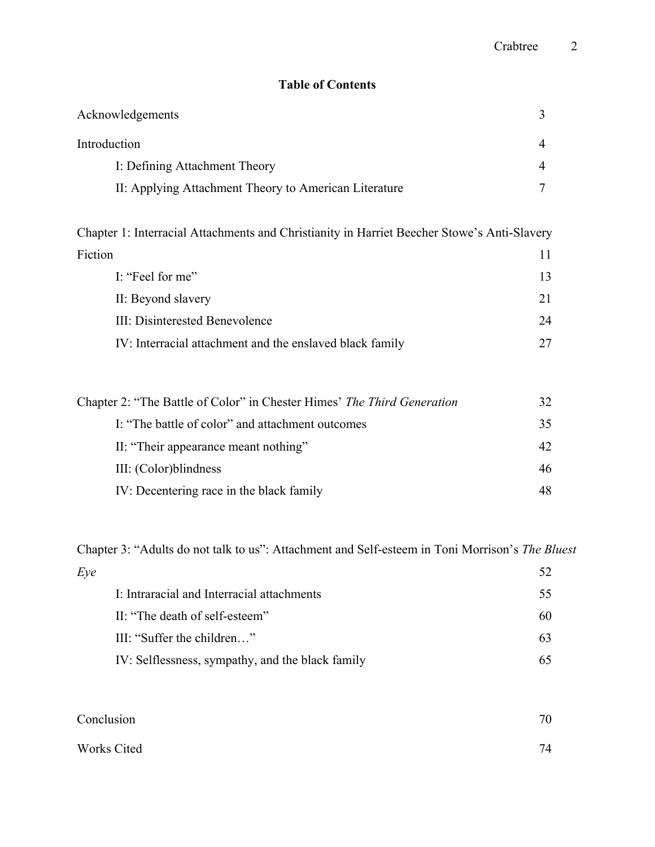### **Table of Contents**

| Acknowledgements                                      | 3              |
|-------------------------------------------------------|----------------|
| Introduction                                          | $\overline{4}$ |
| I: Defining Attachment Theory                         | $\overline{4}$ |
| II: Applying Attachment Theory to American Literature | 7              |
|                                                       |                |
|                                                       |                |

Chapter 1: Interracial Attachments and Christianity in Harriet Beecher Stowe's Anti-Slavery Fiction 11

| I: "Feel for me"                                         |    |
|----------------------------------------------------------|----|
| II: Beyond slavery                                       | 21 |
| III: Disinterested Benevolence                           | 24 |
| IV: Interracial attachment and the enslaved black family |    |

| Chapter 2: "The Battle of Color" in Chester Himes' The Third Generation |     |
|-------------------------------------------------------------------------|-----|
| I: "The battle of color" and attachment outcomes                        | 35  |
| II: "Their appearance meant nothing"                                    | 42. |
| III: (Color) blindness                                                  | 46  |
| IV: Decentering race in the black family                                | 48. |

Chapter 3: "Adults do not talk to us": Attachment and Self-esteem in Toni Morrison's *The Bluest* 

| Eve |                                                  |     |
|-----|--------------------------------------------------|-----|
|     | I: Intraracial and Interracial attachments       | 55. |
|     | II: "The death of self-esteem"                   | 60  |
|     | III: "Suffer the children"                       | 63  |
|     | IV: Selflessness, sympathy, and the black family |     |

| Conclusion  | 70 |
|-------------|----|
| Works Cited | 74 |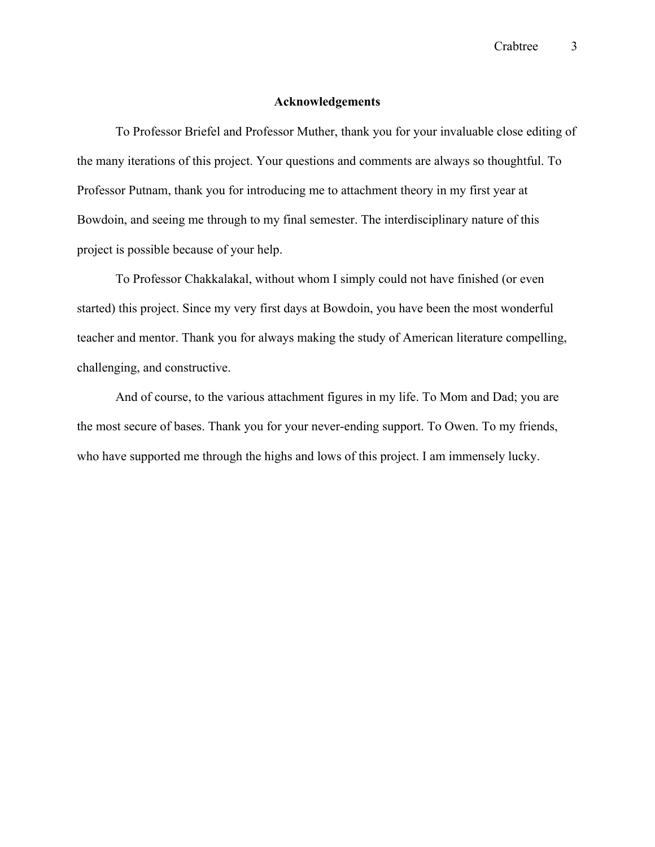#### **Acknowledgements**

To Professor Briefel and Professor Muther, thank you for your invaluable close editing of the many iterations of this project. Your questions and comments are always so thoughtful. To Professor Putnam, thank you for introducing me to attachment theory in my first year at Bowdoin, and seeing me through to my final semester. The interdisciplinary nature of this project is possible because of your help.

To Professor Chakkalakal, without whom I simply could not have finished (or even started) this project. Since my very first days at Bowdoin, you have been the most wonderful teacher and mentor. Thank you for always making the study of American literature compelling, challenging, and constructive.

And of course, to the various attachment figures in my life. To Mom and Dad; you are the most secure of bases. Thank you for your never-ending support. To Owen. To my friends, who have supported me through the highs and lows of this project. I am immensely lucky.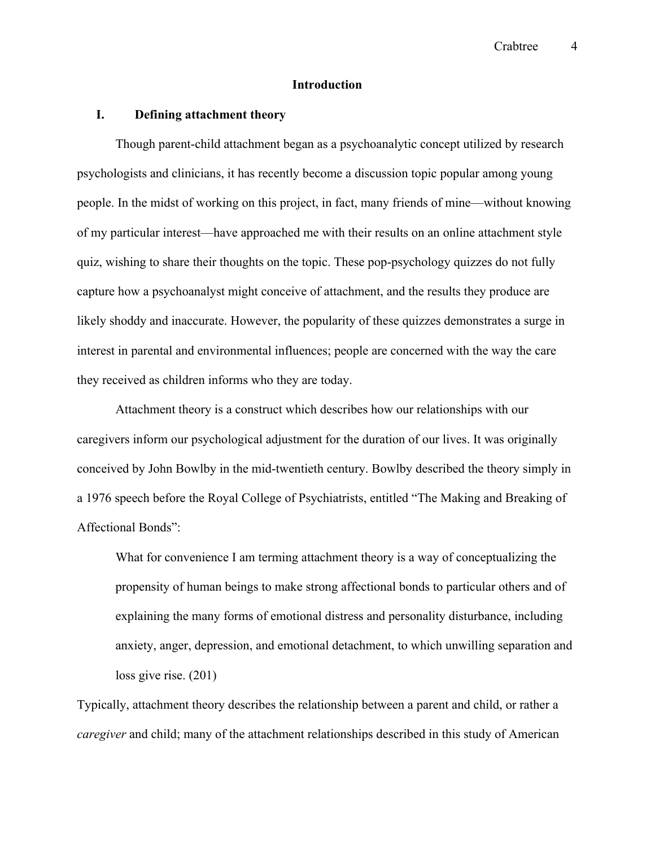#### **Introduction**

#### **I. Defining attachment theory**

Though parent-child attachment began as a psychoanalytic concept utilized by research psychologists and clinicians, it has recently become a discussion topic popular among young people. In the midst of working on this project, in fact, many friends of mine—without knowing of my particular interest—have approached me with their results on an online attachment style quiz, wishing to share their thoughts on the topic. These pop-psychology quizzes do not fully capture how a psychoanalyst might conceive of attachment, and the results they produce are likely shoddy and inaccurate. However, the popularity of these quizzes demonstrates a surge in interest in parental and environmental influences; people are concerned with the way the care they received as children informs who they are today.

Attachment theory is a construct which describes how our relationships with our caregivers inform our psychological adjustment for the duration of our lives. It was originally conceived by John Bowlby in the mid-twentieth century. Bowlby described the theory simply in a 1976 speech before the Royal College of Psychiatrists, entitled "The Making and Breaking of Affectional Bonds":

What for convenience I am terming attachment theory is a way of conceptualizing the propensity of human beings to make strong affectional bonds to particular others and of explaining the many forms of emotional distress and personality disturbance, including anxiety, anger, depression, and emotional detachment, to which unwilling separation and loss give rise. (201)

Typically, attachment theory describes the relationship between a parent and child, or rather a *caregiver* and child; many of the attachment relationships described in this study of American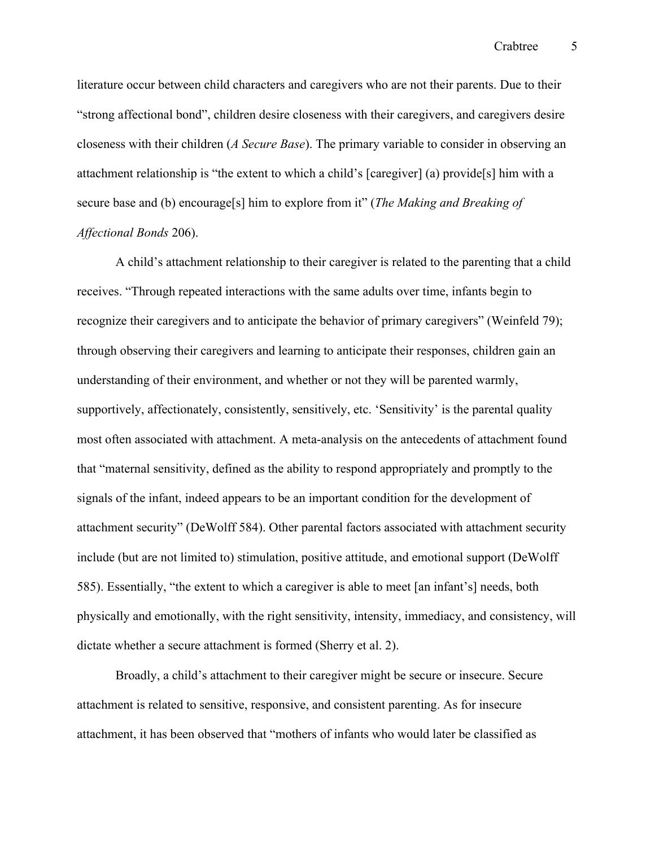literature occur between child characters and caregivers who are not their parents. Due to their "strong affectional bond", children desire closeness with their caregivers, and caregivers desire closeness with their children (*A Secure Base*). The primary variable to consider in observing an attachment relationship is "the extent to which a child's [caregiver] (a) provide[s] him with a secure base and (b) encourage[s] him to explore from it" (*The Making and Breaking of Affectional Bonds* 206).

A child's attachment relationship to their caregiver is related to the parenting that a child receives. "Through repeated interactions with the same adults over time, infants begin to recognize their caregivers and to anticipate the behavior of primary caregivers" (Weinfeld 79); through observing their caregivers and learning to anticipate their responses, children gain an understanding of their environment, and whether or not they will be parented warmly, supportively, affectionately, consistently, sensitively, etc. 'Sensitivity' is the parental quality most often associated with attachment. A meta-analysis on the antecedents of attachment found that "maternal sensitivity, defined as the ability to respond appropriately and promptly to the signals of the infant, indeed appears to be an important condition for the development of attachment security" (DeWolff 584). Other parental factors associated with attachment security include (but are not limited to) stimulation, positive attitude, and emotional support (DeWolff 585). Essentially, "the extent to which a caregiver is able to meet [an infant's] needs, both physically and emotionally, with the right sensitivity, intensity, immediacy, and consistency, will dictate whether a secure attachment is formed (Sherry et al. 2).

Broadly, a child's attachment to their caregiver might be secure or insecure. Secure attachment is related to sensitive, responsive, and consistent parenting. As for insecure attachment, it has been observed that "mothers of infants who would later be classified as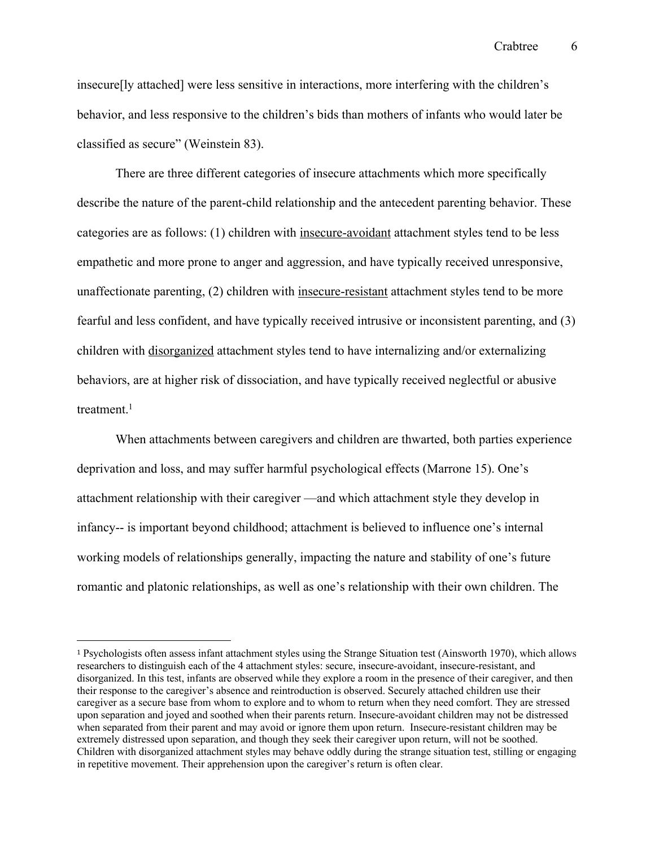insecure[ly attached] were less sensitive in interactions, more interfering with the children's behavior, and less responsive to the children's bids than mothers of infants who would later be classified as secure" (Weinstein 83).

There are three different categories of insecure attachments which more specifically describe the nature of the parent-child relationship and the antecedent parenting behavior. These categories are as follows: (1) children with insecure-avoidant attachment styles tend to be less empathetic and more prone to anger and aggression, and have typically received unresponsive, unaffectionate parenting, (2) children with insecure-resistant attachment styles tend to be more fearful and less confident, and have typically received intrusive or inconsistent parenting, and (3) children with disorganized attachment styles tend to have internalizing and/or externalizing behaviors, are at higher risk of dissociation, and have typically received neglectful or abusive treatment. $1$ 

When attachments between caregivers and children are thwarted, both parties experience deprivation and loss, and may suffer harmful psychological effects (Marrone 15). One's attachment relationship with their caregiver —and which attachment style they develop in infancy-- is important beyond childhood; attachment is believed to influence one's internal working models of relationships generally, impacting the nature and stability of one's future romantic and platonic relationships, as well as one's relationship with their own children. The

<sup>1</sup> Psychologists often assess infant attachment styles using the Strange Situation test (Ainsworth 1970), which allows researchers to distinguish each of the 4 attachment styles: secure, insecure-avoidant, insecure-resistant, and disorganized. In this test, infants are observed while they explore a room in the presence of their caregiver, and then their response to the caregiver's absence and reintroduction is observed. Securely attached children use their caregiver as a secure base from whom to explore and to whom to return when they need comfort. They are stressed upon separation and joyed and soothed when their parents return. Insecure-avoidant children may not be distressed when separated from their parent and may avoid or ignore them upon return. Insecure-resistant children may be extremely distressed upon separation, and though they seek their caregiver upon return, will not be soothed. Children with disorganized attachment styles may behave oddly during the strange situation test, stilling or engaging in repetitive movement. Their apprehension upon the caregiver's return is often clear.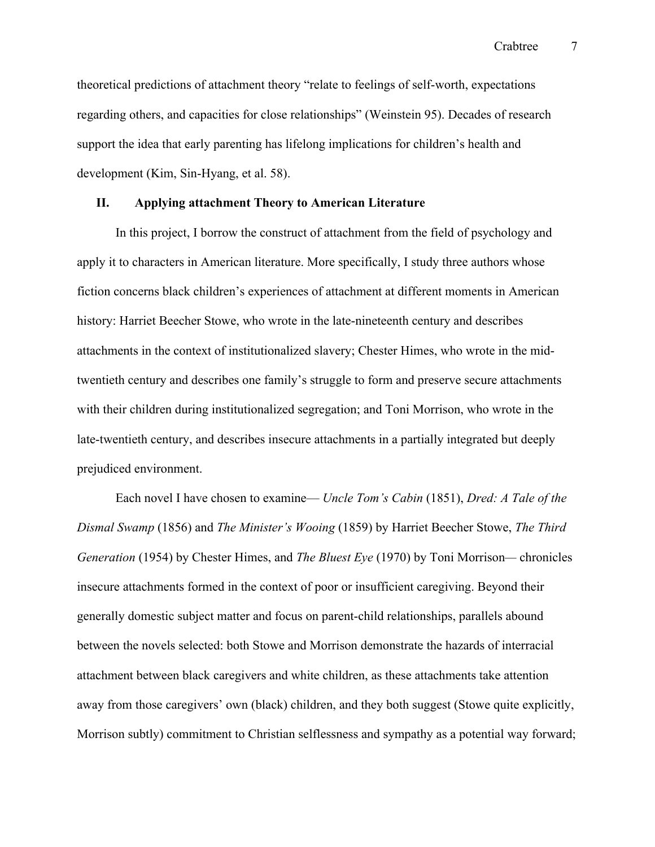theoretical predictions of attachment theory "relate to feelings of self-worth, expectations regarding others, and capacities for close relationships" (Weinstein 95). Decades of research support the idea that early parenting has lifelong implications for children's health and development (Kim, Sin‐Hyang, et al. 58).

#### **II. Applying attachment Theory to American Literature**

In this project, I borrow the construct of attachment from the field of psychology and apply it to characters in American literature. More specifically, I study three authors whose fiction concerns black children's experiences of attachment at different moments in American history: Harriet Beecher Stowe, who wrote in the late-nineteenth century and describes attachments in the context of institutionalized slavery; Chester Himes, who wrote in the midtwentieth century and describes one family's struggle to form and preserve secure attachments with their children during institutionalized segregation; and Toni Morrison, who wrote in the late-twentieth century, and describes insecure attachments in a partially integrated but deeply prejudiced environment.

Each novel I have chosen to examine— *Uncle Tom's Cabin* (1851), *Dred: A Tale of the Dismal Swamp* (1856) and *The Minister's Wooing* (1859) by Harriet Beecher Stowe, *The Third Generation* (1954) by Chester Himes, and *The Bluest Eye* (1970) by Toni Morrison*—* chronicles insecure attachments formed in the context of poor or insufficient caregiving. Beyond their generally domestic subject matter and focus on parent-child relationships, parallels abound between the novels selected: both Stowe and Morrison demonstrate the hazards of interracial attachment between black caregivers and white children, as these attachments take attention away from those caregivers' own (black) children, and they both suggest (Stowe quite explicitly, Morrison subtly) commitment to Christian selflessness and sympathy as a potential way forward;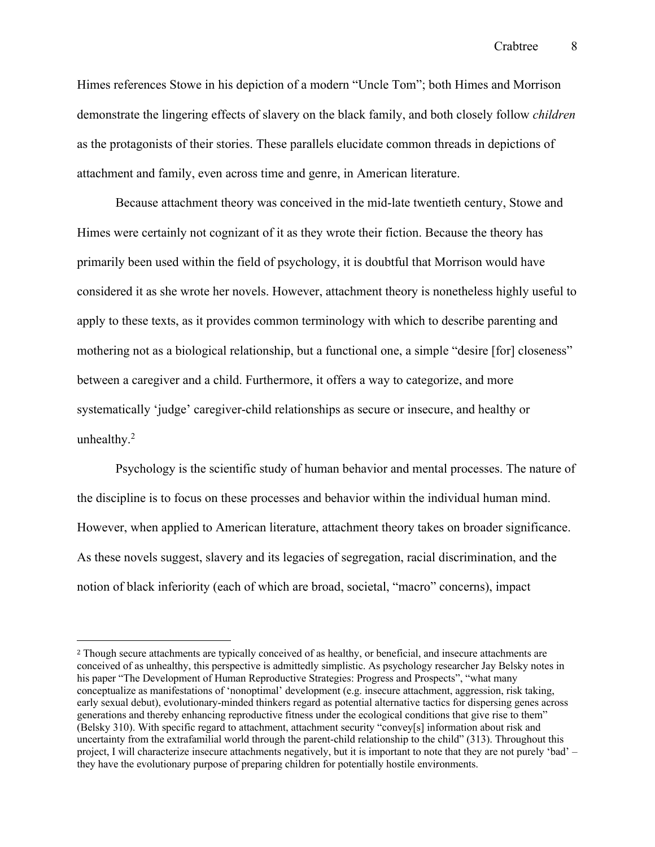Himes references Stowe in his depiction of a modern "Uncle Tom"; both Himes and Morrison demonstrate the lingering effects of slavery on the black family, and both closely follow *children* as the protagonists of their stories. These parallels elucidate common threads in depictions of attachment and family, even across time and genre, in American literature.

Because attachment theory was conceived in the mid-late twentieth century, Stowe and Himes were certainly not cognizant of it as they wrote their fiction. Because the theory has primarily been used within the field of psychology, it is doubtful that Morrison would have considered it as she wrote her novels. However, attachment theory is nonetheless highly useful to apply to these texts, as it provides common terminology with which to describe parenting and mothering not as a biological relationship, but a functional one, a simple "desire [for] closeness" between a caregiver and a child. Furthermore, it offers a way to categorize, and more systematically 'judge' caregiver-child relationships as secure or insecure, and healthy or unhealthy.<sup>2</sup>

Psychology is the scientific study of human behavior and mental processes. The nature of the discipline is to focus on these processes and behavior within the individual human mind. However, when applied to American literature, attachment theory takes on broader significance. As these novels suggest, slavery and its legacies of segregation, racial discrimination, and the notion of black inferiority (each of which are broad, societal, "macro" concerns), impact

<sup>2</sup> Though secure attachments are typically conceived of as healthy, or beneficial, and insecure attachments are conceived of as unhealthy, this perspective is admittedly simplistic. As psychology researcher Jay Belsky notes in his paper "The Development of Human Reproductive Strategies: Progress and Prospects", "what many conceptualize as manifestations of 'nonoptimal' development (e.g. insecure attachment, aggression, risk taking, early sexual debut), evolutionary-minded thinkers regard as potential alternative tactics for dispersing genes across generations and thereby enhancing reproductive fitness under the ecological conditions that give rise to them" (Belsky 310). With specific regard to attachment, attachment security "convey[s] information about risk and uncertainty from the extrafamilial world through the parent-child relationship to the child" (313). Throughout this project, I will characterize insecure attachments negatively, but it is important to note that they are not purely 'bad' – they have the evolutionary purpose of preparing children for potentially hostile environments.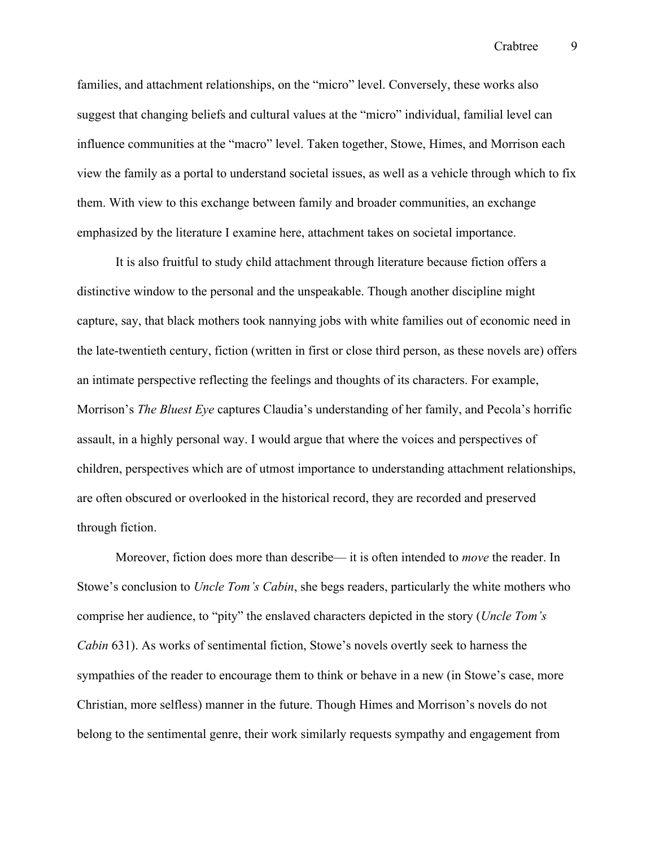families, and attachment relationships, on the "micro" level. Conversely, these works also suggest that changing beliefs and cultural values at the "micro" individual, familial level can influence communities at the "macro" level. Taken together, Stowe, Himes, and Morrison each view the family as a portal to understand societal issues, as well as a vehicle through which to fix them. With view to this exchange between family and broader communities, an exchange emphasized by the literature I examine here, attachment takes on societal importance.

It is also fruitful to study child attachment through literature because fiction offers a distinctive window to the personal and the unspeakable. Though another discipline might capture, say, that black mothers took nannying jobs with white families out of economic need in the late-twentieth century, fiction (written in first or close third person, as these novels are) offers an intimate perspective reflecting the feelings and thoughts of its characters. For example, Morrison's *The Bluest Eye* captures Claudia's understanding of her family, and Pecola's horrific assault, in a highly personal way. I would argue that where the voices and perspectives of children, perspectives which are of utmost importance to understanding attachment relationships, are often obscured or overlooked in the historical record, they are recorded and preserved through fiction.

Moreover, fiction does more than describe— it is often intended to *move* the reader. In Stowe's conclusion to *Uncle Tom's Cabin*, she begs readers, particularly the white mothers who comprise her audience, to "pity" the enslaved characters depicted in the story (*Uncle Tom's Cabin* 631). As works of sentimental fiction, Stowe's novels overtly seek to harness the sympathies of the reader to encourage them to think or behave in a new (in Stowe's case, more Christian, more selfless) manner in the future. Though Himes and Morrison's novels do not belong to the sentimental genre, their work similarly requests sympathy and engagement from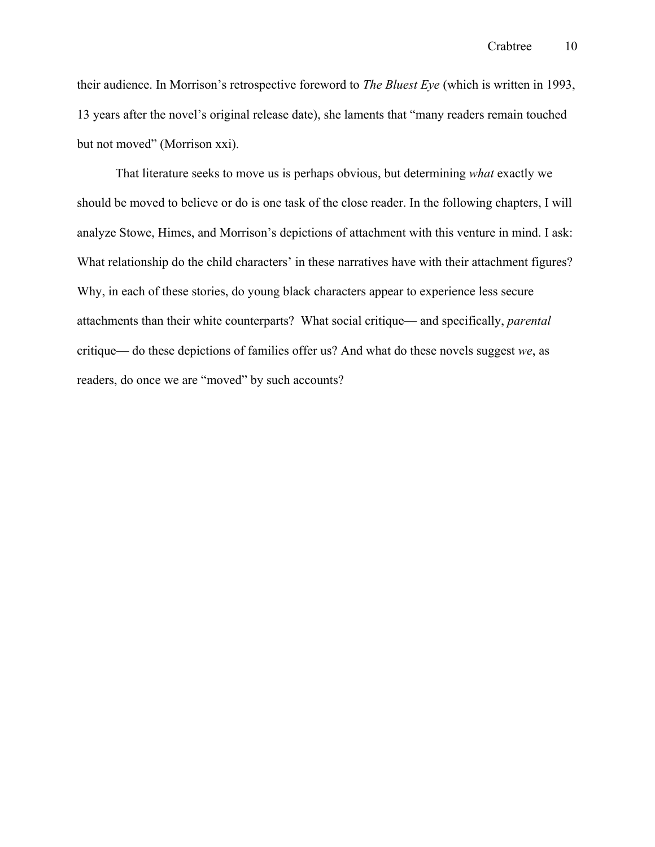their audience. In Morrison's retrospective foreword to *The Bluest Eye* (which is written in 1993, 13 years after the novel's original release date), she laments that "many readers remain touched but not moved" (Morrison xxi).

That literature seeks to move us is perhaps obvious, but determining *what* exactly we should be moved to believe or do is one task of the close reader. In the following chapters, I will analyze Stowe, Himes, and Morrison's depictions of attachment with this venture in mind. I ask: What relationship do the child characters' in these narratives have with their attachment figures? Why, in each of these stories, do young black characters appear to experience less secure attachments than their white counterparts? What social critique— and specifically, *parental* critique— do these depictions of families offer us? And what do these novels suggest *we*, as readers, do once we are "moved" by such accounts?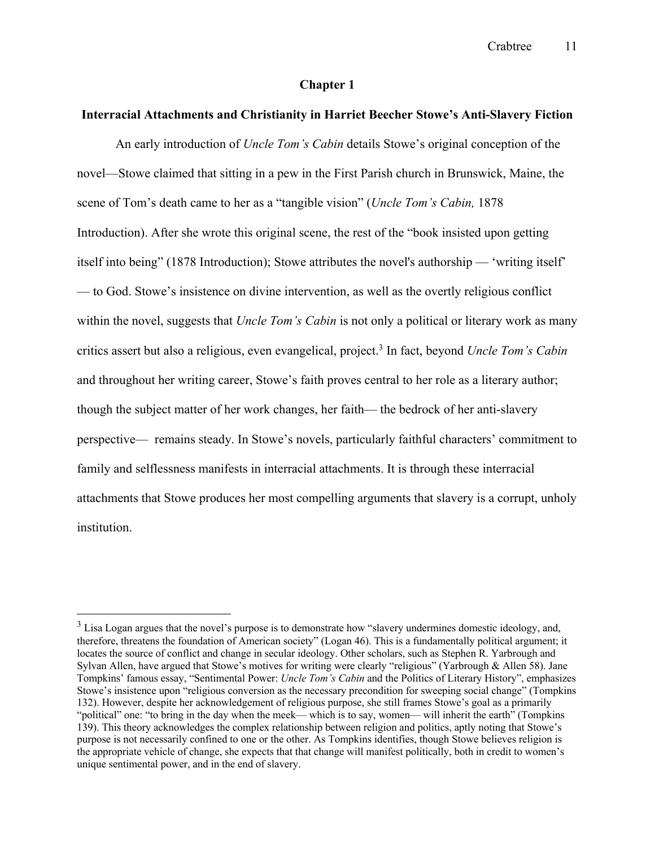#### **Chapter 1**

#### **Interracial Attachments and Christianity in Harriet Beecher Stowe's Anti-Slavery Fiction**

An early introduction of *Uncle Tom's Cabin* details Stowe's original conception of the novel—Stowe claimed that sitting in a pew in the First Parish church in Brunswick, Maine, the scene of Tom's death came to her as a "tangible vision" (*Uncle Tom's Cabin,* 1878 Introduction). After she wrote this original scene, the rest of the "book insisted upon getting itself into being" (1878 Introduction); Stowe attributes the novel's authorship — 'writing itself' — to God. Stowe's insistence on divine intervention, as well as the overtly religious conflict within the novel, suggests that *Uncle Tom's Cabin* is not only a political or literary work as many critics assert but also a religious, even evangelical, project.3 In fact, beyond *Uncle Tom's Cabin* and throughout her writing career, Stowe's faith proves central to her role as a literary author; though the subject matter of her work changes, her faith— the bedrock of her anti-slavery perspective— remains steady. In Stowe's novels, particularly faithful characters' commitment to family and selflessness manifests in interracial attachments. It is through these interracial attachments that Stowe produces her most compelling arguments that slavery is a corrupt, unholy institution.

<sup>&</sup>lt;sup>3</sup> Lisa Logan argues that the novel's purpose is to demonstrate how "slavery undermines domestic ideology, and, therefore, threatens the foundation of American society" (Logan 46). This is a fundamentally political argument; it locates the source of conflict and change in secular ideology. Other scholars, such as Stephen R. Yarbrough and Sylvan Allen, have argued that Stowe's motives for writing were clearly "religious" (Yarbrough & Allen 58). Jane Tompkins' famous essay, "Sentimental Power: *Uncle Tom's Cabin* and the Politics of Literary History", emphasizes Stowe's insistence upon "religious conversion as the necessary precondition for sweeping social change" (Tompkins 132). However, despite her acknowledgement of religious purpose, she still frames Stowe's goal as a primarily "political" one: "to bring in the day when the meek— which is to say, women— will inherit the earth" (Tompkins 139). This theory acknowledges the complex relationship between religion and politics, aptly noting that Stowe's purpose is not necessarily confined to one or the other. As Tompkins identifies, though Stowe believes religion is the appropriate vehicle of change, she expects that that change will manifest politically, both in credit to women's unique sentimental power, and in the end of slavery.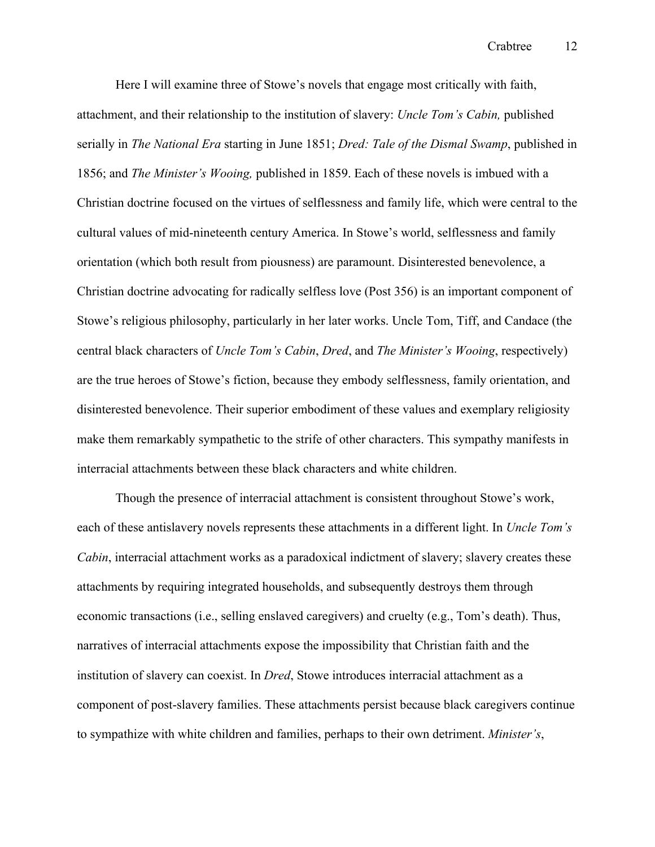Here I will examine three of Stowe's novels that engage most critically with faith, attachment, and their relationship to the institution of slavery: *Uncle Tom's Cabin,* published serially in *The National Era* starting in June 1851; *Dred: Tale of the Dismal Swamp*, published in 1856; and *The Minister's Wooing,* published in 1859. Each of these novels is imbued with a Christian doctrine focused on the virtues of selflessness and family life, which were central to the cultural values of mid-nineteenth century America. In Stowe's world, selflessness and family orientation (which both result from piousness) are paramount. Disinterested benevolence, a Christian doctrine advocating for radically selfless love (Post 356) is an important component of Stowe's religious philosophy, particularly in her later works. Uncle Tom, Tiff, and Candace (the central black characters of *Uncle Tom's Cabin*, *Dred*, and *The Minister's Wooing*, respectively) are the true heroes of Stowe's fiction, because they embody selflessness, family orientation, and disinterested benevolence. Their superior embodiment of these values and exemplary religiosity make them remarkably sympathetic to the strife of other characters. This sympathy manifests in interracial attachments between these black characters and white children.

Though the presence of interracial attachment is consistent throughout Stowe's work, each of these antislavery novels represents these attachments in a different light. In *Uncle Tom's Cabin*, interracial attachment works as a paradoxical indictment of slavery; slavery creates these attachments by requiring integrated households, and subsequently destroys them through economic transactions (i.e., selling enslaved caregivers) and cruelty (e.g., Tom's death). Thus, narratives of interracial attachments expose the impossibility that Christian faith and the institution of slavery can coexist. In *Dred*, Stowe introduces interracial attachment as a component of post-slavery families. These attachments persist because black caregivers continue to sympathize with white children and families, perhaps to their own detriment. *Minister's*,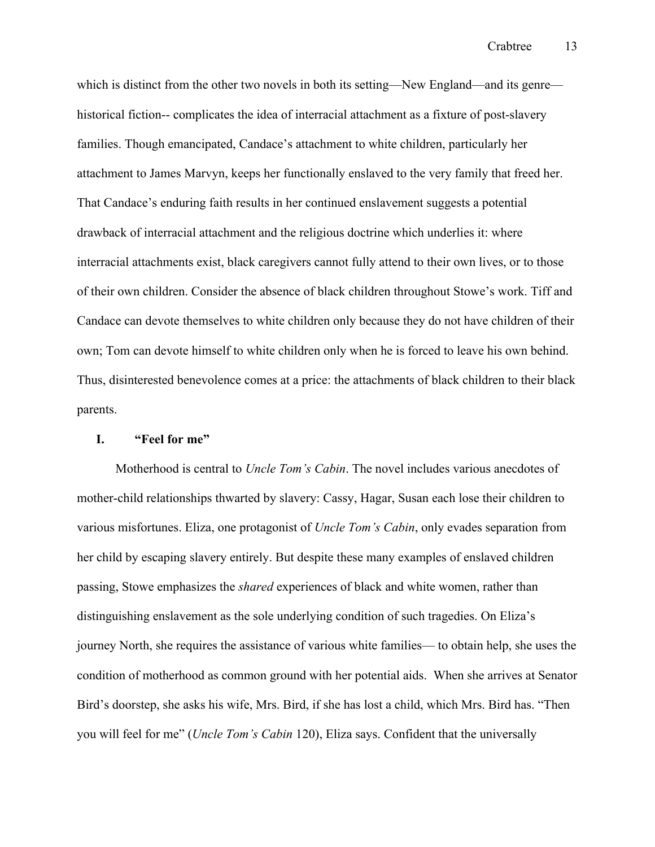which is distinct from the other two novels in both its setting—New England—and its genre historical fiction-- complicates the idea of interracial attachment as a fixture of post-slavery families. Though emancipated, Candace's attachment to white children, particularly her attachment to James Marvyn, keeps her functionally enslaved to the very family that freed her. That Candace's enduring faith results in her continued enslavement suggests a potential drawback of interracial attachment and the religious doctrine which underlies it: where interracial attachments exist, black caregivers cannot fully attend to their own lives, or to those of their own children. Consider the absence of black children throughout Stowe's work. Tiff and Candace can devote themselves to white children only because they do not have children of their own; Tom can devote himself to white children only when he is forced to leave his own behind. Thus, disinterested benevolence comes at a price: the attachments of black children to their black parents.

#### **I. "Feel for me"**

Motherhood is central to *Uncle Tom's Cabin*. The novel includes various anecdotes of mother-child relationships thwarted by slavery: Cassy, Hagar, Susan each lose their children to various misfortunes. Eliza, one protagonist of *Uncle Tom's Cabin*, only evades separation from her child by escaping slavery entirely. But despite these many examples of enslaved children passing, Stowe emphasizes the *shared* experiences of black and white women, rather than distinguishing enslavement as the sole underlying condition of such tragedies. On Eliza's journey North, she requires the assistance of various white families— to obtain help, she uses the condition of motherhood as common ground with her potential aids. When she arrives at Senator Bird's doorstep, she asks his wife, Mrs. Bird, if she has lost a child, which Mrs. Bird has. "Then you will feel for me" (*Uncle Tom's Cabin* 120), Eliza says. Confident that the universally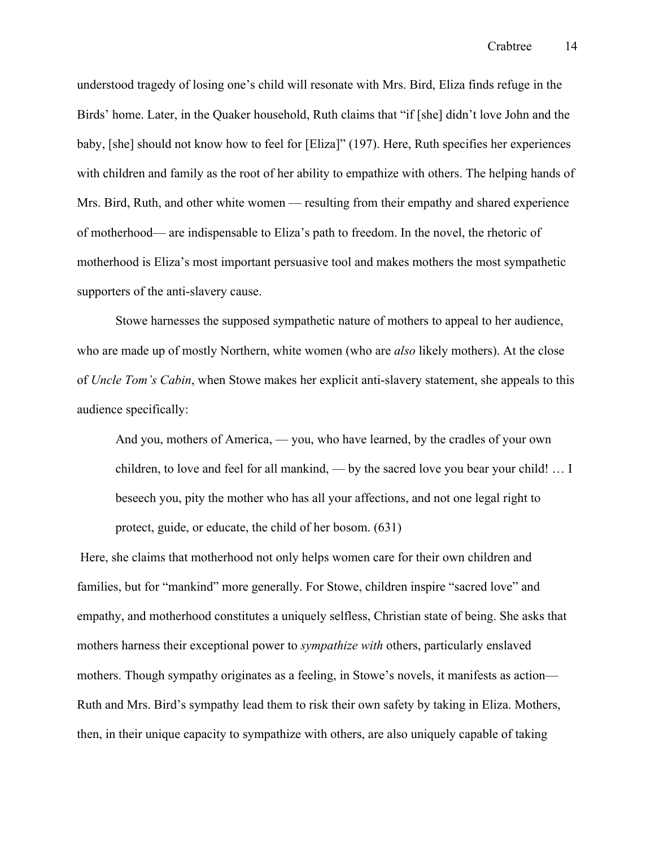understood tragedy of losing one's child will resonate with Mrs. Bird, Eliza finds refuge in the Birds' home. Later, in the Quaker household, Ruth claims that "if [she] didn't love John and the baby, [she] should not know how to feel for [Eliza]" (197). Here, Ruth specifies her experiences with children and family as the root of her ability to empathize with others. The helping hands of Mrs. Bird, Ruth, and other white women — resulting from their empathy and shared experience of motherhood— are indispensable to Eliza's path to freedom. In the novel, the rhetoric of motherhood is Eliza's most important persuasive tool and makes mothers the most sympathetic supporters of the anti-slavery cause.

Stowe harnesses the supposed sympathetic nature of mothers to appeal to her audience, who are made up of mostly Northern, white women (who are *also* likely mothers). At the close of *Uncle Tom's Cabin*, when Stowe makes her explicit anti-slavery statement, she appeals to this audience specifically:

And you, mothers of America, — you, who have learned, by the cradles of your own children, to love and feel for all mankind, — by the sacred love you bear your child! … I beseech you, pity the mother who has all your affections, and not one legal right to protect, guide, or educate, the child of her bosom. (631)

Here, she claims that motherhood not only helps women care for their own children and families, but for "mankind" more generally. For Stowe, children inspire "sacred love" and empathy, and motherhood constitutes a uniquely selfless, Christian state of being. She asks that mothers harness their exceptional power to *sympathize with* others, particularly enslaved mothers. Though sympathy originates as a feeling, in Stowe's novels, it manifests as action— Ruth and Mrs. Bird's sympathy lead them to risk their own safety by taking in Eliza. Mothers, then, in their unique capacity to sympathize with others, are also uniquely capable of taking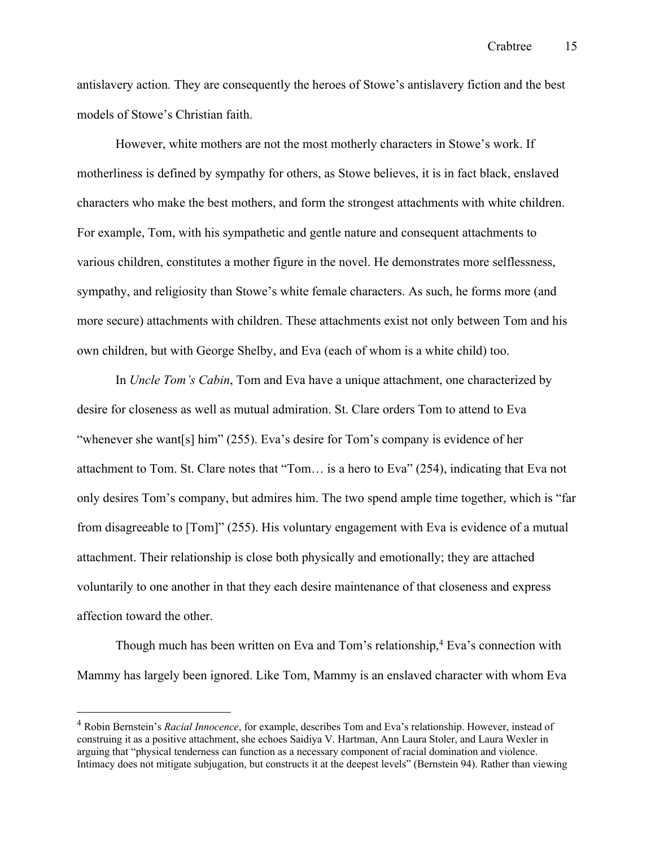antislavery action*.* They are consequently the heroes of Stowe's antislavery fiction and the best models of Stowe's Christian faith.

However, white mothers are not the most motherly characters in Stowe's work. If motherliness is defined by sympathy for others, as Stowe believes, it is in fact black, enslaved characters who make the best mothers, and form the strongest attachments with white children. For example, Tom, with his sympathetic and gentle nature and consequent attachments to various children, constitutes a mother figure in the novel. He demonstrates more selflessness, sympathy, and religiosity than Stowe's white female characters. As such, he forms more (and more secure) attachments with children. These attachments exist not only between Tom and his own children, but with George Shelby, and Eva (each of whom is a white child) too.

In *Uncle Tom's Cabin*, Tom and Eva have a unique attachment, one characterized by desire for closeness as well as mutual admiration. St. Clare orders Tom to attend to Eva "whenever she want[s] him" (255). Eva's desire for Tom's company is evidence of her attachment to Tom. St. Clare notes that "Tom… is a hero to Eva" (254), indicating that Eva not only desires Tom's company, but admires him. The two spend ample time together, which is "far from disagreeable to [Tom]" (255). His voluntary engagement with Eva is evidence of a mutual attachment. Their relationship is close both physically and emotionally; they are attached voluntarily to one another in that they each desire maintenance of that closeness and express affection toward the other.

Though much has been written on Eva and Tom's relationship, $4$  Eva's connection with Mammy has largely been ignored. Like Tom, Mammy is an enslaved character with whom Eva

<sup>4</sup> Robin Bernstein's *Racial Innocence*, for example, describes Tom and Eva's relationship. However, instead of construing it as a positive attachment, she echoes Saidiya V. Hartman, Ann Laura Stoler, and Laura Wexler in arguing that "physical tenderness can function as a necessary component of racial domination and violence. Intimacy does not mitigate subjugation, but constructs it at the deepest levels" (Bernstein 94). Rather than viewing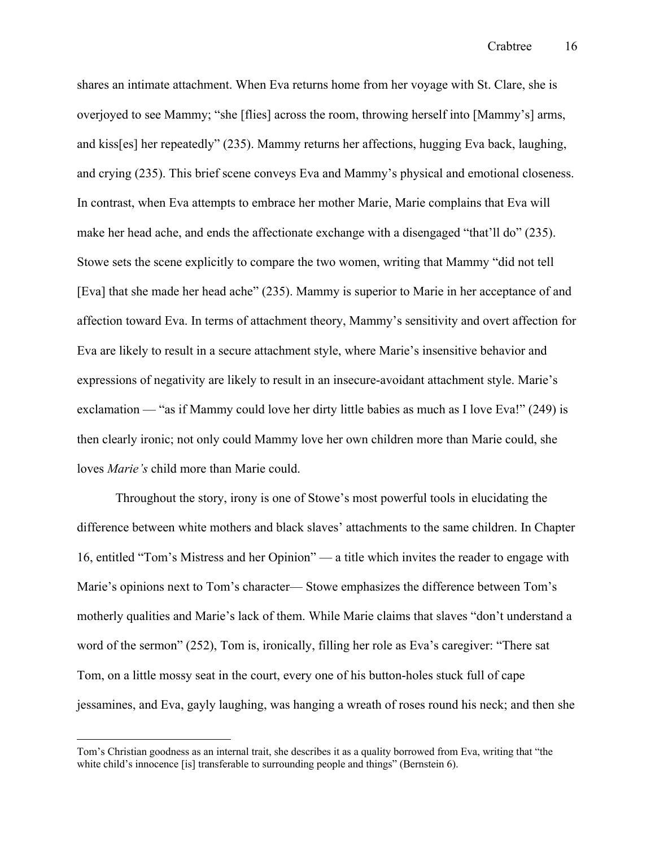shares an intimate attachment. When Eva returns home from her voyage with St. Clare, she is overjoyed to see Mammy; "she [flies] across the room, throwing herself into [Mammy's] arms, and kiss[es] her repeatedly" (235). Mammy returns her affections, hugging Eva back, laughing, and crying (235). This brief scene conveys Eva and Mammy's physical and emotional closeness. In contrast, when Eva attempts to embrace her mother Marie, Marie complains that Eva will make her head ache, and ends the affectionate exchange with a disengaged "that'll do" (235). Stowe sets the scene explicitly to compare the two women, writing that Mammy "did not tell [Eva] that she made her head ache" (235). Mammy is superior to Marie in her acceptance of and affection toward Eva. In terms of attachment theory, Mammy's sensitivity and overt affection for Eva are likely to result in a secure attachment style, where Marie's insensitive behavior and expressions of negativity are likely to result in an insecure-avoidant attachment style. Marie's exclamation — "as if Mammy could love her dirty little babies as much as I love Eva!" (249) is then clearly ironic; not only could Mammy love her own children more than Marie could, she loves *Marie's* child more than Marie could.

Throughout the story, irony is one of Stowe's most powerful tools in elucidating the difference between white mothers and black slaves' attachments to the same children. In Chapter 16, entitled "Tom's Mistress and her Opinion" — a title which invites the reader to engage with Marie's opinions next to Tom's character— Stowe emphasizes the difference between Tom's motherly qualities and Marie's lack of them. While Marie claims that slaves "don't understand a word of the sermon" (252), Tom is, ironically, filling her role as Eva's caregiver: "There sat Tom, on a little mossy seat in the court, every one of his button-holes stuck full of cape jessamines, and Eva, gayly laughing, was hanging a wreath of roses round his neck; and then she

Tom's Christian goodness as an internal trait, she describes it as a quality borrowed from Eva, writing that "the white child's innocence [is] transferable to surrounding people and things" (Bernstein 6).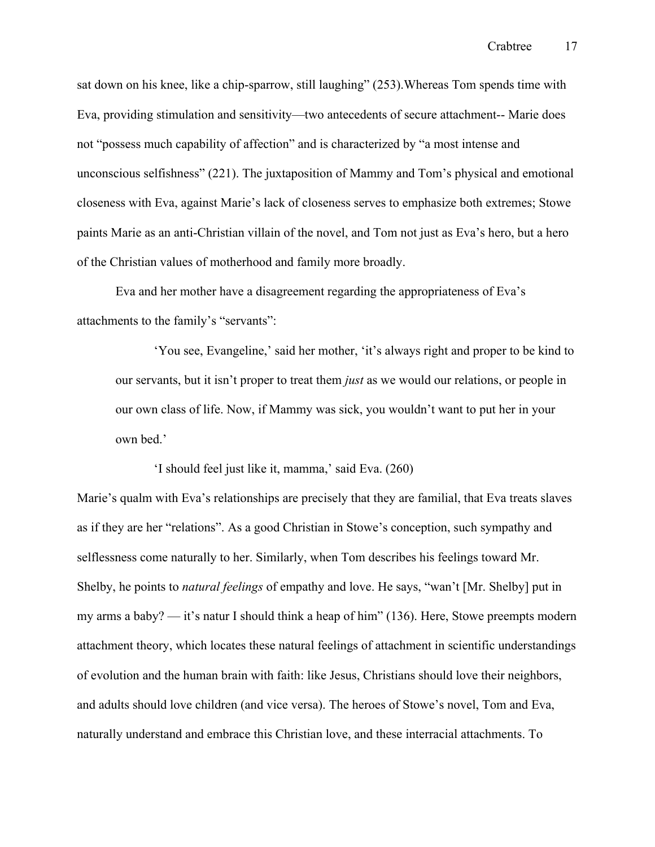sat down on his knee, like a chip-sparrow, still laughing" (253).Whereas Tom spends time with Eva, providing stimulation and sensitivity—two antecedents of secure attachment-- Marie does not "possess much capability of affection" and is characterized by "a most intense and unconscious selfishness" (221). The juxtaposition of Mammy and Tom's physical and emotional closeness with Eva, against Marie's lack of closeness serves to emphasize both extremes; Stowe paints Marie as an anti-Christian villain of the novel, and Tom not just as Eva's hero, but a hero of the Christian values of motherhood and family more broadly.

Eva and her mother have a disagreement regarding the appropriateness of Eva's attachments to the family's "servants":

'You see, Evangeline,' said her mother, 'it's always right and proper to be kind to our servants, but it isn't proper to treat them *just* as we would our relations, or people in our own class of life. Now, if Mammy was sick, you wouldn't want to put her in your own bed.'

'I should feel just like it, mamma,' said Eva. (260)

Marie's qualm with Eva's relationships are precisely that they are familial, that Eva treats slaves as if they are her "relations". As a good Christian in Stowe's conception, such sympathy and selflessness come naturally to her. Similarly, when Tom describes his feelings toward Mr. Shelby, he points to *natural feelings* of empathy and love. He says, "wan't [Mr. Shelby] put in my arms a baby? — it's natur I should think a heap of him" (136). Here, Stowe preempts modern attachment theory, which locates these natural feelings of attachment in scientific understandings of evolution and the human brain with faith: like Jesus, Christians should love their neighbors, and adults should love children (and vice versa). The heroes of Stowe's novel, Tom and Eva, naturally understand and embrace this Christian love, and these interracial attachments. To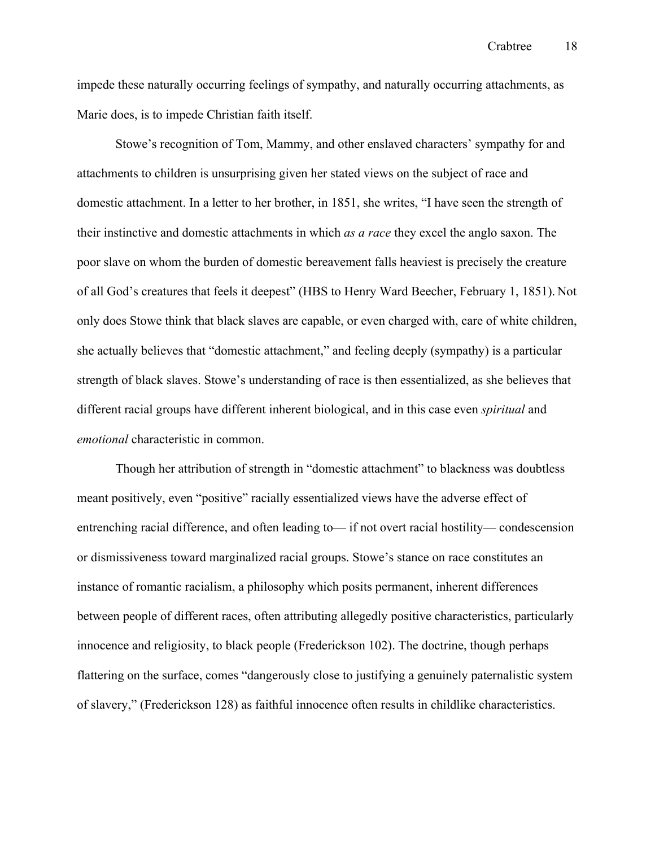impede these naturally occurring feelings of sympathy, and naturally occurring attachments, as Marie does, is to impede Christian faith itself.

Stowe's recognition of Tom, Mammy, and other enslaved characters' sympathy for and attachments to children is unsurprising given her stated views on the subject of race and domestic attachment. In a letter to her brother, in 1851, she writes, "I have seen the strength of their instinctive and domestic attachments in which *as a race* they excel the anglo saxon. The poor slave on whom the burden of domestic bereavement falls heaviest is precisely the creature of all God's creatures that feels it deepest" (HBS to Henry Ward Beecher, February 1, 1851). Not only does Stowe think that black slaves are capable, or even charged with, care of white children, she actually believes that "domestic attachment," and feeling deeply (sympathy) is a particular strength of black slaves. Stowe's understanding of race is then essentialized, as she believes that different racial groups have different inherent biological, and in this case even *spiritual* and *emotional* characteristic in common.

Though her attribution of strength in "domestic attachment" to blackness was doubtless meant positively, even "positive" racially essentialized views have the adverse effect of entrenching racial difference, and often leading to— if not overt racial hostility— condescension or dismissiveness toward marginalized racial groups. Stowe's stance on race constitutes an instance of romantic racialism, a philosophy which posits permanent, inherent differences between people of different races, often attributing allegedly positive characteristics, particularly innocence and religiosity, to black people (Frederickson 102). The doctrine, though perhaps flattering on the surface, comes "dangerously close to justifying a genuinely paternalistic system of slavery," (Frederickson 128) as faithful innocence often results in childlike characteristics.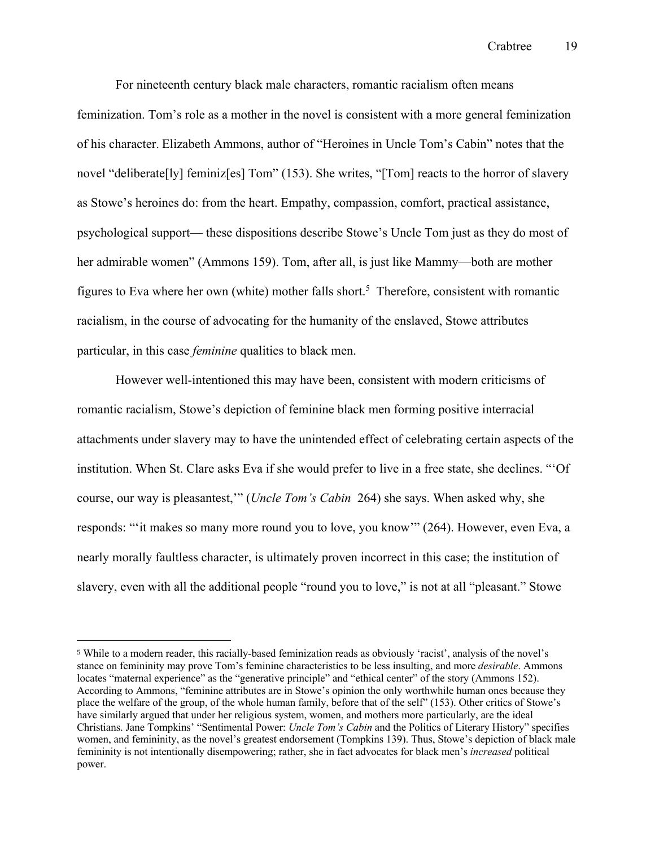For nineteenth century black male characters, romantic racialism often means feminization. Tom's role as a mother in the novel is consistent with a more general feminization of his character. Elizabeth Ammons, author of "Heroines in Uncle Tom's Cabin" notes that the novel "deliberate[ly] feminiz[es] Tom" (153). She writes, "[Tom] reacts to the horror of slavery as Stowe's heroines do: from the heart. Empathy, compassion, comfort, practical assistance, psychological support— these dispositions describe Stowe's Uncle Tom just as they do most of her admirable women" (Ammons 159). Tom, after all, is just like Mammy—both are mother figures to Eva where her own (white) mother falls short.<sup>5</sup> Therefore, consistent with romantic racialism, in the course of advocating for the humanity of the enslaved, Stowe attributes particular, in this case *feminine* qualities to black men.

However well-intentioned this may have been, consistent with modern criticisms of romantic racialism, Stowe's depiction of feminine black men forming positive interracial attachments under slavery may to have the unintended effect of celebrating certain aspects of the institution. When St. Clare asks Eva if she would prefer to live in a free state, she declines. "'Of course, our way is pleasantest,'" (*Uncle Tom's Cabin* 264) she says. When asked why, she responds: "'it makes so many more round you to love, you know'" (264). However, even Eva, a nearly morally faultless character, is ultimately proven incorrect in this case; the institution of slavery, even with all the additional people "round you to love," is not at all "pleasant." Stowe

<sup>5</sup> While to a modern reader, this racially-based feminization reads as obviously 'racist', analysis of the novel's stance on femininity may prove Tom's feminine characteristics to be less insulting, and more *desirable*. Ammons locates "maternal experience" as the "generative principle" and "ethical center" of the story (Ammons 152). According to Ammons, "feminine attributes are in Stowe's opinion the only worthwhile human ones because they place the welfare of the group, of the whole human family, before that of the self" (153). Other critics of Stowe's have similarly argued that under her religious system, women, and mothers more particularly, are the ideal Christians. Jane Tompkins' "Sentimental Power: *Uncle Tom's Cabin* and the Politics of Literary History" specifies women, and femininity, as the novel's greatest endorsement (Tompkins 139). Thus, Stowe's depiction of black male femininity is not intentionally disempowering; rather, she in fact advocates for black men's *increased* political power.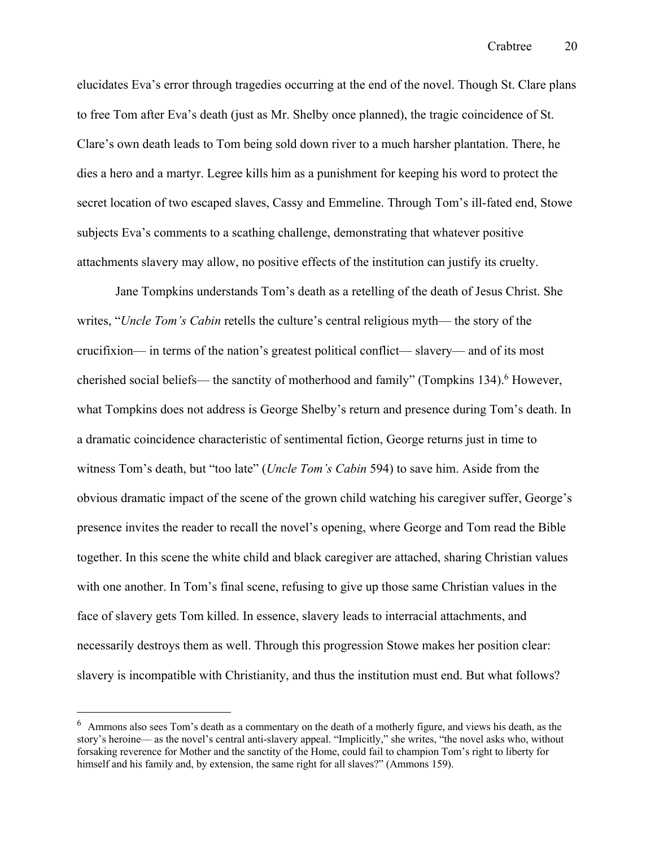elucidates Eva's error through tragedies occurring at the end of the novel. Though St. Clare plans to free Tom after Eva's death (just as Mr. Shelby once planned), the tragic coincidence of St. Clare's own death leads to Tom being sold down river to a much harsher plantation. There, he dies a hero and a martyr. Legree kills him as a punishment for keeping his word to protect the secret location of two escaped slaves, Cassy and Emmeline. Through Tom's ill-fated end, Stowe subjects Eva's comments to a scathing challenge, demonstrating that whatever positive attachments slavery may allow, no positive effects of the institution can justify its cruelty.

Jane Tompkins understands Tom's death as a retelling of the death of Jesus Christ. She writes, "*Uncle Tom's Cabin* retells the culture's central religious myth— the story of the crucifixion— in terms of the nation's greatest political conflict— slavery— and of its most cherished social beliefs— the sanctity of motherhood and family" (Tompkins 134).<sup>6</sup> However, what Tompkins does not address is George Shelby's return and presence during Tom's death. In a dramatic coincidence characteristic of sentimental fiction, George returns just in time to witness Tom's death, but "too late" (*Uncle Tom's Cabin* 594) to save him. Aside from the obvious dramatic impact of the scene of the grown child watching his caregiver suffer, George's presence invites the reader to recall the novel's opening, where George and Tom read the Bible together. In this scene the white child and black caregiver are attached, sharing Christian values with one another. In Tom's final scene, refusing to give up those same Christian values in the face of slavery gets Tom killed. In essence, slavery leads to interracial attachments, and necessarily destroys them as well. Through this progression Stowe makes her position clear: slavery is incompatible with Christianity, and thus the institution must end. But what follows?

<sup>6</sup> Ammons also sees Tom's death as a commentary on the death of a motherly figure, and views his death, as the story's heroine— as the novel's central anti-slavery appeal. "Implicitly," she writes, "the novel asks who, without forsaking reverence for Mother and the sanctity of the Home, could fail to champion Tom's right to liberty for himself and his family and, by extension, the same right for all slaves?" (Ammons 159).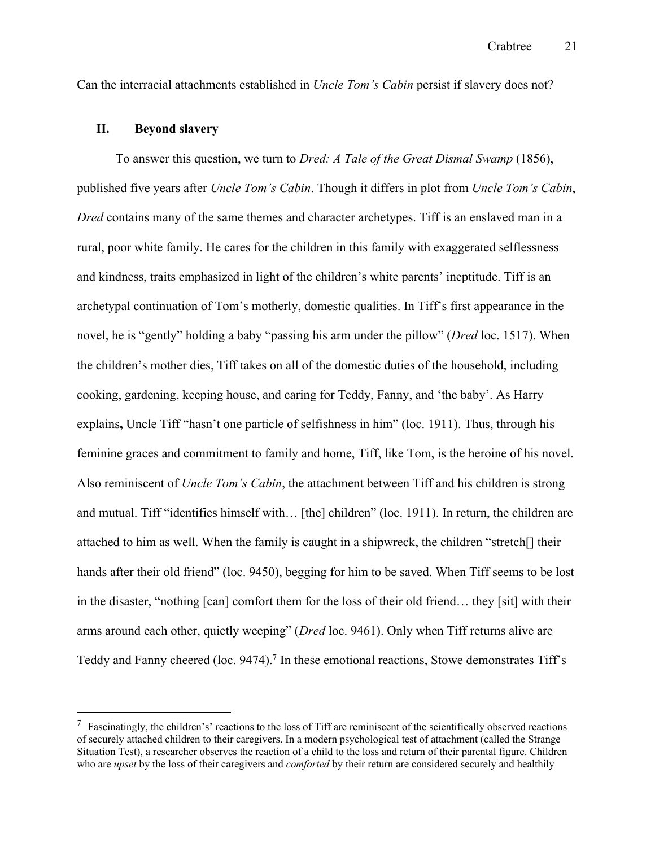Can the interracial attachments established in *Uncle Tom's Cabin* persist if slavery does not?

#### **II. Beyond slavery**

To answer this question, we turn to *Dred: A Tale of the Great Dismal Swamp* (1856), published five years after *Uncle Tom's Cabin*. Though it differs in plot from *Uncle Tom's Cabin*, *Dred* contains many of the same themes and character archetypes. Tiff is an enslaved man in a rural, poor white family. He cares for the children in this family with exaggerated selflessness and kindness, traits emphasized in light of the children's white parents' ineptitude. Tiff is an archetypal continuation of Tom's motherly, domestic qualities. In Tiff's first appearance in the novel, he is "gently" holding a baby "passing his arm under the pillow" (*Dred* loc. 1517). When the children's mother dies, Tiff takes on all of the domestic duties of the household, including cooking, gardening, keeping house, and caring for Teddy, Fanny, and 'the baby'. As Harry explains**,** Uncle Tiff "hasn't one particle of selfishness in him" (loc. 1911). Thus, through his feminine graces and commitment to family and home, Tiff, like Tom, is the heroine of his novel. Also reminiscent of *Uncle Tom's Cabin*, the attachment between Tiff and his children is strong and mutual. Tiff "identifies himself with… [the] children" (loc. 1911). In return, the children are attached to him as well. When the family is caught in a shipwreck, the children "stretch[] their hands after their old friend" (loc. 9450), begging for him to be saved. When Tiff seems to be lost in the disaster, "nothing [can] comfort them for the loss of their old friend… they [sit] with their arms around each other, quietly weeping" (*Dred* loc. 9461). Only when Tiff returns alive are Teddy and Fanny cheered (loc. 9474).<sup>7</sup> In these emotional reactions, Stowe demonstrates Tiff's

 $\frac{7}{1}$  Fascinatingly, the children's' reactions to the loss of Tiff are reminiscent of the scientifically observed reactions of securely attached children to their caregivers. In a modern psychological test of attachment (called the Strange Situation Test), a researcher observes the reaction of a child to the loss and return of their parental figure. Children who are *upset* by the loss of their caregivers and *comforted* by their return are considered securely and healthily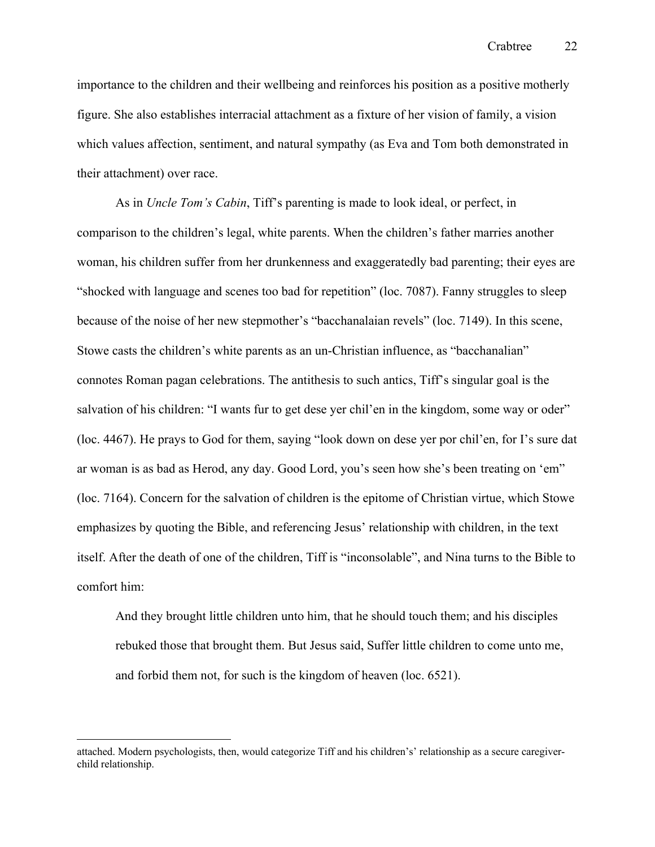importance to the children and their wellbeing and reinforces his position as a positive motherly figure. She also establishes interracial attachment as a fixture of her vision of family, a vision which values affection, sentiment, and natural sympathy (as Eva and Tom both demonstrated in their attachment) over race.

As in *Uncle Tom's Cabin*, Tiff's parenting is made to look ideal, or perfect, in comparison to the children's legal, white parents. When the children's father marries another woman, his children suffer from her drunkenness and exaggeratedly bad parenting; their eyes are "shocked with language and scenes too bad for repetition" (loc. 7087). Fanny struggles to sleep because of the noise of her new stepmother's "bacchanalaian revels" (loc. 7149). In this scene, Stowe casts the children's white parents as an un-Christian influence, as "bacchanalian" connotes Roman pagan celebrations. The antithesis to such antics, Tiff's singular goal is the salvation of his children: "I wants fur to get dese yer chil'en in the kingdom, some way or oder" (loc. 4467). He prays to God for them, saying "look down on dese yer por chil'en, for I's sure dat ar woman is as bad as Herod, any day. Good Lord, you's seen how she's been treating on 'em" (loc. 7164). Concern for the salvation of children is the epitome of Christian virtue, which Stowe emphasizes by quoting the Bible, and referencing Jesus' relationship with children, in the text itself. After the death of one of the children, Tiff is "inconsolable", and Nina turns to the Bible to comfort him:

And they brought little children unto him, that he should touch them; and his disciples rebuked those that brought them. But Jesus said, Suffer little children to come unto me, and forbid them not, for such is the kingdom of heaven (loc. 6521).

attached. Modern psychologists, then, would categorize Tiff and his children's' relationship as a secure caregiverchild relationship.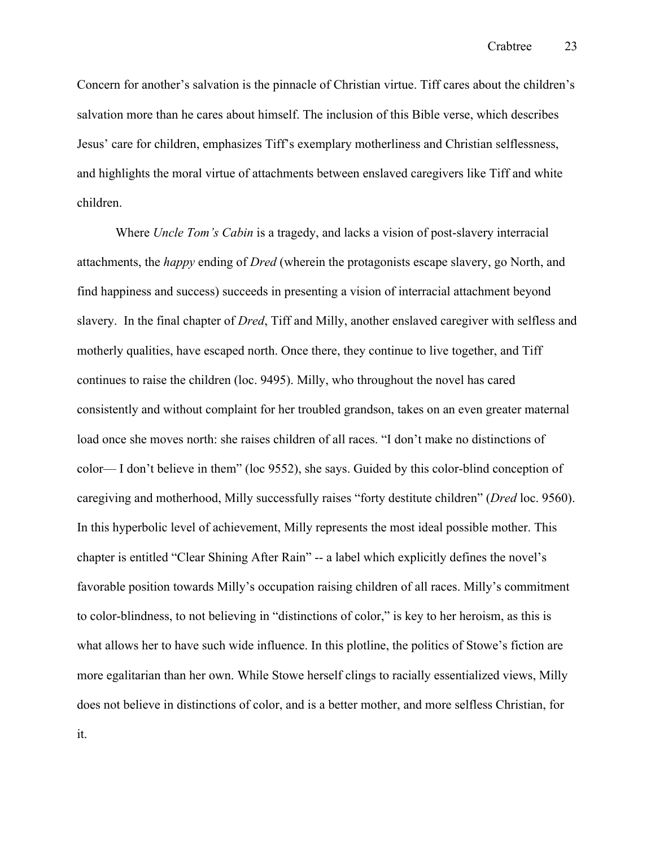Concern for another's salvation is the pinnacle of Christian virtue. Tiff cares about the children's salvation more than he cares about himself. The inclusion of this Bible verse, which describes Jesus' care for children, emphasizes Tiff's exemplary motherliness and Christian selflessness, and highlights the moral virtue of attachments between enslaved caregivers like Tiff and white children.

Where *Uncle Tom's Cabin* is a tragedy, and lacks a vision of post-slavery interracial attachments, the *happy* ending of *Dred* (wherein the protagonists escape slavery, go North, and find happiness and success) succeeds in presenting a vision of interracial attachment beyond slavery. In the final chapter of *Dred*, Tiff and Milly, another enslaved caregiver with selfless and motherly qualities, have escaped north. Once there, they continue to live together, and Tiff continues to raise the children (loc. 9495). Milly, who throughout the novel has cared consistently and without complaint for her troubled grandson, takes on an even greater maternal load once she moves north: she raises children of all races. "I don't make no distinctions of color— I don't believe in them" (loc 9552), she says. Guided by this color-blind conception of caregiving and motherhood, Milly successfully raises "forty destitute children" (*Dred* loc. 9560). In this hyperbolic level of achievement, Milly represents the most ideal possible mother. This chapter is entitled "Clear Shining After Rain" -- a label which explicitly defines the novel's favorable position towards Milly's occupation raising children of all races. Milly's commitment to color-blindness, to not believing in "distinctions of color," is key to her heroism, as this is what allows her to have such wide influence. In this plotline, the politics of Stowe's fiction are more egalitarian than her own. While Stowe herself clings to racially essentialized views, Milly does not believe in distinctions of color, and is a better mother, and more selfless Christian, for it.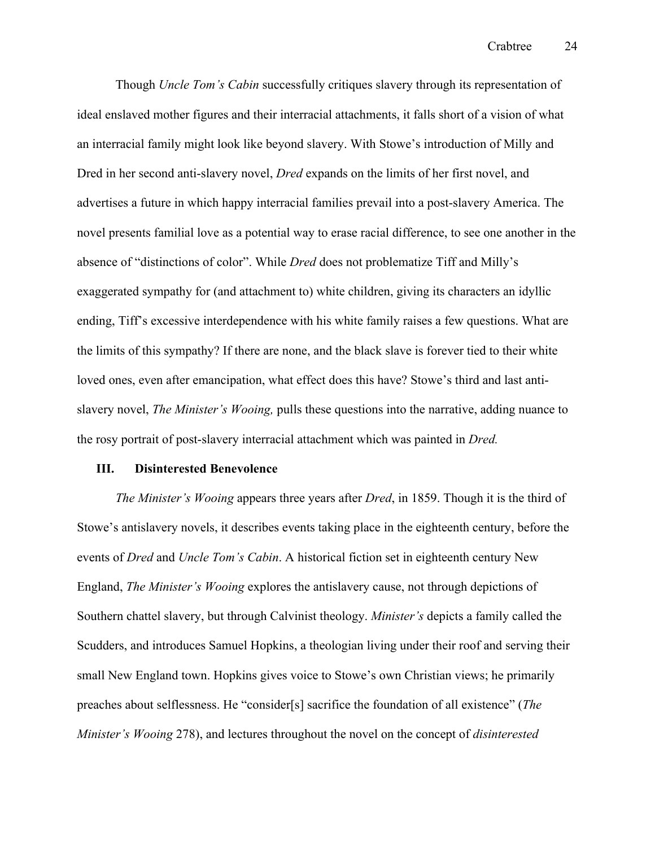Though *Uncle Tom's Cabin* successfully critiques slavery through its representation of ideal enslaved mother figures and their interracial attachments, it falls short of a vision of what an interracial family might look like beyond slavery. With Stowe's introduction of Milly and Dred in her second anti-slavery novel, *Dred* expands on the limits of her first novel, and advertises a future in which happy interracial families prevail into a post-slavery America. The novel presents familial love as a potential way to erase racial difference, to see one another in the absence of "distinctions of color". While *Dred* does not problematize Tiff and Milly's exaggerated sympathy for (and attachment to) white children, giving its characters an idyllic ending, Tiff's excessive interdependence with his white family raises a few questions. What are the limits of this sympathy? If there are none, and the black slave is forever tied to their white loved ones, even after emancipation, what effect does this have? Stowe's third and last antislavery novel, *The Minister's Wooing,* pulls these questions into the narrative, adding nuance to the rosy portrait of post-slavery interracial attachment which was painted in *Dred.*

#### **III. Disinterested Benevolence**

*The Minister's Wooing* appears three years after *Dred*, in 1859. Though it is the third of Stowe's antislavery novels, it describes events taking place in the eighteenth century, before the events of *Dred* and *Uncle Tom's Cabin*. A historical fiction set in eighteenth century New England, *The Minister's Wooing* explores the antislavery cause, not through depictions of Southern chattel slavery, but through Calvinist theology. *Minister's* depicts a family called the Scudders, and introduces Samuel Hopkins, a theologian living under their roof and serving their small New England town. Hopkins gives voice to Stowe's own Christian views; he primarily preaches about selflessness. He "consider[s] sacrifice the foundation of all existence" (*The Minister's Wooing* 278), and lectures throughout the novel on the concept of *disinterested*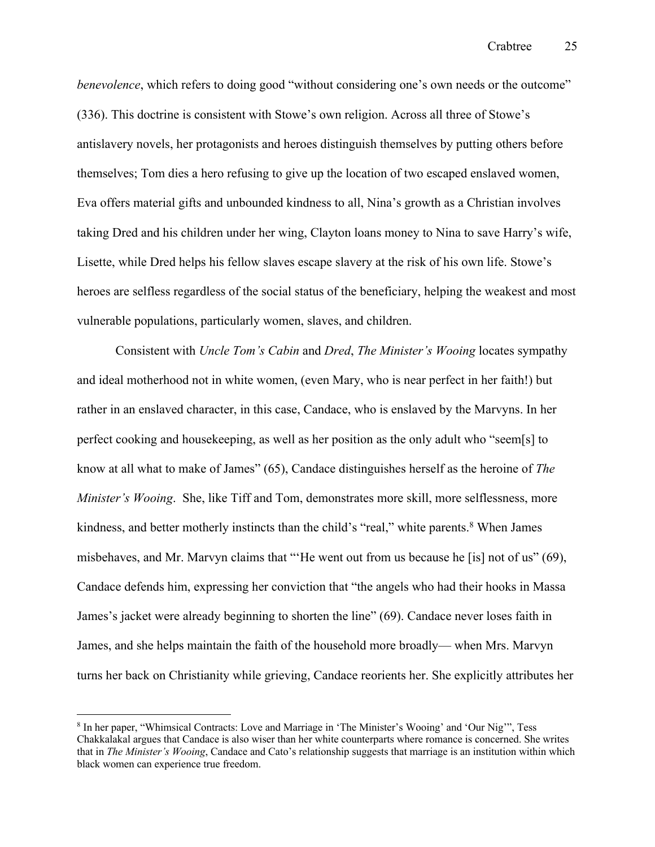*benevolence*, which refers to doing good "without considering one's own needs or the outcome" (336). This doctrine is consistent with Stowe's own religion. Across all three of Stowe's antislavery novels, her protagonists and heroes distinguish themselves by putting others before themselves; Tom dies a hero refusing to give up the location of two escaped enslaved women, Eva offers material gifts and unbounded kindness to all, Nina's growth as a Christian involves taking Dred and his children under her wing, Clayton loans money to Nina to save Harry's wife, Lisette, while Dred helps his fellow slaves escape slavery at the risk of his own life. Stowe's heroes are selfless regardless of the social status of the beneficiary, helping the weakest and most vulnerable populations, particularly women, slaves, and children.

Consistent with *Uncle Tom's Cabin* and *Dred*, *The Minister's Wooing* locates sympathy and ideal motherhood not in white women, (even Mary, who is near perfect in her faith!) but rather in an enslaved character, in this case, Candace, who is enslaved by the Marvyns. In her perfect cooking and housekeeping, as well as her position as the only adult who "seem[s] to know at all what to make of James" (65), Candace distinguishes herself as the heroine of *The Minister's Wooing*. She, like Tiff and Tom, demonstrates more skill, more selflessness, more kindness, and better motherly instincts than the child's "real," white parents.<sup>8</sup> When James misbehaves, and Mr. Marvyn claims that "'He went out from us because he [is] not of us" (69), Candace defends him, expressing her conviction that "the angels who had their hooks in Massa James's jacket were already beginning to shorten the line" (69). Candace never loses faith in James, and she helps maintain the faith of the household more broadly— when Mrs. Marvyn turns her back on Christianity while grieving, Candace reorients her. She explicitly attributes her

<sup>8</sup> In her paper, "Whimsical Contracts: Love and Marriage in 'The Minister's Wooing' and 'Our Nig'", Tess Chakkalakal argues that Candace is also wiser than her white counterparts where romance is concerned. She writes that in *The Minister's Wooing*, Candace and Cato's relationship suggests that marriage is an institution within which black women can experience true freedom.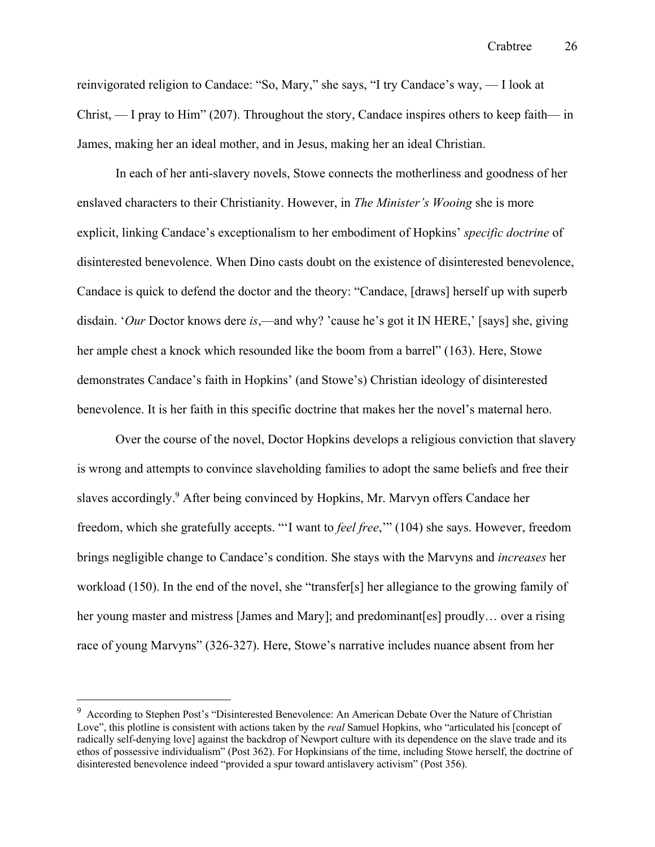reinvigorated religion to Candace: "So, Mary," she says, "I try Candace's way, — I look at Christ, — I pray to Him" (207). Throughout the story, Candace inspires others to keep faith— in James, making her an ideal mother, and in Jesus, making her an ideal Christian.

In each of her anti-slavery novels, Stowe connects the motherliness and goodness of her enslaved characters to their Christianity. However, in *The Minister's Wooing* she is more explicit, linking Candace's exceptionalism to her embodiment of Hopkins' *specific doctrine* of disinterested benevolence. When Dino casts doubt on the existence of disinterested benevolence, Candace is quick to defend the doctor and the theory: "Candace, [draws] herself up with superb disdain. '*Our* Doctor knows dere *is*,—and why? 'cause he's got it IN HERE,' [says] she, giving her ample chest a knock which resounded like the boom from a barrel" (163). Here, Stowe demonstrates Candace's faith in Hopkins' (and Stowe's) Christian ideology of disinterested benevolence. It is her faith in this specific doctrine that makes her the novel's maternal hero.

Over the course of the novel, Doctor Hopkins develops a religious conviction that slavery is wrong and attempts to convince slaveholding families to adopt the same beliefs and free their slaves accordingly.9 After being convinced by Hopkins, Mr. Marvyn offers Candace her freedom, which she gratefully accepts. "'I want to *feel free*,'" (104) she says. However, freedom brings negligible change to Candace's condition. She stays with the Marvyns and *increases* her workload (150). In the end of the novel, she "transfer[s] her allegiance to the growing family of her young master and mistress [James and Mary]; and predominant [es] proudly... over a rising race of young Marvyns" (326-327). Here, Stowe's narrative includes nuance absent from her

<sup>&</sup>lt;sup>9</sup> According to Stephen Post's "Disinterested Benevolence: An American Debate Over the Nature of Christian Love", this plotline is consistent with actions taken by the *real* Samuel Hopkins, who "articulated his [concept of radically self-denying love] against the backdrop of Newport culture with its dependence on the slave trade and its ethos of possessive individualism" (Post 362). For Hopkinsians of the time, including Stowe herself, the doctrine of disinterested benevolence indeed "provided a spur toward antislavery activism" (Post 356).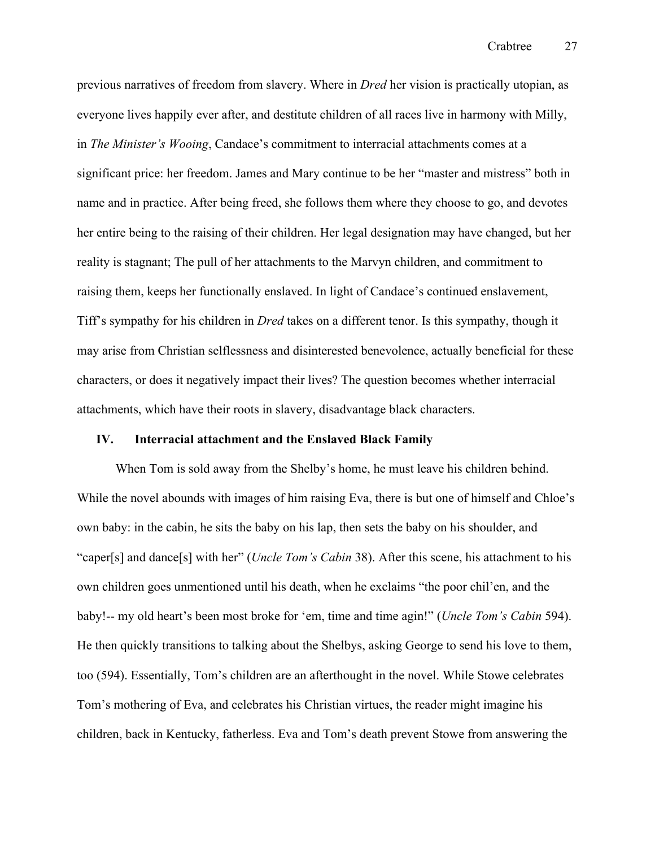previous narratives of freedom from slavery. Where in *Dred* her vision is practically utopian, as everyone lives happily ever after, and destitute children of all races live in harmony with Milly, in *The Minister's Wooing*, Candace's commitment to interracial attachments comes at a significant price: her freedom. James and Mary continue to be her "master and mistress" both in name and in practice. After being freed, she follows them where they choose to go, and devotes her entire being to the raising of their children. Her legal designation may have changed, but her reality is stagnant; The pull of her attachments to the Marvyn children, and commitment to raising them, keeps her functionally enslaved. In light of Candace's continued enslavement, Tiff's sympathy for his children in *Dred* takes on a different tenor. Is this sympathy, though it may arise from Christian selflessness and disinterested benevolence, actually beneficial for these characters, or does it negatively impact their lives? The question becomes whether interracial attachments, which have their roots in slavery, disadvantage black characters.

#### **IV. Interracial attachment and the Enslaved Black Family**

When Tom is sold away from the Shelby's home, he must leave his children behind. While the novel abounds with images of him raising Eva, there is but one of himself and Chloe's own baby: in the cabin, he sits the baby on his lap, then sets the baby on his shoulder, and "caper[s] and dance[s] with her" (*Uncle Tom's Cabin* 38). After this scene, his attachment to his own children goes unmentioned until his death, when he exclaims "the poor chil'en, and the baby!-- my old heart's been most broke for 'em, time and time agin!" (*Uncle Tom's Cabin* 594). He then quickly transitions to talking about the Shelbys, asking George to send his love to them, too (594). Essentially, Tom's children are an afterthought in the novel. While Stowe celebrates Tom's mothering of Eva, and celebrates his Christian virtues, the reader might imagine his children, back in Kentucky, fatherless. Eva and Tom's death prevent Stowe from answering the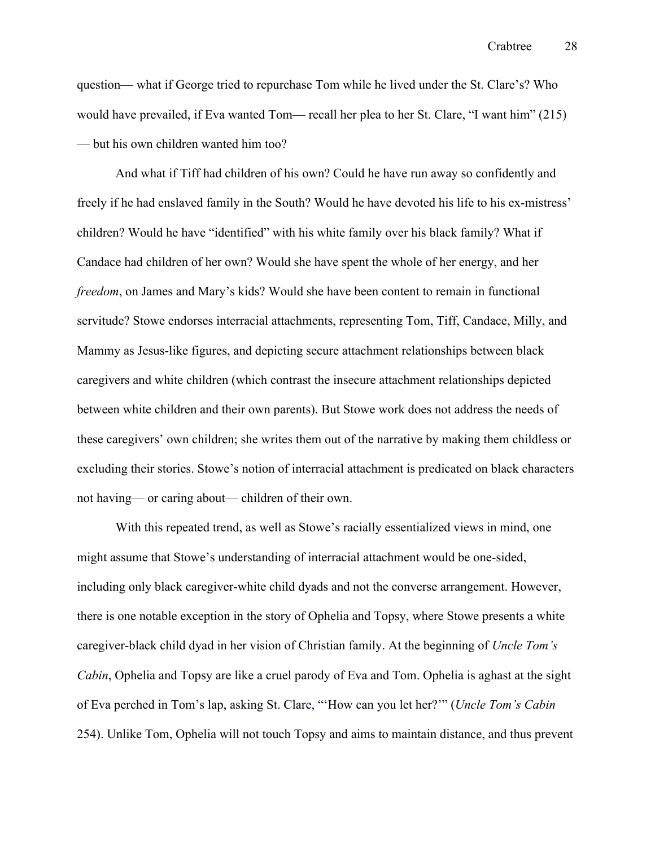question— what if George tried to repurchase Tom while he lived under the St. Clare's? Who would have prevailed, if Eva wanted Tom— recall her plea to her St. Clare, "I want him" (215) — but his own children wanted him too?

And what if Tiff had children of his own? Could he have run away so confidently and freely if he had enslaved family in the South? Would he have devoted his life to his ex-mistress' children? Would he have "identified" with his white family over his black family? What if Candace had children of her own? Would she have spent the whole of her energy, and her *freedom*, on James and Mary's kids? Would she have been content to remain in functional servitude? Stowe endorses interracial attachments, representing Tom, Tiff, Candace, Milly, and Mammy as Jesus-like figures, and depicting secure attachment relationships between black caregivers and white children (which contrast the insecure attachment relationships depicted between white children and their own parents). But Stowe work does not address the needs of these caregivers' own children; she writes them out of the narrative by making them childless or excluding their stories. Stowe's notion of interracial attachment is predicated on black characters not having— or caring about— children of their own.

With this repeated trend, as well as Stowe's racially essentialized views in mind, one might assume that Stowe's understanding of interracial attachment would be one-sided, including only black caregiver-white child dyads and not the converse arrangement. However, there is one notable exception in the story of Ophelia and Topsy, where Stowe presents a white caregiver-black child dyad in her vision of Christian family. At the beginning of *Uncle Tom's Cabin*, Ophelia and Topsy are like a cruel parody of Eva and Tom. Ophelia is aghast at the sight of Eva perched in Tom's lap, asking St. Clare, "'How can you let her?'" (*Uncle Tom's Cabin*  254). Unlike Tom, Ophelia will not touch Topsy and aims to maintain distance, and thus prevent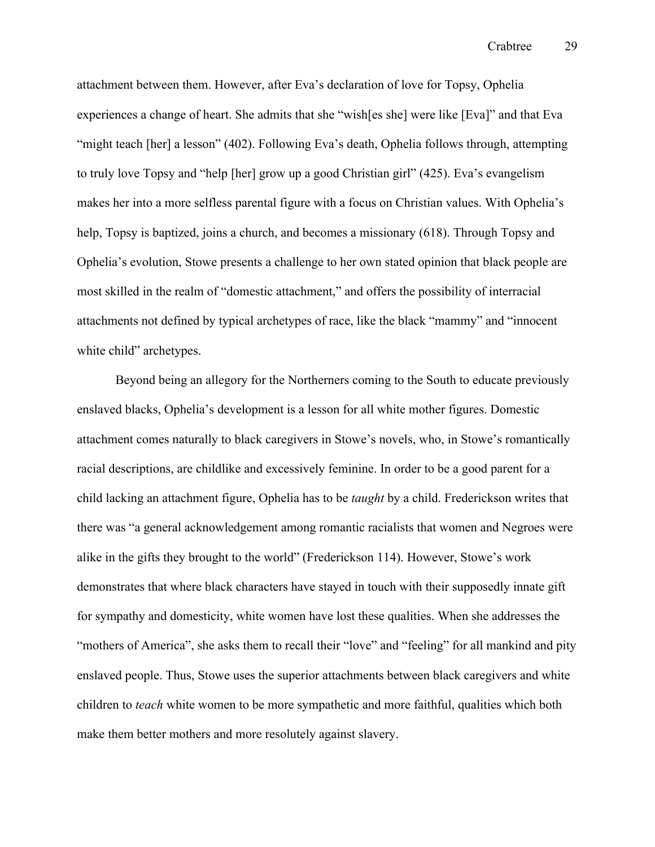attachment between them. However, after Eva's declaration of love for Topsy, Ophelia experiences a change of heart. She admits that she "wish[es she] were like [Eva]" and that Eva "might teach [her] a lesson" (402). Following Eva's death, Ophelia follows through, attempting to truly love Topsy and "help [her] grow up a good Christian girl" (425). Eva's evangelism makes her into a more selfless parental figure with a focus on Christian values. With Ophelia's help, Topsy is baptized, joins a church, and becomes a missionary (618). Through Topsy and Ophelia's evolution, Stowe presents a challenge to her own stated opinion that black people are most skilled in the realm of "domestic attachment," and offers the possibility of interracial attachments not defined by typical archetypes of race, like the black "mammy" and "innocent white child" archetypes.

Beyond being an allegory for the Northerners coming to the South to educate previously enslaved blacks, Ophelia's development is a lesson for all white mother figures. Domestic attachment comes naturally to black caregivers in Stowe's novels, who, in Stowe's romantically racial descriptions, are childlike and excessively feminine. In order to be a good parent for a child lacking an attachment figure, Ophelia has to be *taught* by a child. Frederickson writes that there was "a general acknowledgement among romantic racialists that women and Negroes were alike in the gifts they brought to the world" (Frederickson 114). However, Stowe's work demonstrates that where black characters have stayed in touch with their supposedly innate gift for sympathy and domesticity, white women have lost these qualities. When she addresses the "mothers of America", she asks them to recall their "love" and "feeling" for all mankind and pity enslaved people. Thus, Stowe uses the superior attachments between black caregivers and white children to *teach* white women to be more sympathetic and more faithful, qualities which both make them better mothers and more resolutely against slavery.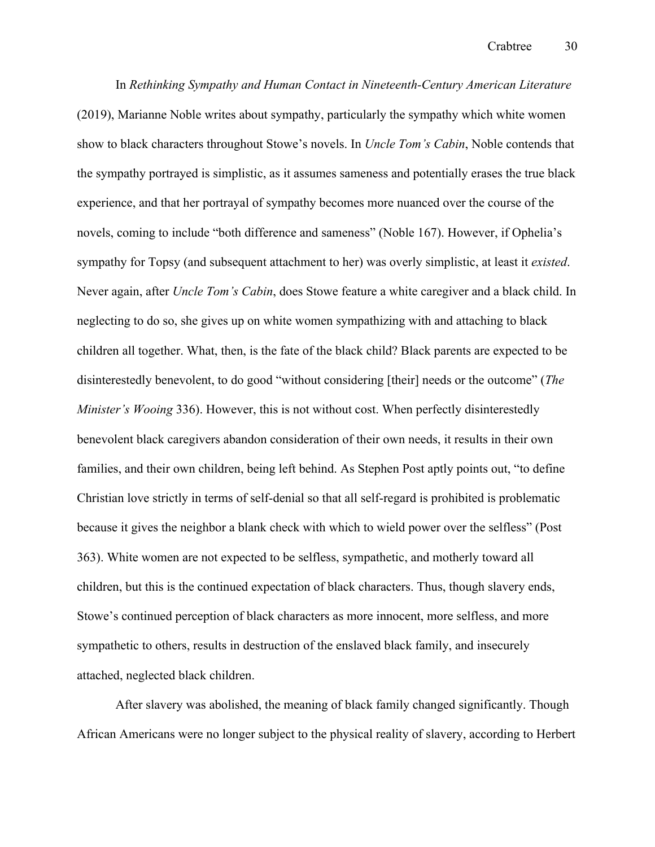In *Rethinking Sympathy and Human Contact in Nineteenth-Century American Literature*  (2019), Marianne Noble writes about sympathy, particularly the sympathy which white women show to black characters throughout Stowe's novels. In *Uncle Tom's Cabin*, Noble contends that the sympathy portrayed is simplistic, as it assumes sameness and potentially erases the true black experience, and that her portrayal of sympathy becomes more nuanced over the course of the novels, coming to include "both difference and sameness" (Noble 167). However, if Ophelia's sympathy for Topsy (and subsequent attachment to her) was overly simplistic, at least it *existed*. Never again, after *Uncle Tom's Cabin*, does Stowe feature a white caregiver and a black child. In neglecting to do so, she gives up on white women sympathizing with and attaching to black children all together. What, then, is the fate of the black child? Black parents are expected to be disinterestedly benevolent, to do good "without considering [their] needs or the outcome" (*The Minister's Wooing* 336). However, this is not without cost. When perfectly disinterestedly benevolent black caregivers abandon consideration of their own needs, it results in their own families, and their own children, being left behind. As Stephen Post aptly points out, "to define Christian love strictly in terms of self-denial so that all self-regard is prohibited is problematic because it gives the neighbor a blank check with which to wield power over the selfless" (Post 363). White women are not expected to be selfless, sympathetic, and motherly toward all children, but this is the continued expectation of black characters. Thus, though slavery ends, Stowe's continued perception of black characters as more innocent, more selfless, and more sympathetic to others, results in destruction of the enslaved black family, and insecurely attached, neglected black children.

After slavery was abolished, the meaning of black family changed significantly. Though African Americans were no longer subject to the physical reality of slavery, according to Herbert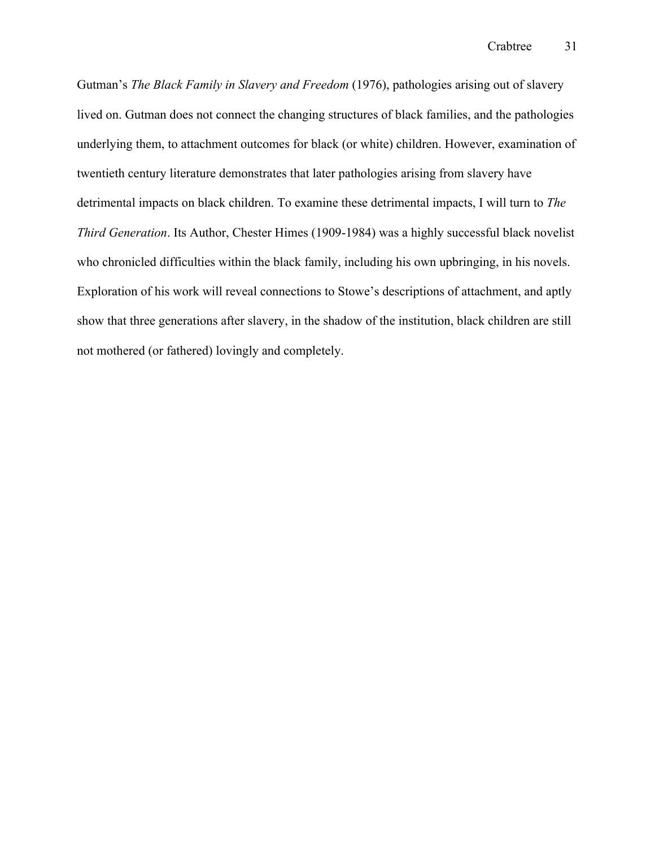Gutman's *The Black Family in Slavery and Freedom* (1976), pathologies arising out of slavery lived on. Gutman does not connect the changing structures of black families, and the pathologies underlying them, to attachment outcomes for black (or white) children. However, examination of twentieth century literature demonstrates that later pathologies arising from slavery have detrimental impacts on black children. To examine these detrimental impacts, I will turn to *The Third Generation*. Its Author, Chester Himes (1909-1984) was a highly successful black novelist who chronicled difficulties within the black family, including his own upbringing, in his novels. Exploration of his work will reveal connections to Stowe's descriptions of attachment, and aptly show that three generations after slavery, in the shadow of the institution, black children are still not mothered (or fathered) lovingly and completely.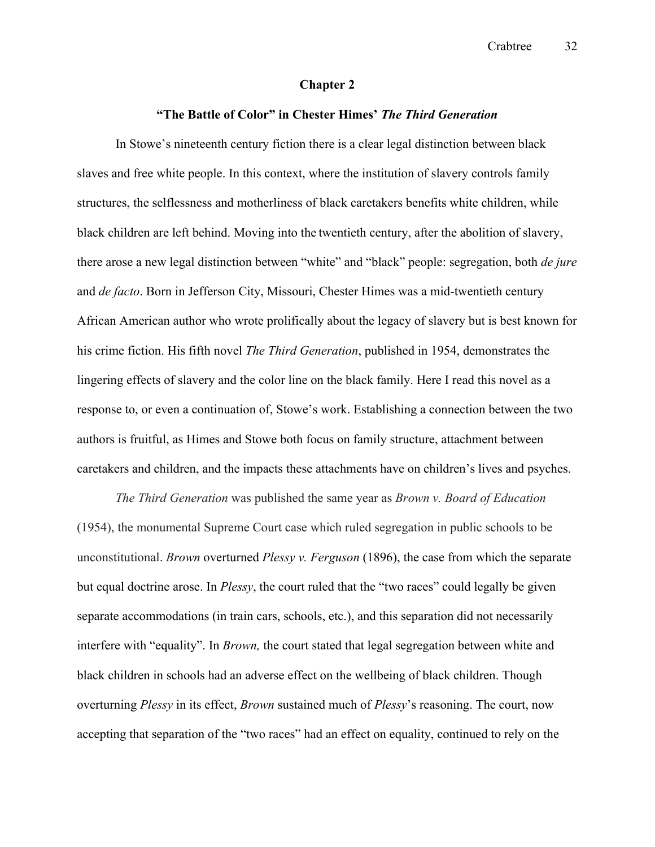#### **Chapter 2**

#### **"The Battle of Color" in Chester Himes'** *The Third Generation*

In Stowe's nineteenth century fiction there is a clear legal distinction between black slaves and free white people. In this context, where the institution of slavery controls family structures, the selflessness and motherliness of black caretakers benefits white children, while black children are left behind. Moving into the twentieth century, after the abolition of slavery, there arose a new legal distinction between "white" and "black" people: segregation, both *de jure* and *de facto*. Born in Jefferson City, Missouri, Chester Himes was a mid-twentieth century African American author who wrote prolifically about the legacy of slavery but is best known for his crime fiction. His fifth novel *The Third Generation*, published in 1954, demonstrates the lingering effects of slavery and the color line on the black family. Here I read this novel as a response to, or even a continuation of, Stowe's work. Establishing a connection between the two authors is fruitful, as Himes and Stowe both focus on family structure, attachment between caretakers and children, and the impacts these attachments have on children's lives and psyches.

*The Third Generation* was published the same year as *Brown v. Board of Education*  (1954), the monumental Supreme Court case which ruled segregation in public schools to be unconstitutional. *Brown* overturned *Plessy v. Ferguson* (1896), the case from which the separate but equal doctrine arose. In *Plessy*, the court ruled that the "two races" could legally be given separate accommodations (in train cars, schools, etc.), and this separation did not necessarily interfere with "equality". In *Brown,* the court stated that legal segregation between white and black children in schools had an adverse effect on the wellbeing of black children. Though overturning *Plessy* in its effect, *Brown* sustained much of *Plessy*'s reasoning. The court, now accepting that separation of the "two races" had an effect on equality, continued to rely on the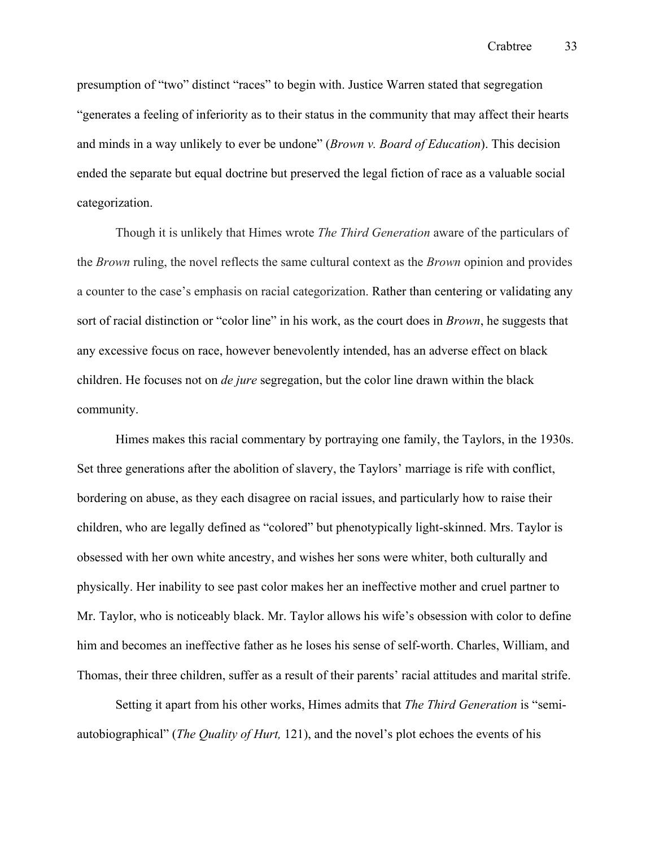presumption of "two" distinct "races" to begin with. Justice Warren stated that segregation "generates a feeling of inferiority as to their status in the community that may affect their hearts and minds in a way unlikely to ever be undone" (*Brown v. Board of Education*). This decision ended the separate but equal doctrine but preserved the legal fiction of race as a valuable social categorization.

Though it is unlikely that Himes wrote *The Third Generation* aware of the particulars of the *Brown* ruling, the novel reflects the same cultural context as the *Brown* opinion and provides a counter to the case's emphasis on racial categorization. Rather than centering or validating any sort of racial distinction or "color line" in his work, as the court does in *Brown*, he suggests that any excessive focus on race, however benevolently intended, has an adverse effect on black children. He focuses not on *de jure* segregation, but the color line drawn within the black community.

Himes makes this racial commentary by portraying one family, the Taylors, in the 1930s. Set three generations after the abolition of slavery, the Taylors' marriage is rife with conflict, bordering on abuse, as they each disagree on racial issues, and particularly how to raise their children, who are legally defined as "colored" but phenotypically light-skinned. Mrs. Taylor is obsessed with her own white ancestry, and wishes her sons were whiter, both culturally and physically. Her inability to see past color makes her an ineffective mother and cruel partner to Mr. Taylor, who is noticeably black. Mr. Taylor allows his wife's obsession with color to define him and becomes an ineffective father as he loses his sense of self-worth. Charles, William, and Thomas, their three children, suffer as a result of their parents' racial attitudes and marital strife.

Setting it apart from his other works, Himes admits that *The Third Generation* is "semiautobiographical" (*The Quality of Hurt,* 121), and the novel's plot echoes the events of his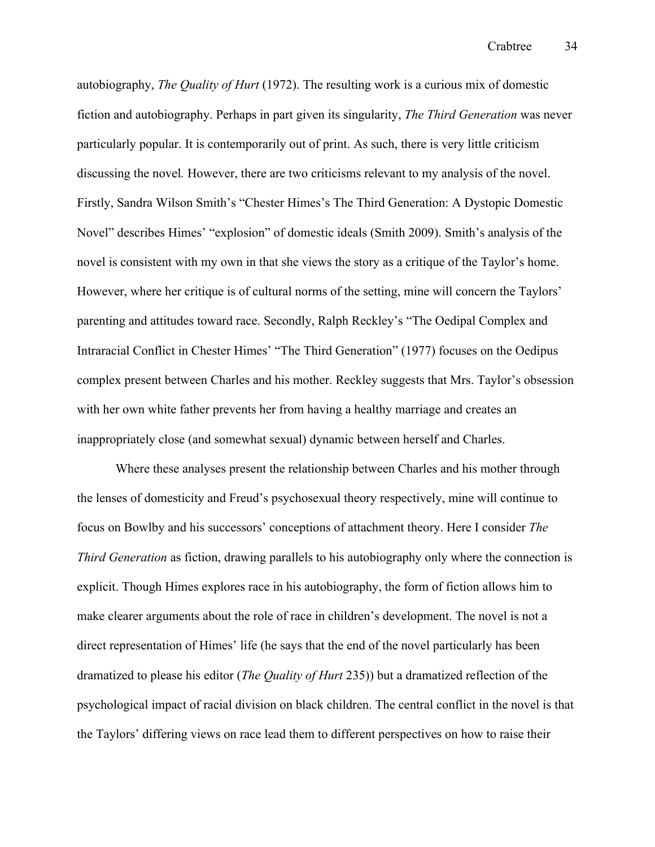autobiography, *The Quality of Hurt* (1972). The resulting work is a curious mix of domestic fiction and autobiography. Perhaps in part given its singularity, *The Third Generation* was never particularly popular. It is contemporarily out of print. As such, there is very little criticism discussing the novel*.* However, there are two criticisms relevant to my analysis of the novel. Firstly, Sandra Wilson Smith's "Chester Himes's The Third Generation: A Dystopic Domestic Novel" describes Himes' "explosion" of domestic ideals (Smith 2009). Smith's analysis of the novel is consistent with my own in that she views the story as a critique of the Taylor's home. However, where her critique is of cultural norms of the setting, mine will concern the Taylors' parenting and attitudes toward race. Secondly, Ralph Reckley's "The Oedipal Complex and Intraracial Conflict in Chester Himes' "The Third Generation" (1977) focuses on the Oedipus complex present between Charles and his mother. Reckley suggests that Mrs. Taylor's obsession with her own white father prevents her from having a healthy marriage and creates an inappropriately close (and somewhat sexual) dynamic between herself and Charles.

Where these analyses present the relationship between Charles and his mother through the lenses of domesticity and Freud's psychosexual theory respectively, mine will continue to focus on Bowlby and his successors' conceptions of attachment theory. Here I consider *The Third Generation* as fiction, drawing parallels to his autobiography only where the connection is explicit. Though Himes explores race in his autobiography, the form of fiction allows him to make clearer arguments about the role of race in children's development. The novel is not a direct representation of Himes' life (he says that the end of the novel particularly has been dramatized to please his editor (*The Quality of Hurt* 235)) but a dramatized reflection of the psychological impact of racial division on black children. The central conflict in the novel is that the Taylors' differing views on race lead them to different perspectives on how to raise their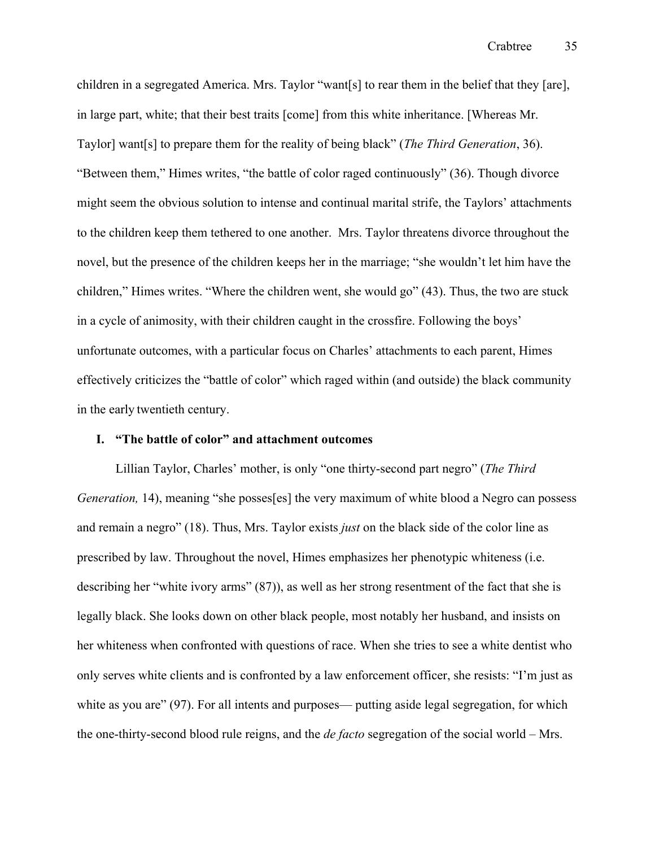children in a segregated America. Mrs. Taylor "want[s] to rear them in the belief that they [are], in large part, white; that their best traits [come] from this white inheritance. [Whereas Mr. Taylor] want[s] to prepare them for the reality of being black" (*The Third Generation*, 36). "Between them," Himes writes, "the battle of color raged continuously" (36). Though divorce might seem the obvious solution to intense and continual marital strife, the Taylors' attachments to the children keep them tethered to one another. Mrs. Taylor threatens divorce throughout the novel, but the presence of the children keeps her in the marriage; "she wouldn't let him have the children," Himes writes. "Where the children went, she would go" (43). Thus, the two are stuck in a cycle of animosity, with their children caught in the crossfire. Following the boys' unfortunate outcomes, with a particular focus on Charles' attachments to each parent, Himes effectively criticizes the "battle of color" which raged within (and outside) the black community in the early twentieth century.

#### **I. "The battle of color" and attachment outcomes**

Lillian Taylor, Charles' mother, is only "one thirty-second part negro" (*The Third Generation,* 14), meaning "she posses[es] the very maximum of white blood a Negro can possess and remain a negro" (18). Thus, Mrs. Taylor exists *just* on the black side of the color line as prescribed by law. Throughout the novel, Himes emphasizes her phenotypic whiteness (i.e. describing her "white ivory arms" (87)), as well as her strong resentment of the fact that she is legally black. She looks down on other black people, most notably her husband, and insists on her whiteness when confronted with questions of race. When she tries to see a white dentist who only serves white clients and is confronted by a law enforcement officer, she resists: "I'm just as white as you are" (97). For all intents and purposes— putting aside legal segregation, for which the one-thirty-second blood rule reigns, and the *de facto* segregation of the social world – Mrs.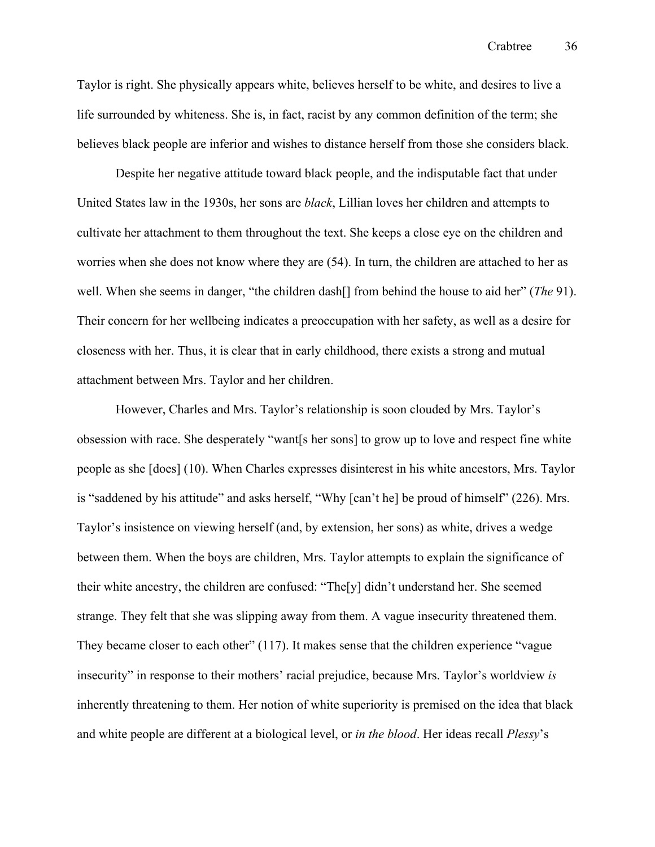Taylor is right. She physically appears white, believes herself to be white, and desires to live a life surrounded by whiteness. She is, in fact, racist by any common definition of the term; she believes black people are inferior and wishes to distance herself from those she considers black. 

Despite her negative attitude toward black people, and the indisputable fact that under United States law in the 1930s, her sons are *black*, Lillian loves her children and attempts to cultivate her attachment to them throughout the text. She keeps a close eye on the children and worries when she does not know where they are (54). In turn, the children are attached to her as well. When she seems in danger, "the children dash[] from behind the house to aid her" (*The* 91). Their concern for her wellbeing indicates a preoccupation with her safety, as well as a desire for closeness with her. Thus, it is clear that in early childhood, there exists a strong and mutual attachment between Mrs. Taylor and her children.

However, Charles and Mrs. Taylor's relationship is soon clouded by Mrs. Taylor's obsession with race. She desperately "want[s her sons] to grow up to love and respect fine white people as she [does] (10). When Charles expresses disinterest in his white ancestors, Mrs. Taylor is "saddened by his attitude" and asks herself, "Why [can't he] be proud of himself" (226). Mrs. Taylor's insistence on viewing herself (and, by extension, her sons) as white, drives a wedge between them. When the boys are children, Mrs. Taylor attempts to explain the significance of their white ancestry, the children are confused: "The[y] didn't understand her. She seemed strange. They felt that she was slipping away from them. A vague insecurity threatened them. They became closer to each other" (117). It makes sense that the children experience "vague insecurity" in response to their mothers' racial prejudice, because Mrs. Taylor's worldview *is* inherently threatening to them. Her notion of white superiority is premised on the idea that black and white people are different at a biological level, or *in the blood*. Her ideas recall *Plessy*'s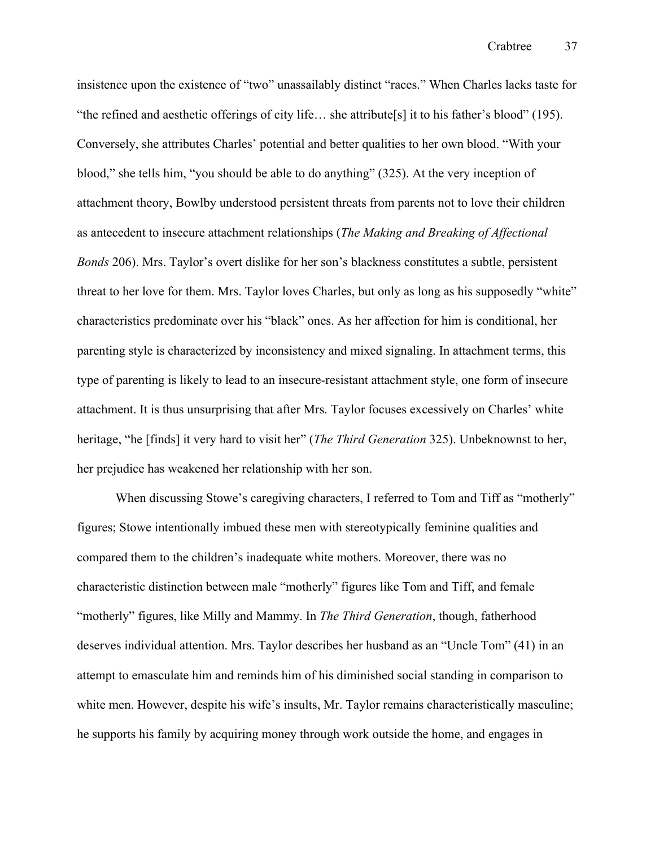insistence upon the existence of "two" unassailably distinct "races." When Charles lacks taste for "the refined and aesthetic offerings of city life… she attribute[s] it to his father's blood" (195). Conversely, she attributes Charles' potential and better qualities to her own blood. "With your blood," she tells him, "you should be able to do anything" (325). At the very inception of attachment theory, Bowlby understood persistent threats from parents not to love their children as antecedent to insecure attachment relationships (*The Making and Breaking of Affectional Bonds* 206). Mrs. Taylor's overt dislike for her son's blackness constitutes a subtle, persistent threat to her love for them. Mrs. Taylor loves Charles, but only as long as his supposedly "white" characteristics predominate over his "black" ones. As her affection for him is conditional, her parenting style is characterized by inconsistency and mixed signaling. In attachment terms, this type of parenting is likely to lead to an insecure-resistant attachment style, one form of insecure attachment. It is thus unsurprising that after Mrs. Taylor focuses excessively on Charles' white heritage, "he [finds] it very hard to visit her" (*The Third Generation* 325). Unbeknownst to her, her prejudice has weakened her relationship with her son.

When discussing Stowe's caregiving characters, I referred to Tom and Tiff as "motherly" figures; Stowe intentionally imbued these men with stereotypically feminine qualities and compared them to the children's inadequate white mothers. Moreover, there was no characteristic distinction between male "motherly" figures like Tom and Tiff, and female "motherly" figures, like Milly and Mammy. In *The Third Generation*, though, fatherhood deserves individual attention. Mrs. Taylor describes her husband as an "Uncle Tom" (41) in an attempt to emasculate him and reminds him of his diminished social standing in comparison to white men. However, despite his wife's insults, Mr. Taylor remains characteristically masculine; he supports his family by acquiring money through work outside the home, and engages in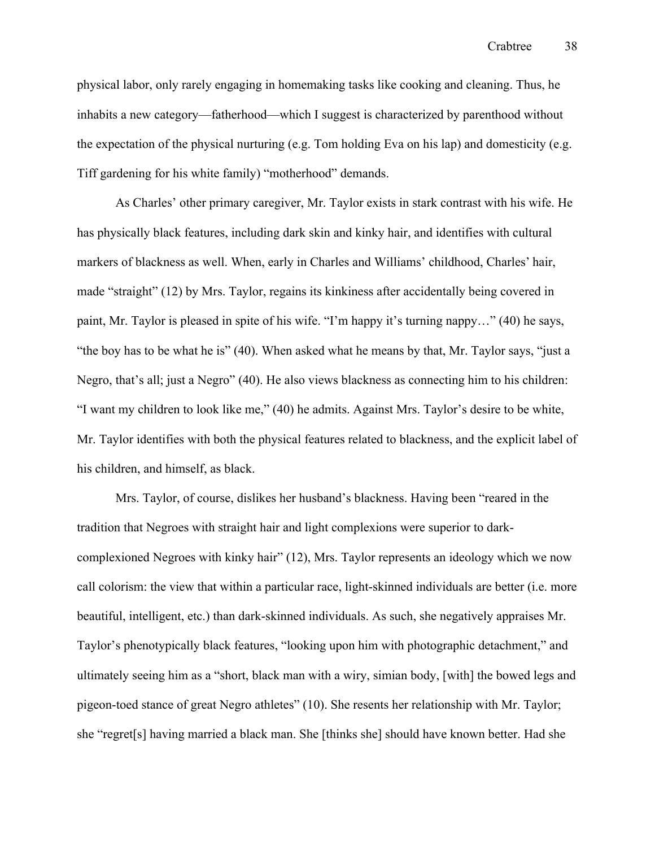Crabtree 38

physical labor, only rarely engaging in homemaking tasks like cooking and cleaning. Thus, he inhabits a new category—fatherhood—which I suggest is characterized by parenthood without the expectation of the physical nurturing (e.g. Tom holding Eva on his lap) and domesticity (e.g. Tiff gardening for his white family) "motherhood" demands.

As Charles' other primary caregiver, Mr. Taylor exists in stark contrast with his wife. He has physically black features, including dark skin and kinky hair, and identifies with cultural markers of blackness as well. When, early in Charles and Williams' childhood, Charles' hair, made "straight" (12) by Mrs. Taylor, regains its kinkiness after accidentally being covered in paint, Mr. Taylor is pleased in spite of his wife. "I'm happy it's turning nappy…" (40) he says, "the boy has to be what he is" (40). When asked what he means by that, Mr. Taylor says, "just a Negro, that's all; just a Negro" (40). He also views blackness as connecting him to his children: "I want my children to look like me," (40) he admits. Against Mrs. Taylor's desire to be white, Mr. Taylor identifies with both the physical features related to blackness, and the explicit label of his children, and himself, as black. 

Mrs. Taylor, of course, dislikes her husband's blackness. Having been "reared in the tradition that Negroes with straight hair and light complexions were superior to darkcomplexioned Negroes with kinky hair" (12), Mrs. Taylor represents an ideology which we now call colorism: the view that within a particular race, light-skinned individuals are better (i.e. more beautiful, intelligent, etc.) than dark-skinned individuals. As such, she negatively appraises Mr. Taylor's phenotypically black features, "looking upon him with photographic detachment," and ultimately seeing him as a "short, black man with a wiry, simian body, [with] the bowed legs and pigeon-toed stance of great Negro athletes" (10). She resents her relationship with Mr. Taylor; she "regret[s] having married a black man. She [thinks she] should have known better. Had she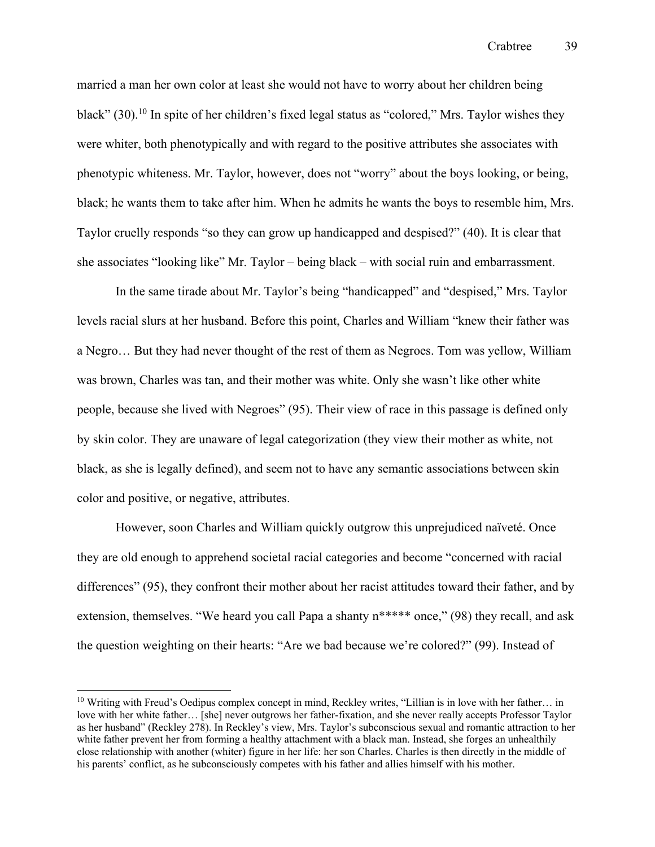married a man her own color at least she would not have to worry about her children being black"  $(30)$ .<sup>10</sup> In spite of her children's fixed legal status as "colored," Mrs. Taylor wishes they were whiter, both phenotypically and with regard to the positive attributes she associates with phenotypic whiteness. Mr. Taylor, however, does not "worry" about the boys looking, or being, black; he wants them to take after him. When he admits he wants the boys to resemble him, Mrs. Taylor cruelly responds "so they can grow up handicapped and despised?" (40). It is clear that she associates "looking like" Mr. Taylor – being black – with social ruin and embarrassment.

In the same tirade about Mr. Taylor's being "handicapped" and "despised," Mrs. Taylor levels racial slurs at her husband. Before this point, Charles and William "knew their father was a Negro… But they had never thought of the rest of them as Negroes. Tom was yellow, William was brown, Charles was tan, and their mother was white. Only she wasn't like other white people, because she lived with Negroes" (95). Their view of race in this passage is defined only by skin color. They are unaware of legal categorization (they view their mother as white, not black, as she is legally defined), and seem not to have any semantic associations between skin color and positive, or negative, attributes.

However, soon Charles and William quickly outgrow this unprejudiced naïveté. Once they are old enough to apprehend societal racial categories and become "concerned with racial differences" (95), they confront their mother about her racist attitudes toward their father, and by extension, themselves. "We heard you call Papa a shanty  $n^{****}$  once," (98) they recall, and ask the question weighting on their hearts: "Are we bad because we're colored?" (99). Instead of

<sup>10</sup> Writing with Freud's Oedipus complex concept in mind, Reckley writes, "Lillian is in love with her father… in love with her white father… [she] never outgrows her father-fixation, and she never really accepts Professor Taylor as her husband" (Reckley 278). In Reckley's view, Mrs. Taylor's subconscious sexual and romantic attraction to her white father prevent her from forming a healthy attachment with a black man. Instead, she forges an unhealthily close relationship with another (whiter) figure in her life: her son Charles. Charles is then directly in the middle of his parents' conflict, as he subconsciously competes with his father and allies himself with his mother.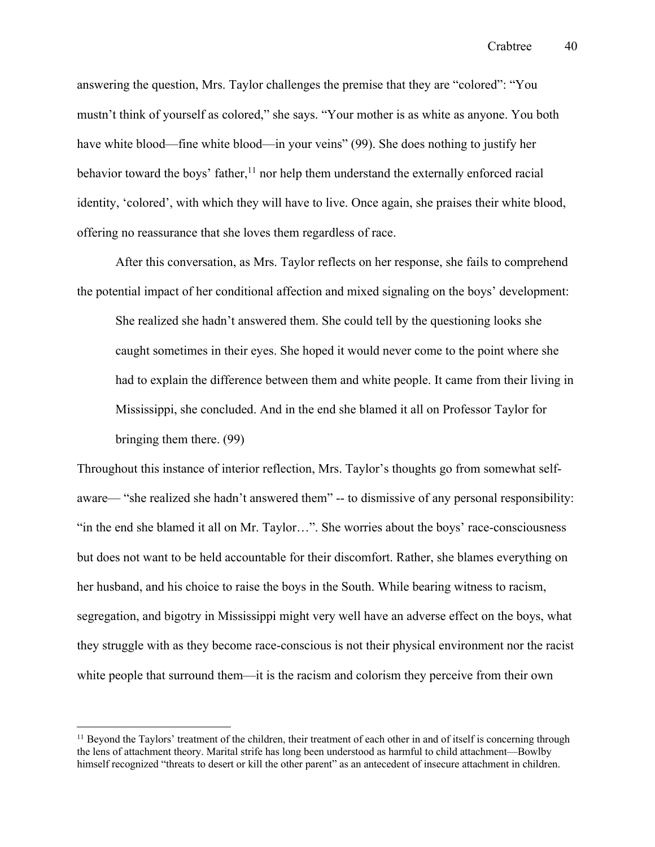answering the question, Mrs. Taylor challenges the premise that they are "colored": "You mustn't think of yourself as colored," she says. "Your mother is as white as anyone. You both have white blood—fine white blood—in your veins" (99). She does nothing to justify her behavior toward the boys' father,<sup>11</sup> nor help them understand the externally enforced racial identity, 'colored', with which they will have to live. Once again, she praises their white blood, offering no reassurance that she loves them regardless of race.

After this conversation, as Mrs. Taylor reflects on her response, she fails to comprehend the potential impact of her conditional affection and mixed signaling on the boys' development: She realized she hadn't answered them. She could tell by the questioning looks she caught sometimes in their eyes. She hoped it would never come to the point where she had to explain the difference between them and white people. It came from their living in Mississippi, she concluded. And in the end she blamed it all on Professor Taylor for bringing them there. (99)

Throughout this instance of interior reflection, Mrs. Taylor's thoughts go from somewhat selfaware— "she realized she hadn't answered them" -- to dismissive of any personal responsibility: "in the end she blamed it all on Mr. Taylor…". She worries about the boys' race-consciousness but does not want to be held accountable for their discomfort. Rather, she blames everything on her husband, and his choice to raise the boys in the South. While bearing witness to racism, segregation, and bigotry in Mississippi might very well have an adverse effect on the boys, what they struggle with as they become race-conscious is not their physical environment nor the racist white people that surround them—it is the racism and colorism they perceive from their own

 $<sup>11</sup>$  Beyond the Taylors' treatment of the children, their treatment of each other in and of itself is concerning through</sup> the lens of attachment theory. Marital strife has long been understood as harmful to child attachment—Bowlby himself recognized "threats to desert or kill the other parent" as an antecedent of insecure attachment in children.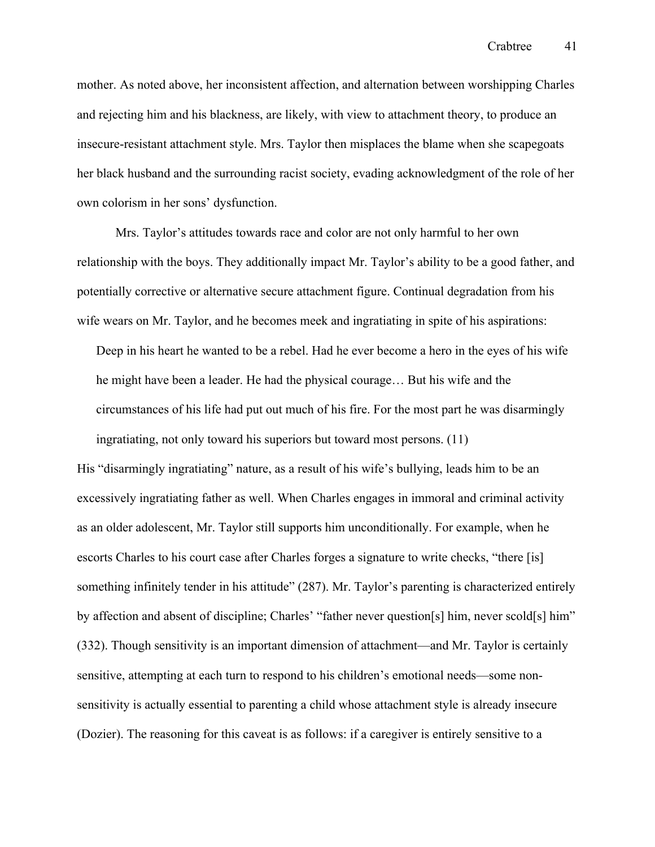mother. As noted above, her inconsistent affection, and alternation between worshipping Charles and rejecting him and his blackness, are likely, with view to attachment theory, to produce an insecure-resistant attachment style. Mrs. Taylor then misplaces the blame when she scapegoats her black husband and the surrounding racist society, evading acknowledgment of the role of her own colorism in her sons' dysfunction.

Mrs. Taylor's attitudes towards race and color are not only harmful to her own relationship with the boys. They additionally impact Mr. Taylor's ability to be a good father, and potentially corrective or alternative secure attachment figure. Continual degradation from his wife wears on Mr. Taylor, and he becomes meek and ingratiating in spite of his aspirations:

Deep in his heart he wanted to be a rebel. Had he ever become a hero in the eyes of his wife he might have been a leader. He had the physical courage… But his wife and the circumstances of his life had put out much of his fire. For the most part he was disarmingly ingratiating, not only toward his superiors but toward most persons. (11)

His "disarmingly ingratiating" nature, as a result of his wife's bullying, leads him to be an excessively ingratiating father as well. When Charles engages in immoral and criminal activity as an older adolescent, Mr. Taylor still supports him unconditionally. For example, when he escorts Charles to his court case after Charles forges a signature to write checks, "there [is] something infinitely tender in his attitude" (287). Mr. Taylor's parenting is characterized entirely by affection and absent of discipline; Charles' "father never question[s] him, never scold[s] him" (332). Though sensitivity is an important dimension of attachment—and Mr. Taylor is certainly sensitive, attempting at each turn to respond to his children's emotional needs—some nonsensitivity is actually essential to parenting a child whose attachment style is already insecure (Dozier). The reasoning for this caveat is as follows: if a caregiver is entirely sensitive to a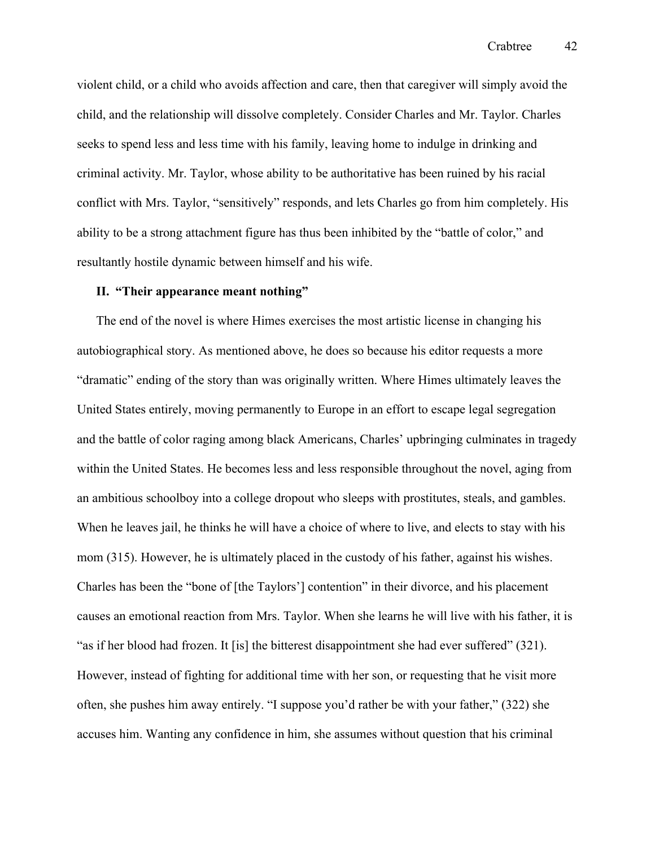violent child, or a child who avoids affection and care, then that caregiver will simply avoid the child, and the relationship will dissolve completely. Consider Charles and Mr. Taylor. Charles seeks to spend less and less time with his family, leaving home to indulge in drinking and criminal activity. Mr. Taylor, whose ability to be authoritative has been ruined by his racial conflict with Mrs. Taylor, "sensitively" responds, and lets Charles go from him completely. His ability to be a strong attachment figure has thus been inhibited by the "battle of color," and resultantly hostile dynamic between himself and his wife.

## **II. "Their appearance meant nothing"**

The end of the novel is where Himes exercises the most artistic license in changing his autobiographical story. As mentioned above, he does so because his editor requests a more "dramatic" ending of the story than was originally written. Where Himes ultimately leaves the United States entirely, moving permanently to Europe in an effort to escape legal segregation and the battle of color raging among black Americans, Charles' upbringing culminates in tragedy within the United States. He becomes less and less responsible throughout the novel, aging from an ambitious schoolboy into a college dropout who sleeps with prostitutes, steals, and gambles. When he leaves jail, he thinks he will have a choice of where to live, and elects to stay with his mom (315). However, he is ultimately placed in the custody of his father, against his wishes. Charles has been the "bone of [the Taylors'] contention" in their divorce, and his placement causes an emotional reaction from Mrs. Taylor. When she learns he will live with his father, it is "as if her blood had frozen. It [is] the bitterest disappointment she had ever suffered" (321). However, instead of fighting for additional time with her son, or requesting that he visit more often, she pushes him away entirely. "I suppose you'd rather be with your father," (322) she accuses him. Wanting any confidence in him, she assumes without question that his criminal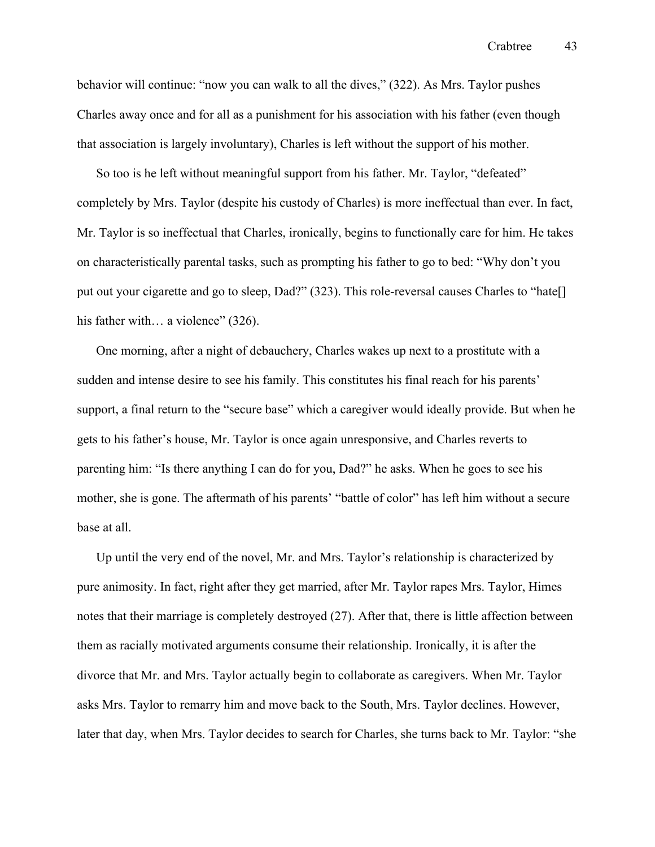behavior will continue: "now you can walk to all the dives," (322). As Mrs. Taylor pushes Charles away once and for all as a punishment for his association with his father (even though that association is largely involuntary), Charles is left without the support of his mother.

So too is he left without meaningful support from his father. Mr. Taylor, "defeated" completely by Mrs. Taylor (despite his custody of Charles) is more ineffectual than ever. In fact, Mr. Taylor is so ineffectual that Charles, ironically, begins to functionally care for him. He takes on characteristically parental tasks, such as prompting his father to go to bed: "Why don't you put out your cigarette and go to sleep, Dad?" (323). This role-reversal causes Charles to "hate[] his father with... a violence" (326).

One morning, after a night of debauchery, Charles wakes up next to a prostitute with a sudden and intense desire to see his family. This constitutes his final reach for his parents' support, a final return to the "secure base" which a caregiver would ideally provide. But when he gets to his father's house, Mr. Taylor is once again unresponsive, and Charles reverts to parenting him: "Is there anything I can do for you, Dad?" he asks. When he goes to see his mother, she is gone. The aftermath of his parents' "battle of color" has left him without a secure base at all.

Up until the very end of the novel, Mr. and Mrs. Taylor's relationship is characterized by pure animosity. In fact, right after they get married, after Mr. Taylor rapes Mrs. Taylor, Himes notes that their marriage is completely destroyed (27). After that, there is little affection between them as racially motivated arguments consume their relationship. Ironically, it is after the divorce that Mr. and Mrs. Taylor actually begin to collaborate as caregivers. When Mr. Taylor asks Mrs. Taylor to remarry him and move back to the South, Mrs. Taylor declines. However, later that day, when Mrs. Taylor decides to search for Charles, she turns back to Mr. Taylor: "she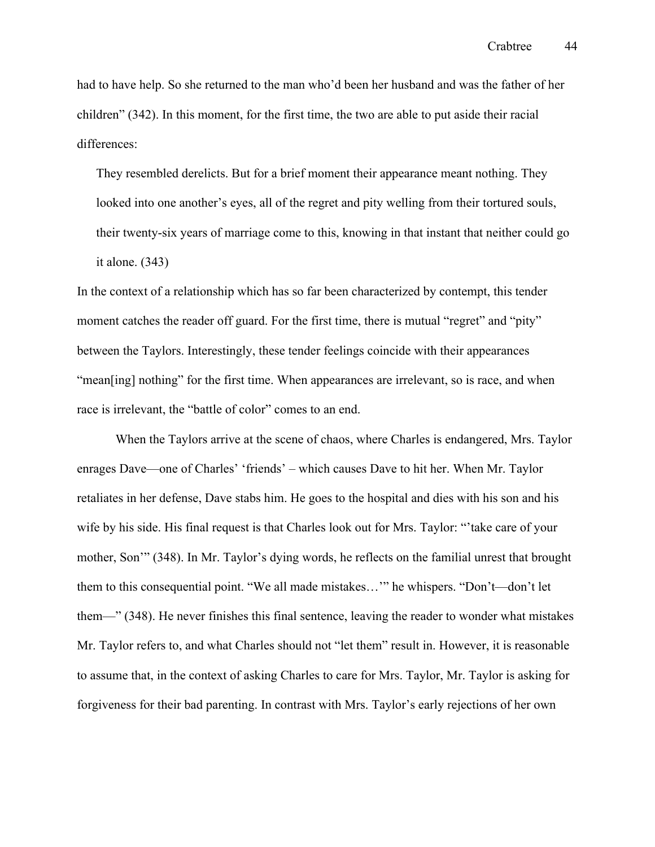had to have help. So she returned to the man who'd been her husband and was the father of her children" (342). In this moment, for the first time, the two are able to put aside their racial differences:

They resembled derelicts. But for a brief moment their appearance meant nothing. They looked into one another's eyes, all of the regret and pity welling from their tortured souls, their twenty-six years of marriage come to this, knowing in that instant that neither could go it alone. (343)

In the context of a relationship which has so far been characterized by contempt, this tender moment catches the reader off guard. For the first time, there is mutual "regret" and "pity" between the Taylors. Interestingly, these tender feelings coincide with their appearances "mean[ing] nothing" for the first time. When appearances are irrelevant, so is race, and when race is irrelevant, the "battle of color" comes to an end.

When the Taylors arrive at the scene of chaos, where Charles is endangered, Mrs. Taylor enrages Dave—one of Charles' 'friends' – which causes Dave to hit her. When Mr. Taylor retaliates in her defense, Dave stabs him. He goes to the hospital and dies with his son and his wife by his side. His final request is that Charles look out for Mrs. Taylor: "'take care of your mother, Son'" (348). In Mr. Taylor's dying words, he reflects on the familial unrest that brought them to this consequential point. "We all made mistakes…'" he whispers. "Don't—don't let them—" (348). He never finishes this final sentence, leaving the reader to wonder what mistakes Mr. Taylor refers to, and what Charles should not "let them" result in. However, it is reasonable to assume that, in the context of asking Charles to care for Mrs. Taylor, Mr. Taylor is asking for forgiveness for their bad parenting. In contrast with Mrs. Taylor's early rejections of her own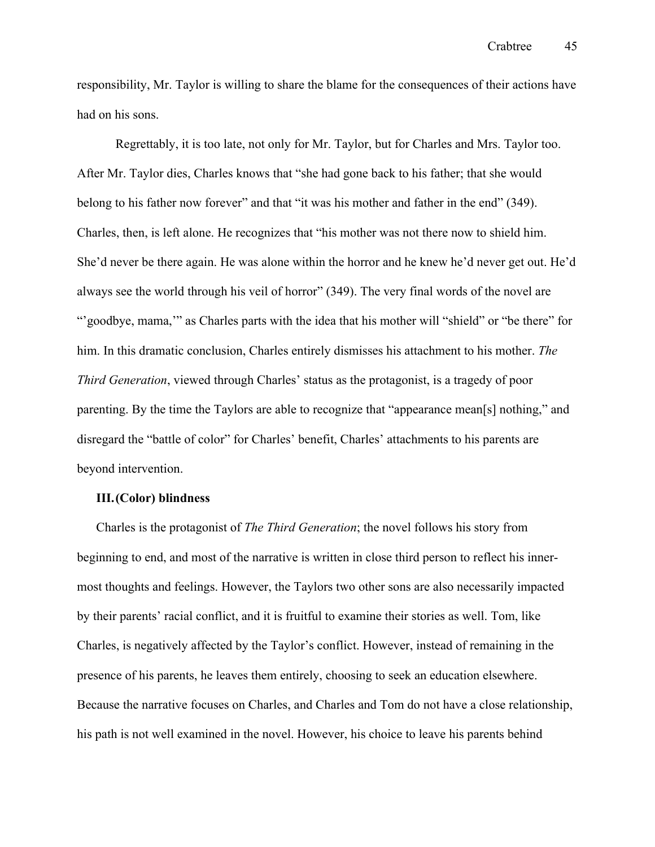responsibility, Mr. Taylor is willing to share the blame for the consequences of their actions have had on his sons.

Regrettably, it is too late, not only for Mr. Taylor, but for Charles and Mrs. Taylor too. After Mr. Taylor dies, Charles knows that "she had gone back to his father; that she would belong to his father now forever" and that "it was his mother and father in the end" (349). Charles, then, is left alone. He recognizes that "his mother was not there now to shield him. She'd never be there again. He was alone within the horror and he knew he'd never get out. He'd always see the world through his veil of horror" (349). The very final words of the novel are "'goodbye, mama,'" as Charles parts with the idea that his mother will "shield" or "be there" for him. In this dramatic conclusion, Charles entirely dismisses his attachment to his mother. *The Third Generation*, viewed through Charles' status as the protagonist, is a tragedy of poor parenting. By the time the Taylors are able to recognize that "appearance mean[s] nothing," and disregard the "battle of color" for Charles' benefit, Charles' attachments to his parents are beyond intervention.

# **III.(Color) blindness**

Charles is the protagonist of *The Third Generation*; the novel follows his story from beginning to end, and most of the narrative is written in close third person to reflect his innermost thoughts and feelings. However, the Taylors two other sons are also necessarily impacted by their parents' racial conflict, and it is fruitful to examine their stories as well. Tom, like Charles, is negatively affected by the Taylor's conflict. However, instead of remaining in the presence of his parents, he leaves them entirely, choosing to seek an education elsewhere. Because the narrative focuses on Charles, and Charles and Tom do not have a close relationship, his path is not well examined in the novel. However, his choice to leave his parents behind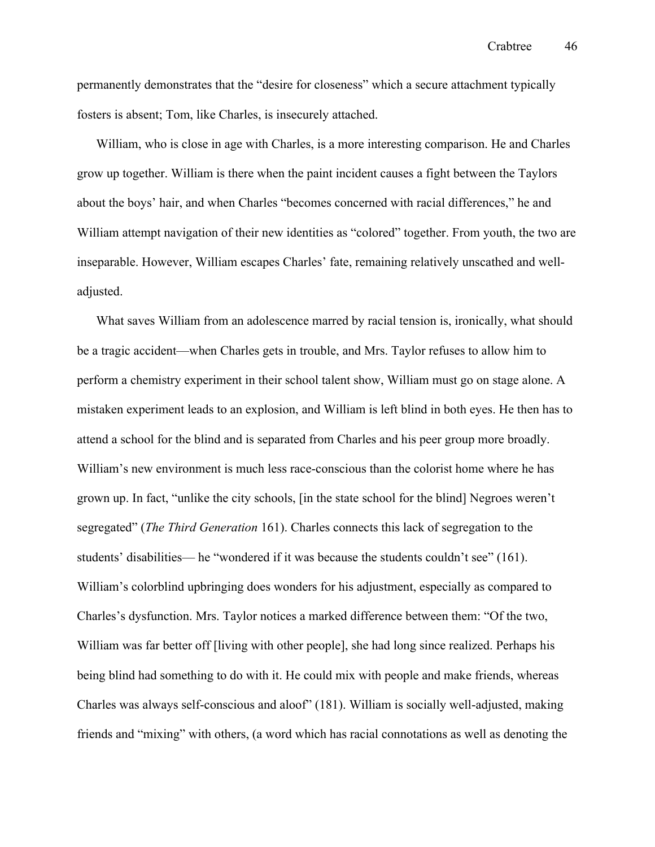permanently demonstrates that the "desire for closeness" which a secure attachment typically fosters is absent; Tom, like Charles, is insecurely attached.

William, who is close in age with Charles, is a more interesting comparison. He and Charles grow up together. William is there when the paint incident causes a fight between the Taylors about the boys' hair, and when Charles "becomes concerned with racial differences," he and William attempt navigation of their new identities as "colored" together. From youth, the two are inseparable. However, William escapes Charles' fate, remaining relatively unscathed and welladjusted.

What saves William from an adolescence marred by racial tension is, ironically, what should be a tragic accident—when Charles gets in trouble, and Mrs. Taylor refuses to allow him to perform a chemistry experiment in their school talent show, William must go on stage alone. A mistaken experiment leads to an explosion, and William is left blind in both eyes. He then has to attend a school for the blind and is separated from Charles and his peer group more broadly. William's new environment is much less race-conscious than the colorist home where he has grown up. In fact, "unlike the city schools, [in the state school for the blind] Negroes weren't segregated" (*The Third Generation* 161). Charles connects this lack of segregation to the students' disabilities— he "wondered if it was because the students couldn't see" (161). William's colorblind upbringing does wonders for his adjustment, especially as compared to Charles's dysfunction. Mrs. Taylor notices a marked difference between them: "Of the two, William was far better off [living with other people], she had long since realized. Perhaps his being blind had something to do with it. He could mix with people and make friends, whereas Charles was always self-conscious and aloof" (181). William is socially well-adjusted, making friends and "mixing" with others, (a word which has racial connotations as well as denoting the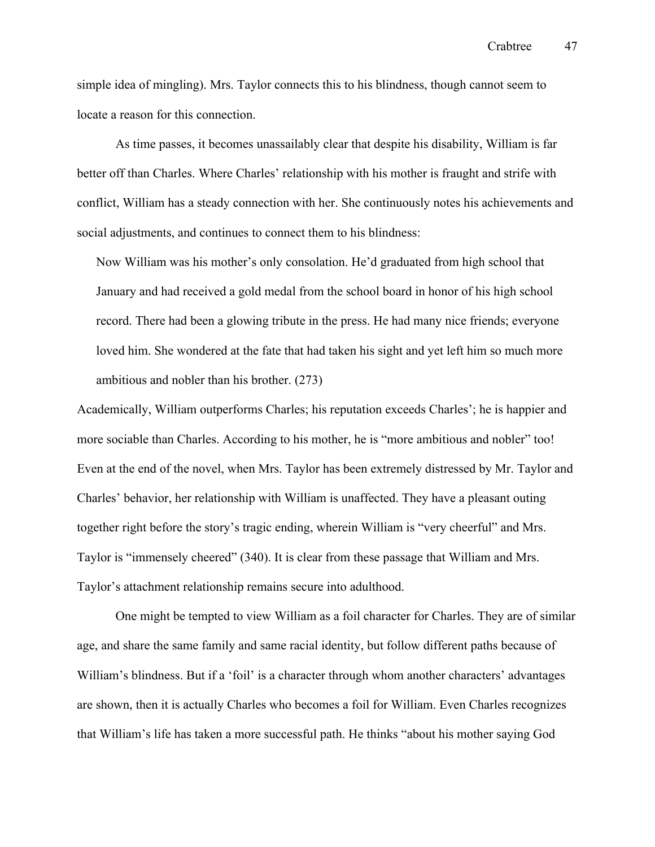simple idea of mingling). Mrs. Taylor connects this to his blindness, though cannot seem to locate a reason for this connection.

As time passes, it becomes unassailably clear that despite his disability, William is far better off than Charles. Where Charles' relationship with his mother is fraught and strife with conflict, William has a steady connection with her. She continuously notes his achievements and social adjustments, and continues to connect them to his blindness:

Now William was his mother's only consolation. He'd graduated from high school that January and had received a gold medal from the school board in honor of his high school record. There had been a glowing tribute in the press. He had many nice friends; everyone loved him. She wondered at the fate that had taken his sight and yet left him so much more ambitious and nobler than his brother. (273)

Academically, William outperforms Charles; his reputation exceeds Charles'; he is happier and more sociable than Charles. According to his mother, he is "more ambitious and nobler" too! Even at the end of the novel, when Mrs. Taylor has been extremely distressed by Mr. Taylor and Charles' behavior, her relationship with William is unaffected. They have a pleasant outing together right before the story's tragic ending, wherein William is "very cheerful" and Mrs. Taylor is "immensely cheered" (340). It is clear from these passage that William and Mrs. Taylor's attachment relationship remains secure into adulthood.

One might be tempted to view William as a foil character for Charles. They are of similar age, and share the same family and same racial identity, but follow different paths because of William's blindness. But if a 'foil' is a character through whom another characters' advantages are shown, then it is actually Charles who becomes a foil for William. Even Charles recognizes that William's life has taken a more successful path. He thinks "about his mother saying God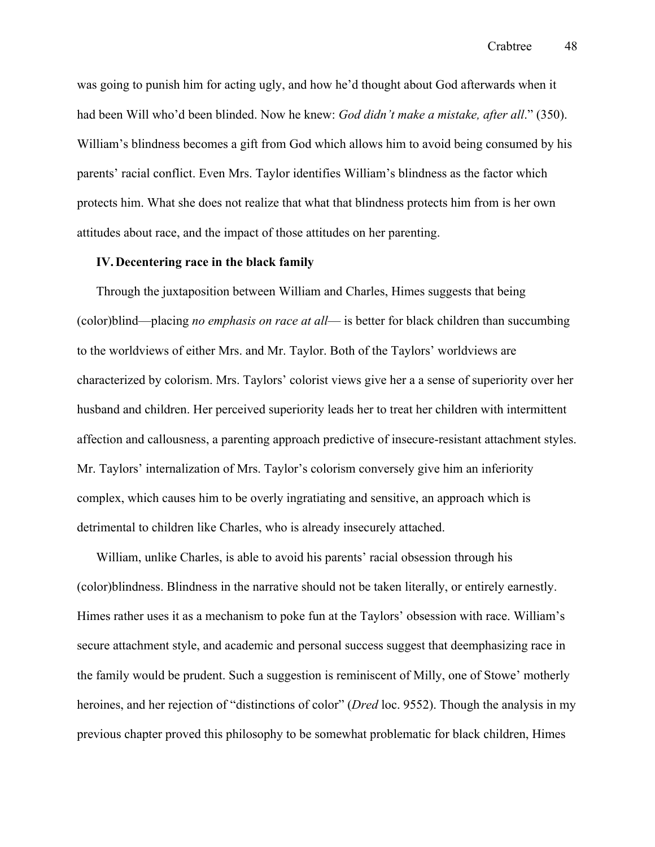was going to punish him for acting ugly, and how he'd thought about God afterwards when it had been Will who'd been blinded. Now he knew: *God didn't make a mistake, after all*." (350). William's blindness becomes a gift from God which allows him to avoid being consumed by his parents' racial conflict. Even Mrs. Taylor identifies William's blindness as the factor which protects him. What she does not realize that what that blindness protects him from is her own attitudes about race, and the impact of those attitudes on her parenting.

### **IV.Decentering race in the black family**

Through the juxtaposition between William and Charles, Himes suggests that being (color)blind—placing *no emphasis on race at all*— is better for black children than succumbing to the worldviews of either Mrs. and Mr. Taylor. Both of the Taylors' worldviews are characterized by colorism. Mrs. Taylors' colorist views give her a a sense of superiority over her husband and children. Her perceived superiority leads her to treat her children with intermittent affection and callousness, a parenting approach predictive of insecure-resistant attachment styles. Mr. Taylors' internalization of Mrs. Taylor's colorism conversely give him an inferiority complex, which causes him to be overly ingratiating and sensitive, an approach which is detrimental to children like Charles, who is already insecurely attached.

William, unlike Charles, is able to avoid his parents' racial obsession through his (color)blindness. Blindness in the narrative should not be taken literally, or entirely earnestly. Himes rather uses it as a mechanism to poke fun at the Taylors' obsession with race. William's secure attachment style, and academic and personal success suggest that deemphasizing race in the family would be prudent. Such a suggestion is reminiscent of Milly, one of Stowe' motherly heroines, and her rejection of "distinctions of color" (*Dred* loc. 9552). Though the analysis in my previous chapter proved this philosophy to be somewhat problematic for black children, Himes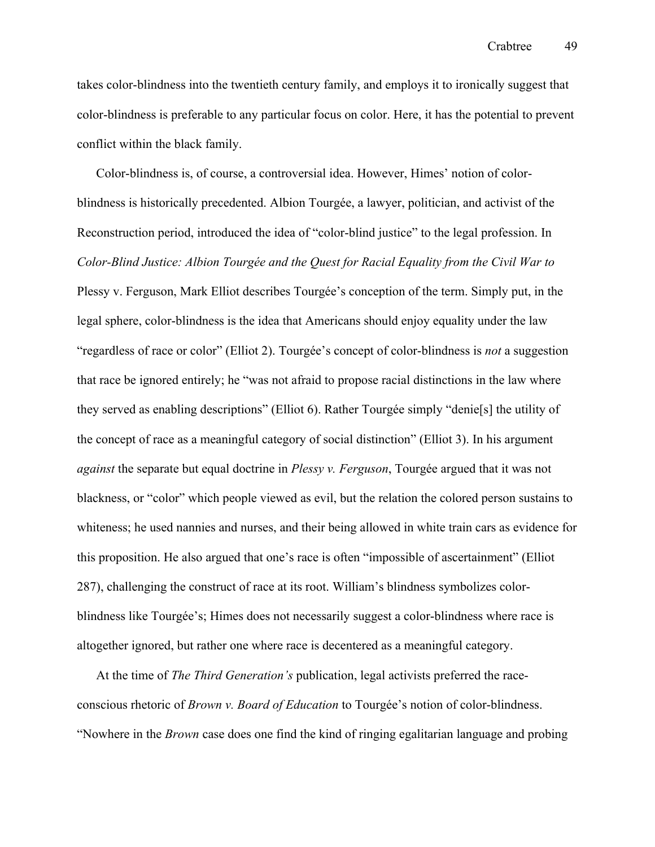takes color-blindness into the twentieth century family, and employs it to ironically suggest that color-blindness is preferable to any particular focus on color. Here, it has the potential to prevent conflict within the black family.

Color-blindness is, of course, a controversial idea. However, Himes' notion of colorblindness is historically precedented. Albion Tourgée, a lawyer, politician, and activist of the Reconstruction period, introduced the idea of "color-blind justice" to the legal profession. In *Color-Blind Justice: Albion Tourgée and the Quest for Racial Equality from the Civil War to*  Plessy v. Ferguson, Mark Elliot describes Tourgée's conception of the term. Simply put, in the legal sphere, color-blindness is the idea that Americans should enjoy equality under the law "regardless of race or color" (Elliot 2). Tourgée's concept of color-blindness is *not* a suggestion that race be ignored entirely; he "was not afraid to propose racial distinctions in the law where they served as enabling descriptions" (Elliot 6). Rather Tourgée simply "denie[s] the utility of the concept of race as a meaningful category of social distinction" (Elliot 3). In his argument *against* the separate but equal doctrine in *Plessy v. Ferguson*, Tourgée argued that it was not blackness, or "color" which people viewed as evil, but the relation the colored person sustains to whiteness; he used nannies and nurses, and their being allowed in white train cars as evidence for this proposition. He also argued that one's race is often "impossible of ascertainment" (Elliot 287), challenging the construct of race at its root. William's blindness symbolizes colorblindness like Tourgée's; Himes does not necessarily suggest a color-blindness where race is altogether ignored, but rather one where race is decentered as a meaningful category.

At the time of *The Third Generation's* publication, legal activists preferred the raceconscious rhetoric of *Brown v. Board of Education* to Tourgée's notion of color-blindness. "Nowhere in the *Brown* case does one find the kind of ringing egalitarian language and probing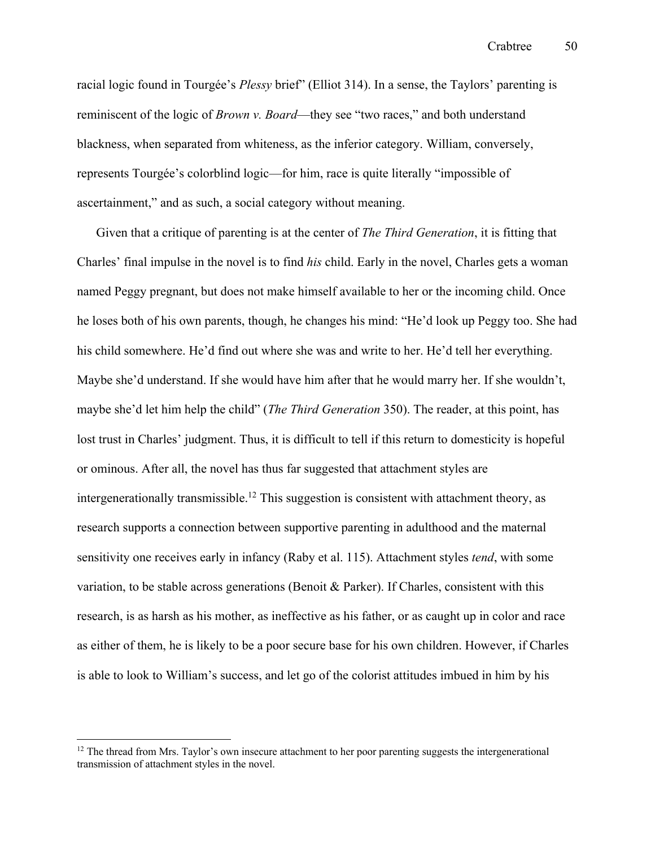racial logic found in Tourgée's *Plessy* brief" (Elliot 314). In a sense, the Taylors' parenting is reminiscent of the logic of *Brown v. Board*—they see "two races," and both understand blackness, when separated from whiteness, as the inferior category. William, conversely, represents Tourgée's colorblind logic—for him, race is quite literally "impossible of ascertainment," and as such, a social category without meaning.

Given that a critique of parenting is at the center of *The Third Generation*, it is fitting that Charles' final impulse in the novel is to find *his* child. Early in the novel, Charles gets a woman named Peggy pregnant, but does not make himself available to her or the incoming child. Once he loses both of his own parents, though, he changes his mind: "He'd look up Peggy too. She had his child somewhere. He'd find out where she was and write to her. He'd tell her everything. Maybe she'd understand. If she would have him after that he would marry her. If she wouldn't, maybe she'd let him help the child" (*The Third Generation* 350). The reader, at this point, has lost trust in Charles' judgment. Thus, it is difficult to tell if this return to domesticity is hopeful or ominous. After all, the novel has thus far suggested that attachment styles are intergenerationally transmissible.<sup>12</sup> This suggestion is consistent with attachment theory, as research supports a connection between supportive parenting in adulthood and the maternal sensitivity one receives early in infancy (Raby et al. 115). Attachment styles *tend*, with some variation, to be stable across generations (Benoit & Parker). If Charles, consistent with this research, is as harsh as his mother, as ineffective as his father, or as caught up in color and race as either of them, he is likely to be a poor secure base for his own children. However, if Charles is able to look to William's success, and let go of the colorist attitudes imbued in him by his

<sup>&</sup>lt;sup>12</sup> The thread from Mrs. Taylor's own insecure attachment to her poor parenting suggests the intergenerational transmission of attachment styles in the novel.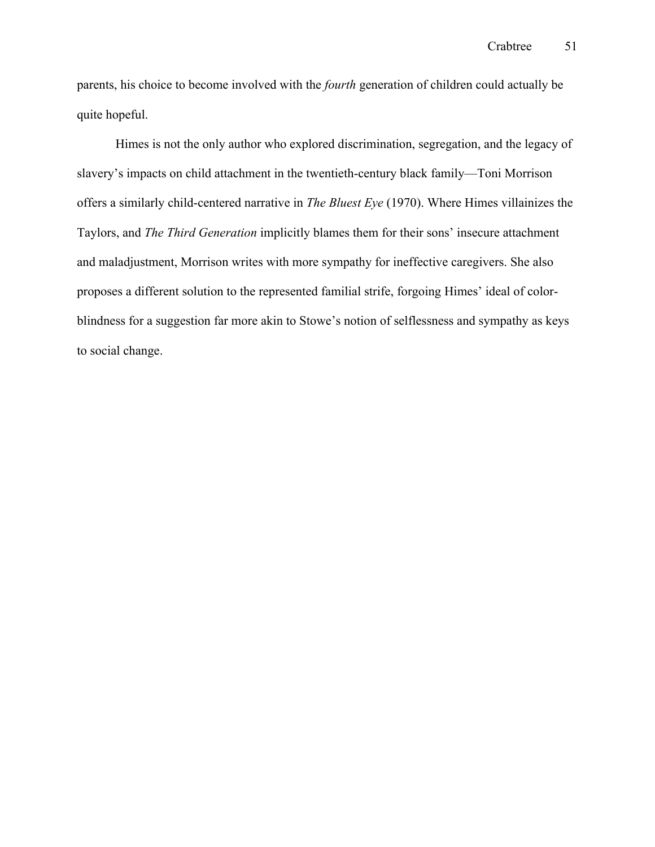parents, his choice to become involved with the *fourth* generation of children could actually be quite hopeful.

Himes is not the only author who explored discrimination, segregation, and the legacy of slavery's impacts on child attachment in the twentieth-century black family—Toni Morrison offers a similarly child-centered narrative in *The Bluest Eye* (1970). Where Himes villainizes the Taylors, and *The Third Generation* implicitly blames them for their sons' insecure attachment and maladjustment, Morrison writes with more sympathy for ineffective caregivers. She also proposes a different solution to the represented familial strife, forgoing Himes' ideal of colorblindness for a suggestion far more akin to Stowe's notion of selflessness and sympathy as keys to social change.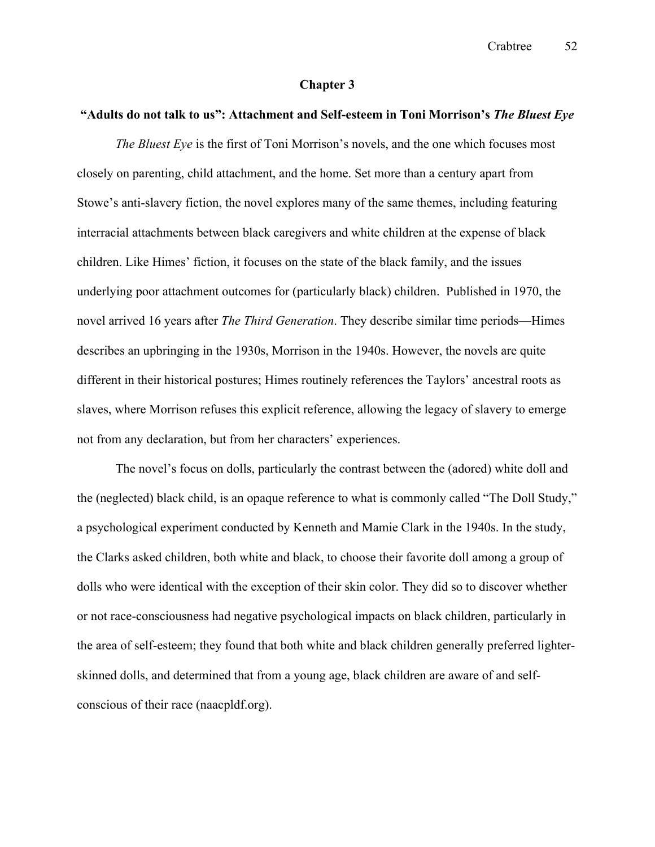## **Chapter 3**

# **"Adults do not talk to us": Attachment and Self-esteem in Toni Morrison's** *The Bluest Eye*

*The Bluest Eye* is the first of Toni Morrison's novels, and the one which focuses most closely on parenting, child attachment, and the home. Set more than a century apart from Stowe's anti-slavery fiction, the novel explores many of the same themes, including featuring interracial attachments between black caregivers and white children at the expense of black children. Like Himes' fiction, it focuses on the state of the black family, and the issues underlying poor attachment outcomes for (particularly black) children. Published in 1970, the novel arrived 16 years after *The Third Generation*. They describe similar time periods—Himes describes an upbringing in the 1930s, Morrison in the 1940s. However, the novels are quite different in their historical postures; Himes routinely references the Taylors' ancestral roots as slaves, where Morrison refuses this explicit reference, allowing the legacy of slavery to emerge not from any declaration, but from her characters' experiences.

The novel's focus on dolls, particularly the contrast between the (adored) white doll and the (neglected) black child, is an opaque reference to what is commonly called "The Doll Study," a psychological experiment conducted by Kenneth and Mamie Clark in the 1940s. In the study, the Clarks asked children, both white and black, to choose their favorite doll among a group of dolls who were identical with the exception of their skin color. They did so to discover whether or not race-consciousness had negative psychological impacts on black children, particularly in the area of self-esteem; they found that both white and black children generally preferred lighterskinned dolls, and determined that from a young age, black children are aware of and selfconscious of their race (naacpldf.org).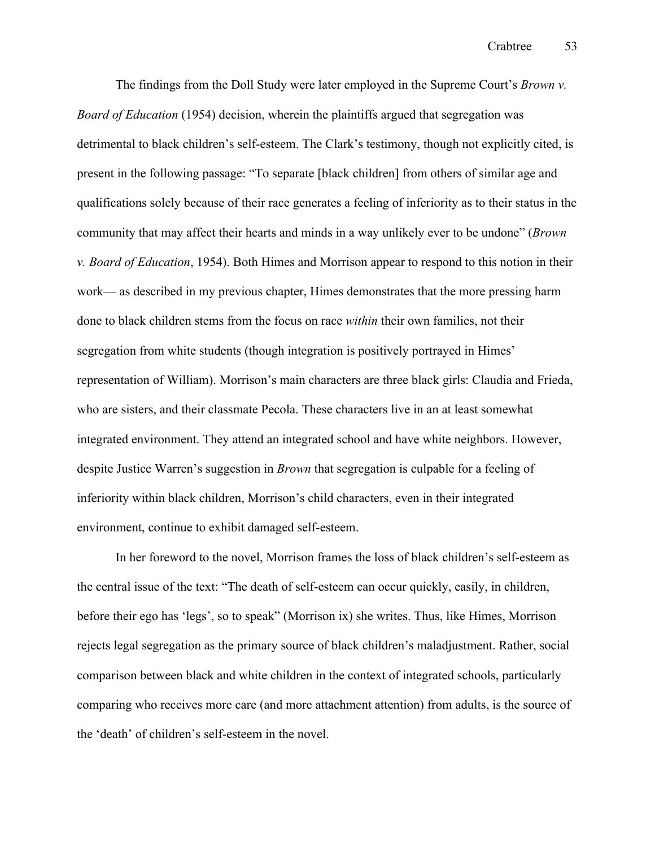The findings from the Doll Study were later employed in the Supreme Court's *Brown v. Board of Education* (1954) decision, wherein the plaintiffs argued that segregation was detrimental to black children's self-esteem. The Clark's testimony, though not explicitly cited, is present in the following passage: "To separate [black children] from others of similar age and qualifications solely because of their race generates a feeling of inferiority as to their status in the community that may affect their hearts and minds in a way unlikely ever to be undone" (*Brown v. Board of Education*, 1954). Both Himes and Morrison appear to respond to this notion in their work— as described in my previous chapter, Himes demonstrates that the more pressing harm done to black children stems from the focus on race *within* their own families, not their segregation from white students (though integration is positively portrayed in Himes' representation of William). Morrison's main characters are three black girls: Claudia and Frieda, who are sisters, and their classmate Pecola. These characters live in an at least somewhat integrated environment. They attend an integrated school and have white neighbors. However, despite Justice Warren's suggestion in *Brown* that segregation is culpable for a feeling of inferiority within black children, Morrison's child characters, even in their integrated environment, continue to exhibit damaged self-esteem.

In her foreword to the novel, Morrison frames the loss of black children's self-esteem as the central issue of the text: "The death of self-esteem can occur quickly, easily, in children, before their ego has 'legs', so to speak" (Morrison ix) she writes. Thus, like Himes, Morrison rejects legal segregation as the primary source of black children's maladjustment. Rather, social comparison between black and white children in the context of integrated schools, particularly comparing who receives more care (and more attachment attention) from adults, is the source of the 'death' of children's self-esteem in the novel.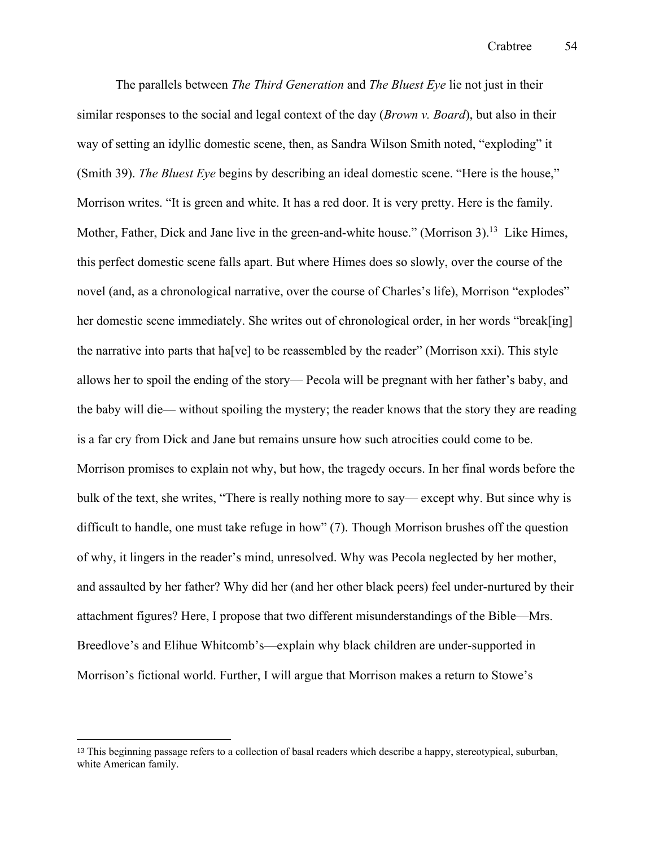The parallels between *The Third Generation* and *The Bluest Eye* lie not just in their similar responses to the social and legal context of the day (*Brown v. Board*), but also in their way of setting an idyllic domestic scene, then, as Sandra Wilson Smith noted, "exploding" it (Smith 39). *The Bluest Eye* begins by describing an ideal domestic scene. "Here is the house," Morrison writes. "It is green and white. It has a red door. It is very pretty. Here is the family. Mother, Father, Dick and Jane live in the green-and-white house." (Morrison 3).<sup>13</sup> Like Himes, this perfect domestic scene falls apart. But where Himes does so slowly, over the course of the novel (and, as a chronological narrative, over the course of Charles's life), Morrison "explodes" her domestic scene immediately. She writes out of chronological order, in her words "break[ing] the narrative into parts that ha[ve] to be reassembled by the reader" (Morrison xxi). This style allows her to spoil the ending of the story— Pecola will be pregnant with her father's baby, and the baby will die— without spoiling the mystery; the reader knows that the story they are reading is a far cry from Dick and Jane but remains unsure how such atrocities could come to be. Morrison promises to explain not why, but how, the tragedy occurs. In her final words before the bulk of the text, she writes, "There is really nothing more to say— except why. But since why is difficult to handle, one must take refuge in how" (7). Though Morrison brushes off the question of why, it lingers in the reader's mind, unresolved. Why was Pecola neglected by her mother, and assaulted by her father? Why did her (and her other black peers) feel under-nurtured by their attachment figures? Here, I propose that two different misunderstandings of the Bible—Mrs. Breedlove's and Elihue Whitcomb's—explain why black children are under-supported in Morrison's fictional world. Further, I will argue that Morrison makes a return to Stowe's

<sup>&</sup>lt;sup>13</sup> This beginning passage refers to a collection of basal readers which describe a happy, stereotypical, suburban, white American family.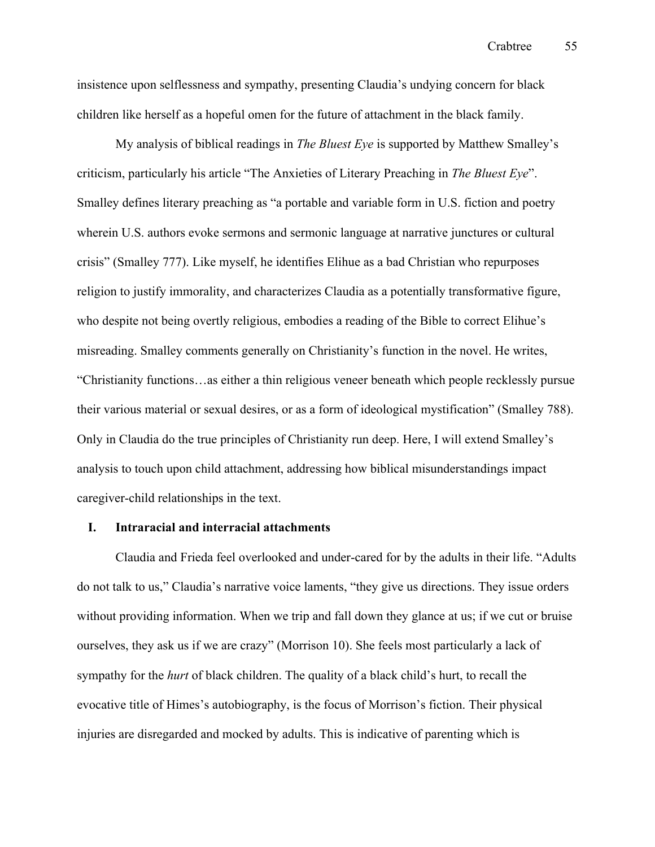Crabtree 55

insistence upon selflessness and sympathy, presenting Claudia's undying concern for black children like herself as a hopeful omen for the future of attachment in the black family.

My analysis of biblical readings in *The Bluest Eye* is supported by Matthew Smalley's criticism, particularly his article "The Anxieties of Literary Preaching in *The Bluest Eye*". Smalley defines literary preaching as "a portable and variable form in U.S. fiction and poetry wherein U.S. authors evoke sermons and sermonic language at narrative junctures or cultural crisis" (Smalley 777). Like myself, he identifies Elihue as a bad Christian who repurposes religion to justify immorality, and characterizes Claudia as a potentially transformative figure, who despite not being overtly religious, embodies a reading of the Bible to correct Elihue's misreading. Smalley comments generally on Christianity's function in the novel. He writes, "Christianity functions…as either a thin religious veneer beneath which people recklessly pursue their various material or sexual desires, or as a form of ideological mystification" (Smalley 788). Only in Claudia do the true principles of Christianity run deep. Here, I will extend Smalley's analysis to touch upon child attachment, addressing how biblical misunderstandings impact caregiver-child relationships in the text.

# **I. Intraracial and interracial attachments**

Claudia and Frieda feel overlooked and under-cared for by the adults in their life. "Adults do not talk to us," Claudia's narrative voice laments, "they give us directions. They issue orders without providing information. When we trip and fall down they glance at us; if we cut or bruise ourselves, they ask us if we are crazy" (Morrison 10). She feels most particularly a lack of sympathy for the *hurt* of black children. The quality of a black child's hurt, to recall the evocative title of Himes's autobiography, is the focus of Morrison's fiction. Their physical injuries are disregarded and mocked by adults. This is indicative of parenting which is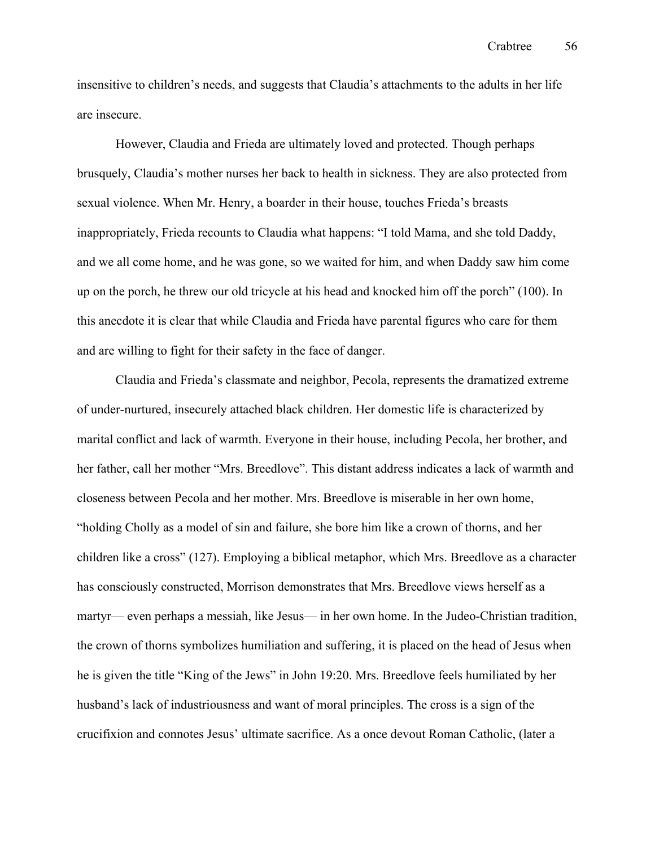insensitive to children's needs, and suggests that Claudia's attachments to the adults in her life are insecure.

However, Claudia and Frieda are ultimately loved and protected. Though perhaps brusquely, Claudia's mother nurses her back to health in sickness. They are also protected from sexual violence. When Mr. Henry, a boarder in their house, touches Frieda's breasts inappropriately, Frieda recounts to Claudia what happens: "I told Mama, and she told Daddy, and we all come home, and he was gone, so we waited for him, and when Daddy saw him come up on the porch, he threw our old tricycle at his head and knocked him off the porch" (100). In this anecdote it is clear that while Claudia and Frieda have parental figures who care for them and are willing to fight for their safety in the face of danger.

Claudia and Frieda's classmate and neighbor, Pecola, represents the dramatized extreme of under-nurtured, insecurely attached black children. Her domestic life is characterized by marital conflict and lack of warmth. Everyone in their house, including Pecola, her brother, and her father, call her mother "Mrs. Breedlove". This distant address indicates a lack of warmth and closeness between Pecola and her mother. Mrs. Breedlove is miserable in her own home, "holding Cholly as a model of sin and failure, she bore him like a crown of thorns, and her children like a cross" (127). Employing a biblical metaphor, which Mrs. Breedlove as a character has consciously constructed, Morrison demonstrates that Mrs. Breedlove views herself as a martyr— even perhaps a messiah, like Jesus— in her own home. In the Judeo-Christian tradition, the crown of thorns symbolizes humiliation and suffering, it is placed on the head of Jesus when he is given the title "King of the Jews" in John 19:20. Mrs. Breedlove feels humiliated by her husband's lack of industriousness and want of moral principles. The cross is a sign of the crucifixion and connotes Jesus' ultimate sacrifice. As a once devout Roman Catholic, (later a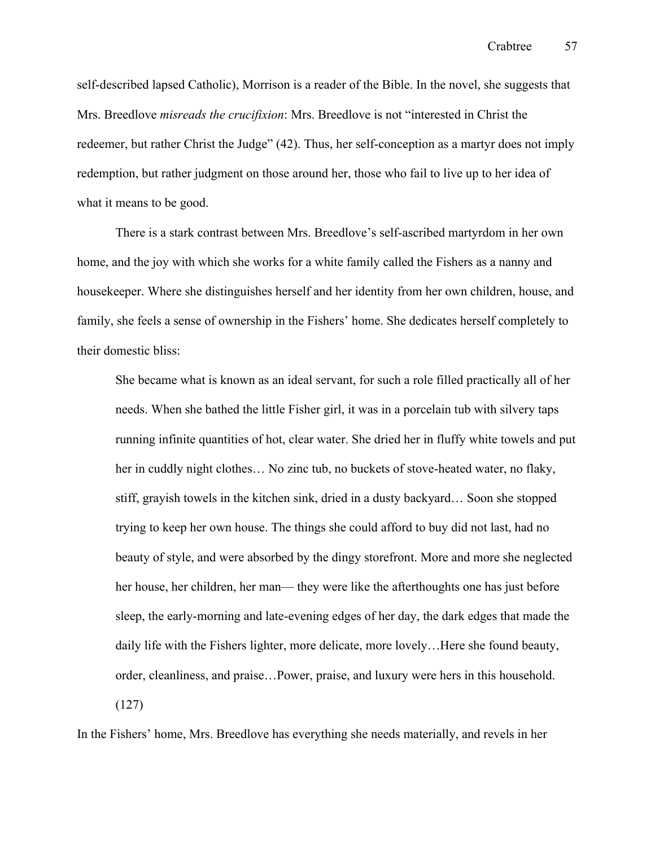self-described lapsed Catholic), Morrison is a reader of the Bible. In the novel, she suggests that Mrs. Breedlove *misreads the crucifixion*: Mrs. Breedlove is not "interested in Christ the redeemer, but rather Christ the Judge" (42). Thus, her self-conception as a martyr does not imply redemption, but rather judgment on those around her, those who fail to live up to her idea of what it means to be good.

There is a stark contrast between Mrs. Breedlove's self-ascribed martyrdom in her own home, and the joy with which she works for a white family called the Fishers as a nanny and housekeeper. Where she distinguishes herself and her identity from her own children, house, and family, she feels a sense of ownership in the Fishers' home. She dedicates herself completely to their domestic bliss:

She became what is known as an ideal servant, for such a role filled practically all of her needs. When she bathed the little Fisher girl, it was in a porcelain tub with silvery taps running infinite quantities of hot, clear water. She dried her in fluffy white towels and put her in cuddly night clothes… No zinc tub, no buckets of stove-heated water, no flaky, stiff, grayish towels in the kitchen sink, dried in a dusty backyard… Soon she stopped trying to keep her own house. The things she could afford to buy did not last, had no beauty of style, and were absorbed by the dingy storefront. More and more she neglected her house, her children, her man— they were like the afterthoughts one has just before sleep, the early-morning and late-evening edges of her day, the dark edges that made the daily life with the Fishers lighter, more delicate, more lovely…Here she found beauty, order, cleanliness, and praise…Power, praise, and luxury were hers in this household. (127)

In the Fishers' home, Mrs. Breedlove has everything she needs materially, and revels in her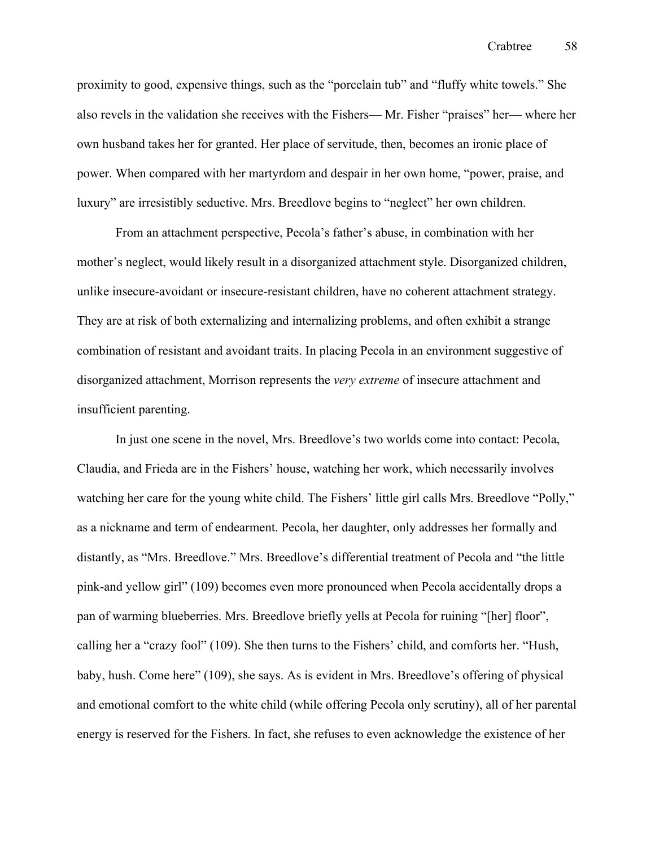proximity to good, expensive things, such as the "porcelain tub" and "fluffy white towels." She also revels in the validation she receives with the Fishers— Mr. Fisher "praises" her— where her own husband takes her for granted. Her place of servitude, then, becomes an ironic place of power. When compared with her martyrdom and despair in her own home, "power, praise, and luxury" are irresistibly seductive. Mrs. Breedlove begins to "neglect" her own children.

From an attachment perspective, Pecola's father's abuse, in combination with her mother's neglect, would likely result in a disorganized attachment style. Disorganized children, unlike insecure-avoidant or insecure-resistant children, have no coherent attachment strategy. They are at risk of both externalizing and internalizing problems, and often exhibit a strange combination of resistant and avoidant traits. In placing Pecola in an environment suggestive of disorganized attachment, Morrison represents the *very extreme* of insecure attachment and insufficient parenting.

In just one scene in the novel, Mrs. Breedlove's two worlds come into contact: Pecola, Claudia, and Frieda are in the Fishers' house, watching her work, which necessarily involves watching her care for the young white child. The Fishers' little girl calls Mrs. Breedlove "Polly," as a nickname and term of endearment. Pecola, her daughter, only addresses her formally and distantly, as "Mrs. Breedlove." Mrs. Breedlove's differential treatment of Pecola and "the little pink-and yellow girl" (109) becomes even more pronounced when Pecola accidentally drops a pan of warming blueberries. Mrs. Breedlove briefly yells at Pecola for ruining "[her] floor", calling her a "crazy fool" (109). She then turns to the Fishers' child, and comforts her. "Hush, baby, hush. Come here" (109), she says. As is evident in Mrs. Breedlove's offering of physical and emotional comfort to the white child (while offering Pecola only scrutiny), all of her parental energy is reserved for the Fishers. In fact, she refuses to even acknowledge the existence of her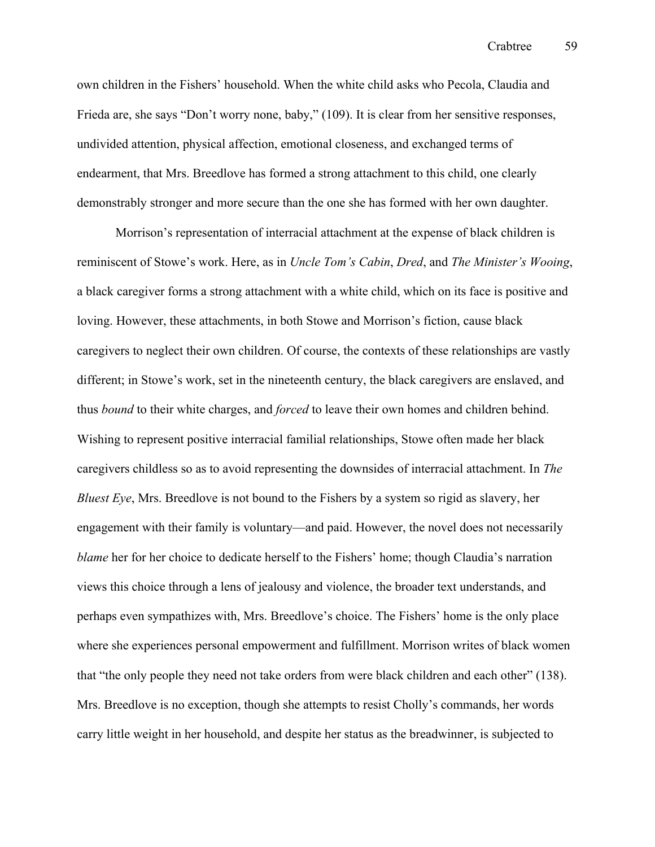own children in the Fishers' household. When the white child asks who Pecola, Claudia and Frieda are, she says "Don't worry none, baby," (109). It is clear from her sensitive responses, undivided attention, physical affection, emotional closeness, and exchanged terms of endearment, that Mrs. Breedlove has formed a strong attachment to this child, one clearly demonstrably stronger and more secure than the one she has formed with her own daughter.

Morrison's representation of interracial attachment at the expense of black children is reminiscent of Stowe's work. Here, as in *Uncle Tom's Cabin*, *Dred*, and *The Minister's Wooing*, a black caregiver forms a strong attachment with a white child, which on its face is positive and loving. However, these attachments, in both Stowe and Morrison's fiction, cause black caregivers to neglect their own children. Of course, the contexts of these relationships are vastly different; in Stowe's work, set in the nineteenth century, the black caregivers are enslaved, and thus *bound* to their white charges, and *forced* to leave their own homes and children behind. Wishing to represent positive interracial familial relationships, Stowe often made her black caregivers childless so as to avoid representing the downsides of interracial attachment. In *The Bluest Eye*, Mrs. Breedlove is not bound to the Fishers by a system so rigid as slavery, her engagement with their family is voluntary—and paid. However, the novel does not necessarily *blame* her for her choice to dedicate herself to the Fishers' home; though Claudia's narration views this choice through a lens of jealousy and violence, the broader text understands, and perhaps even sympathizes with, Mrs. Breedlove's choice. The Fishers' home is the only place where she experiences personal empowerment and fulfillment. Morrison writes of black women that "the only people they need not take orders from were black children and each other" (138). Mrs. Breedlove is no exception, though she attempts to resist Cholly's commands, her words carry little weight in her household, and despite her status as the breadwinner, is subjected to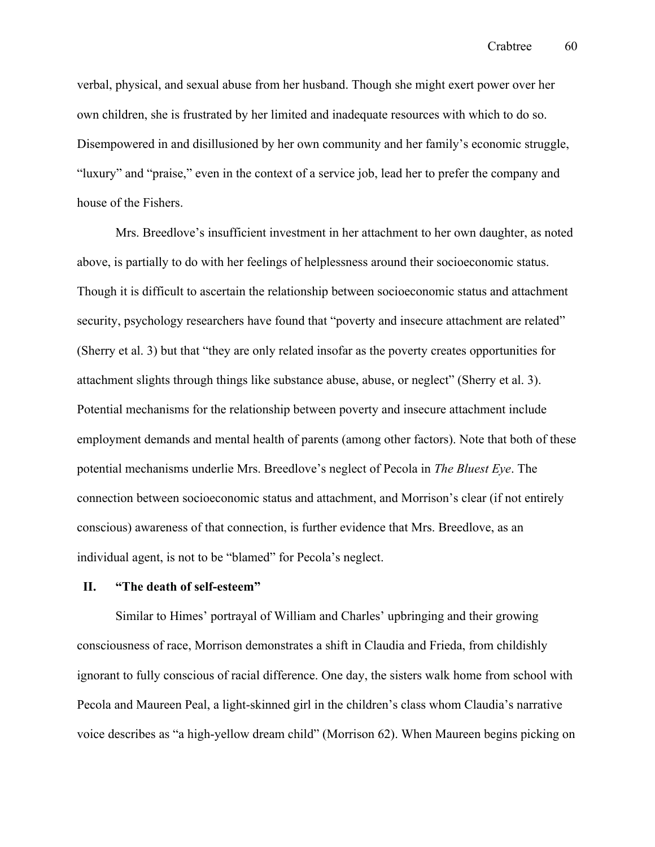Crabtree 60

verbal, physical, and sexual abuse from her husband. Though she might exert power over her own children, she is frustrated by her limited and inadequate resources with which to do so. Disempowered in and disillusioned by her own community and her family's economic struggle, "luxury" and "praise," even in the context of a service job, lead her to prefer the company and house of the Fishers.

Mrs. Breedlove's insufficient investment in her attachment to her own daughter, as noted above, is partially to do with her feelings of helplessness around their socioeconomic status. Though it is difficult to ascertain the relationship between socioeconomic status and attachment security, psychology researchers have found that "poverty and insecure attachment are related" (Sherry et al. 3) but that "they are only related insofar as the poverty creates opportunities for attachment slights through things like substance abuse, abuse, or neglect" (Sherry et al. 3). Potential mechanisms for the relationship between poverty and insecure attachment include employment demands and mental health of parents (among other factors). Note that both of these potential mechanisms underlie Mrs. Breedlove's neglect of Pecola in *The Bluest Eye*. The connection between socioeconomic status and attachment, and Morrison's clear (if not entirely conscious) awareness of that connection, is further evidence that Mrs. Breedlove, as an individual agent, is not to be "blamed" for Pecola's neglect.

# **II. "The death of self-esteem"**

Similar to Himes' portrayal of William and Charles' upbringing and their growing consciousness of race, Morrison demonstrates a shift in Claudia and Frieda, from childishly ignorant to fully conscious of racial difference. One day, the sisters walk home from school with Pecola and Maureen Peal, a light-skinned girl in the children's class whom Claudia's narrative voice describes as "a high-yellow dream child" (Morrison 62). When Maureen begins picking on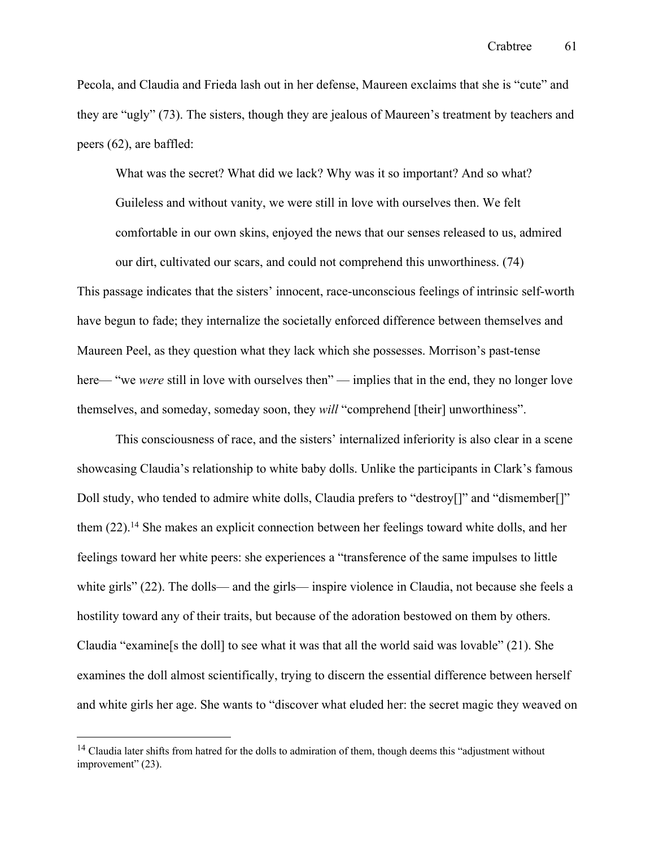Pecola, and Claudia and Frieda lash out in her defense, Maureen exclaims that she is "cute" and they are "ugly" (73). The sisters, though they are jealous of Maureen's treatment by teachers and peers (62), are baffled:

What was the secret? What did we lack? Why was it so important? And so what? Guileless and without vanity, we were still in love with ourselves then. We felt comfortable in our own skins, enjoyed the news that our senses released to us, admired our dirt, cultivated our scars, and could not comprehend this unworthiness. (74)

This passage indicates that the sisters' innocent, race-unconscious feelings of intrinsic self-worth have begun to fade; they internalize the societally enforced difference between themselves and Maureen Peel, as they question what they lack which she possesses. Morrison's past-tense here— "we *were* still in love with ourselves then" — implies that in the end, they no longer love themselves, and someday, someday soon, they *will* "comprehend [their] unworthiness".

This consciousness of race, and the sisters' internalized inferiority is also clear in a scene showcasing Claudia's relationship to white baby dolls. Unlike the participants in Clark's famous Doll study, who tended to admire white dolls, Claudia prefers to "destroy<sup>[]"</sup> and "dismember<sup>[1]"</sup> them (22).<sup>14</sup> She makes an explicit connection between her feelings toward white dolls, and her feelings toward her white peers: she experiences a "transference of the same impulses to little white girls" (22). The dolls— and the girls— inspire violence in Claudia, not because she feels a hostility toward any of their traits, but because of the adoration bestowed on them by others. Claudia "examine[s the doll] to see what it was that all the world said was lovable" (21). She examines the doll almost scientifically, trying to discern the essential difference between herself and white girls her age. She wants to "discover what eluded her: the secret magic they weaved on

<sup>&</sup>lt;sup>14</sup> Claudia later shifts from hatred for the dolls to admiration of them, though deems this "adjustment without improvement" (23).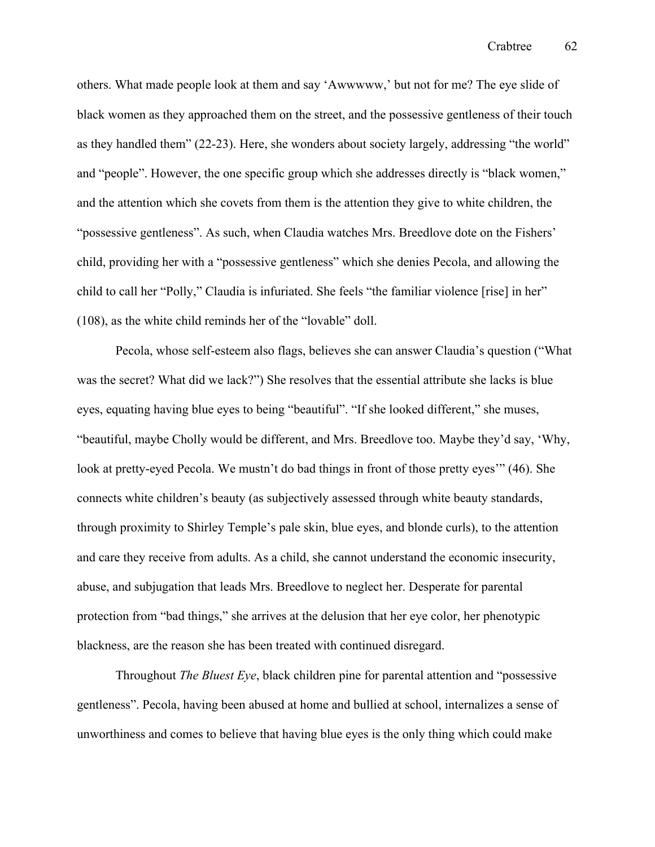others. What made people look at them and say 'Awwwww,' but not for me? The eye slide of black women as they approached them on the street, and the possessive gentleness of their touch as they handled them" (22-23). Here, she wonders about society largely, addressing "the world" and "people". However, the one specific group which she addresses directly is "black women," and the attention which she covets from them is the attention they give to white children, the "possessive gentleness". As such, when Claudia watches Mrs. Breedlove dote on the Fishers' child, providing her with a "possessive gentleness" which she denies Pecola, and allowing the child to call her "Polly," Claudia is infuriated. She feels "the familiar violence [rise] in her" (108), as the white child reminds her of the "lovable" doll.

Pecola, whose self-esteem also flags, believes she can answer Claudia's question ("What was the secret? What did we lack?") She resolves that the essential attribute she lacks is blue eyes, equating having blue eyes to being "beautiful". "If she looked different," she muses, "beautiful, maybe Cholly would be different, and Mrs. Breedlove too. Maybe they'd say, 'Why, look at pretty-eyed Pecola. We mustn't do bad things in front of those pretty eyes'" (46). She connects white children's beauty (as subjectively assessed through white beauty standards, through proximity to Shirley Temple's pale skin, blue eyes, and blonde curls), to the attention and care they receive from adults. As a child, she cannot understand the economic insecurity, abuse, and subjugation that leads Mrs. Breedlove to neglect her. Desperate for parental protection from "bad things," she arrives at the delusion that her eye color, her phenotypic blackness, are the reason she has been treated with continued disregard.

Throughout *The Bluest Eye*, black children pine for parental attention and "possessive gentleness". Pecola, having been abused at home and bullied at school, internalizes a sense of unworthiness and comes to believe that having blue eyes is the only thing which could make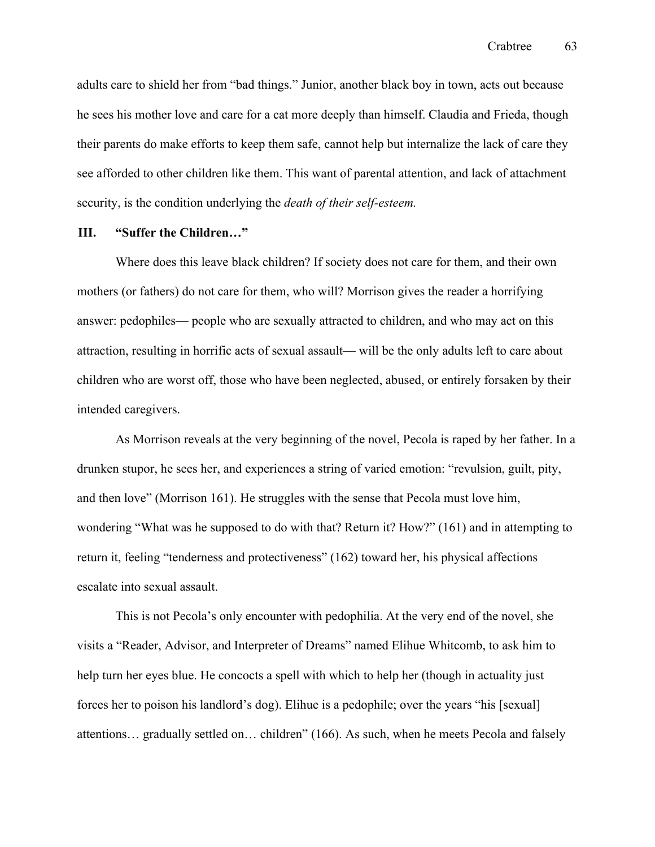adults care to shield her from "bad things." Junior, another black boy in town, acts out because he sees his mother love and care for a cat more deeply than himself. Claudia and Frieda, though their parents do make efforts to keep them safe, cannot help but internalize the lack of care they see afforded to other children like them. This want of parental attention, and lack of attachment security, is the condition underlying the *death of their self-esteem.*

# **III. "Suffer the Children…"**

Where does this leave black children? If society does not care for them, and their own mothers (or fathers) do not care for them, who will? Morrison gives the reader a horrifying answer: pedophiles— people who are sexually attracted to children, and who may act on this attraction, resulting in horrific acts of sexual assault— will be the only adults left to care about children who are worst off, those who have been neglected, abused, or entirely forsaken by their intended caregivers.

As Morrison reveals at the very beginning of the novel, Pecola is raped by her father. In a drunken stupor, he sees her, and experiences a string of varied emotion: "revulsion, guilt, pity, and then love" (Morrison 161). He struggles with the sense that Pecola must love him, wondering "What was he supposed to do with that? Return it? How?" (161) and in attempting to return it, feeling "tenderness and protectiveness" (162) toward her, his physical affections escalate into sexual assault.

This is not Pecola's only encounter with pedophilia. At the very end of the novel, she visits a "Reader, Advisor, and Interpreter of Dreams" named Elihue Whitcomb, to ask him to help turn her eyes blue. He concocts a spell with which to help her (though in actuality just forces her to poison his landlord's dog). Elihue is a pedophile; over the years "his [sexual] attentions… gradually settled on… children" (166). As such, when he meets Pecola and falsely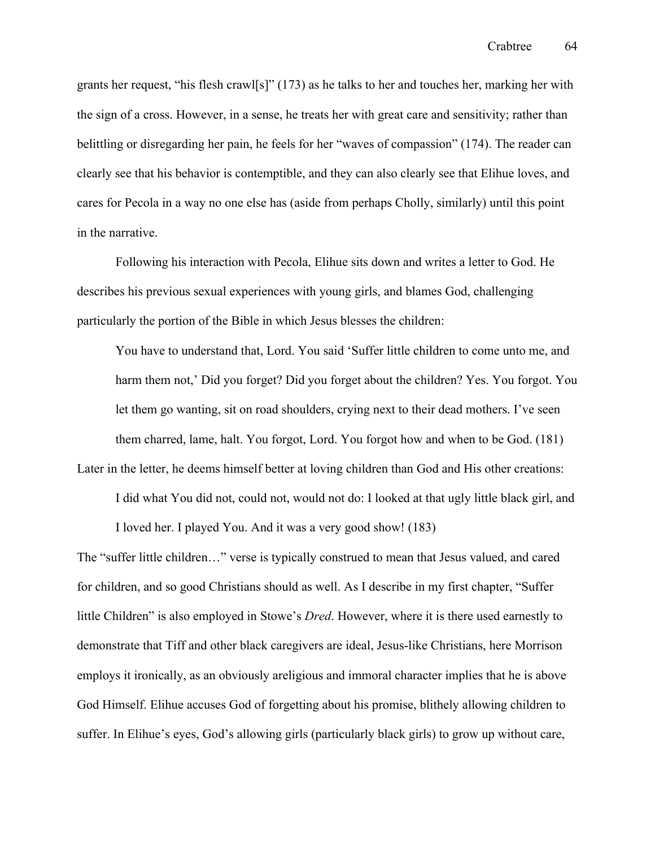grants her request, "his flesh crawl[s]" (173) as he talks to her and touches her, marking her with the sign of a cross. However, in a sense, he treats her with great care and sensitivity; rather than belittling or disregarding her pain, he feels for her "waves of compassion" (174). The reader can clearly see that his behavior is contemptible, and they can also clearly see that Elihue loves, and cares for Pecola in a way no one else has (aside from perhaps Cholly, similarly) until this point in the narrative.

 Following his interaction with Pecola, Elihue sits down and writes a letter to God. He describes his previous sexual experiences with young girls, and blames God, challenging particularly the portion of the Bible in which Jesus blesses the children:

You have to understand that, Lord. You said 'Suffer little children to come unto me, and harm them not,' Did you forget? Did you forget about the children? Yes. You forgot. You let them go wanting, sit on road shoulders, crying next to their dead mothers. I've seen them charred, lame, halt. You forgot, Lord. You forgot how and when to be God. (181) Later in the letter, he deems himself better at loving children than God and His other creations:

I did what You did not, could not, would not do: I looked at that ugly little black girl, and I loved her. I played You. And it was a very good show! (183)

The "suffer little children…" verse is typically construed to mean that Jesus valued, and cared for children, and so good Christians should as well. As I describe in my first chapter, "Suffer little Children" is also employed in Stowe's *Dred*. However, where it is there used earnestly to demonstrate that Tiff and other black caregivers are ideal, Jesus-like Christians, here Morrison employs it ironically, as an obviously areligious and immoral character implies that he is above God Himself. Elihue accuses God of forgetting about his promise, blithely allowing children to suffer. In Elihue's eyes, God's allowing girls (particularly black girls) to grow up without care,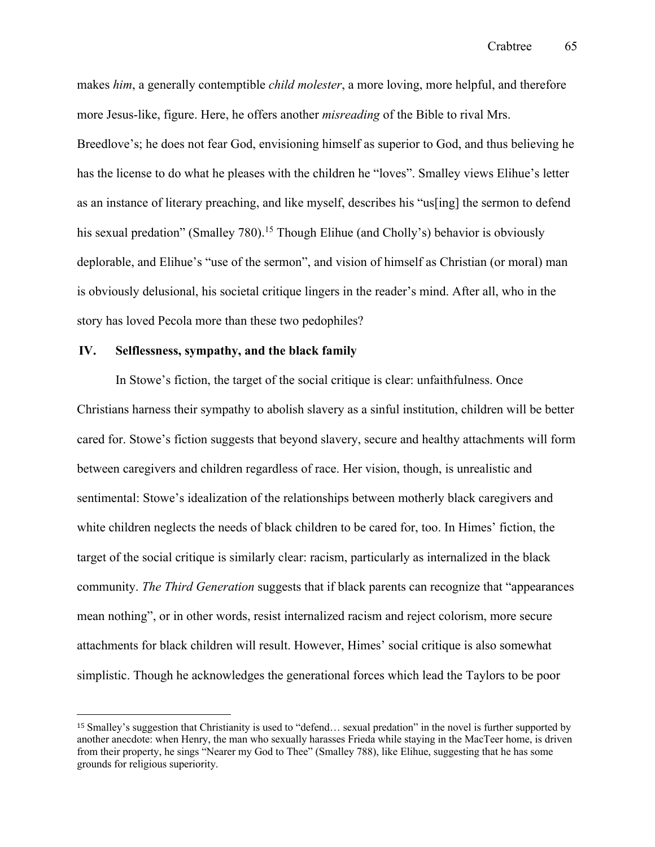makes *him*, a generally contemptible *child molester*, a more loving, more helpful, and therefore more Jesus-like, figure. Here, he offers another *misreading* of the Bible to rival Mrs. Breedlove's; he does not fear God, envisioning himself as superior to God, and thus believing he has the license to do what he pleases with the children he "loves". Smalley views Elihue's letter as an instance of literary preaching, and like myself, describes his "us[ing] the sermon to defend his sexual predation" (Smalley 780).<sup>15</sup> Though Elihue (and Cholly's) behavior is obviously deplorable, and Elihue's "use of the sermon", and vision of himself as Christian (or moral) man is obviously delusional, his societal critique lingers in the reader's mind. After all, who in the story has loved Pecola more than these two pedophiles?

## **IV. Selflessness, sympathy, and the black family**

In Stowe's fiction, the target of the social critique is clear: unfaithfulness. Once Christians harness their sympathy to abolish slavery as a sinful institution, children will be better cared for. Stowe's fiction suggests that beyond slavery, secure and healthy attachments will form between caregivers and children regardless of race. Her vision, though, is unrealistic and sentimental: Stowe's idealization of the relationships between motherly black caregivers and white children neglects the needs of black children to be cared for, too. In Himes' fiction, the target of the social critique is similarly clear: racism, particularly as internalized in the black community. *The Third Generation* suggests that if black parents can recognize that "appearances mean nothing", or in other words, resist internalized racism and reject colorism, more secure attachments for black children will result. However, Himes' social critique is also somewhat simplistic. Though he acknowledges the generational forces which lead the Taylors to be poor

<sup>15</sup> Smalley's suggestion that Christianity is used to "defend… sexual predation" in the novel is further supported by another anecdote: when Henry, the man who sexually harasses Frieda while staying in the MacTeer home, is driven from their property, he sings "Nearer my God to Thee" (Smalley 788), like Elihue, suggesting that he has some grounds for religious superiority.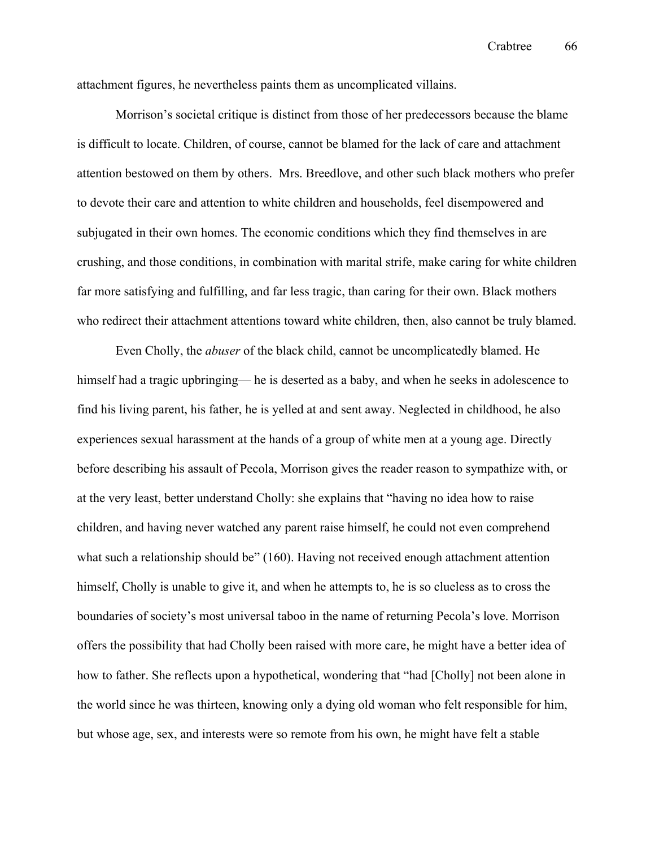attachment figures, he nevertheless paints them as uncomplicated villains.

Morrison's societal critique is distinct from those of her predecessors because the blame is difficult to locate. Children, of course, cannot be blamed for the lack of care and attachment attention bestowed on them by others. Mrs. Breedlove, and other such black mothers who prefer to devote their care and attention to white children and households, feel disempowered and subjugated in their own homes. The economic conditions which they find themselves in are crushing, and those conditions, in combination with marital strife, make caring for white children far more satisfying and fulfilling, and far less tragic, than caring for their own. Black mothers who redirect their attachment attentions toward white children, then, also cannot be truly blamed.

Even Cholly, the *abuser* of the black child, cannot be uncomplicatedly blamed. He himself had a tragic upbringing— he is deserted as a baby, and when he seeks in adolescence to find his living parent, his father, he is yelled at and sent away. Neglected in childhood, he also experiences sexual harassment at the hands of a group of white men at a young age. Directly before describing his assault of Pecola, Morrison gives the reader reason to sympathize with, or at the very least, better understand Cholly: she explains that "having no idea how to raise children, and having never watched any parent raise himself, he could not even comprehend what such a relationship should be" (160). Having not received enough attachment attention himself, Cholly is unable to give it, and when he attempts to, he is so clueless as to cross the boundaries of society's most universal taboo in the name of returning Pecola's love. Morrison offers the possibility that had Cholly been raised with more care, he might have a better idea of how to father. She reflects upon a hypothetical, wondering that "had [Cholly] not been alone in the world since he was thirteen, knowing only a dying old woman who felt responsible for him, but whose age, sex, and interests were so remote from his own, he might have felt a stable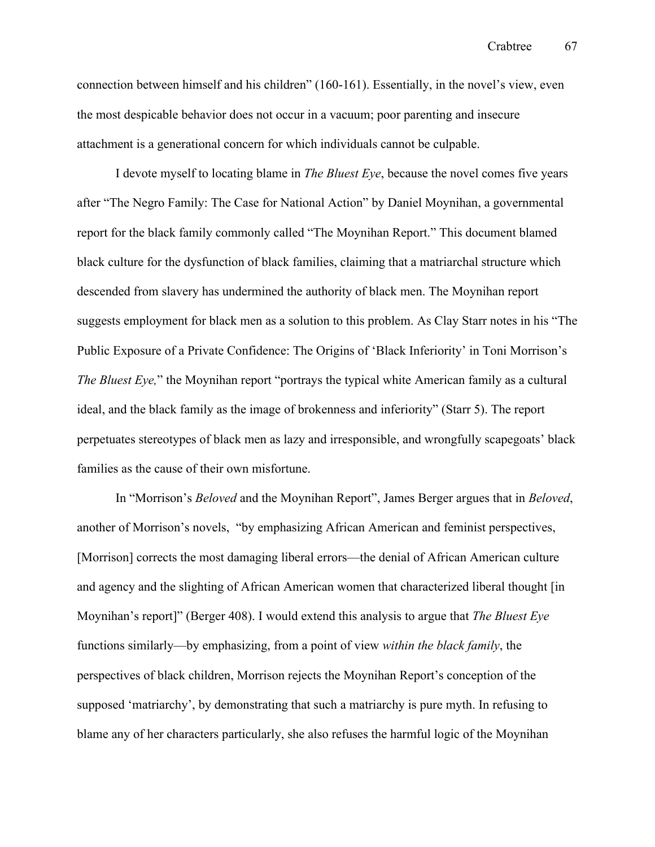connection between himself and his children" (160-161). Essentially, in the novel's view, even the most despicable behavior does not occur in a vacuum; poor parenting and insecure attachment is a generational concern for which individuals cannot be culpable.

I devote myself to locating blame in *The Bluest Eye*, because the novel comes five years after "The Negro Family: The Case for National Action" by Daniel Moynihan, a governmental report for the black family commonly called "The Moynihan Report." This document blamed black culture for the dysfunction of black families, claiming that a matriarchal structure which descended from slavery has undermined the authority of black men. The Moynihan report suggests employment for black men as a solution to this problem. As Clay Starr notes in his "The Public Exposure of a Private Confidence: The Origins of 'Black Inferiority' in Toni Morrison's *The Bluest Eye,*" the Moynihan report "portrays the typical white American family as a cultural ideal, and the black family as the image of brokenness and inferiority" (Starr 5). The report perpetuates stereotypes of black men as lazy and irresponsible, and wrongfully scapegoats' black families as the cause of their own misfortune.

In "Morrison's *Beloved* and the Moynihan Report", James Berger argues that in *Beloved*, another of Morrison's novels, "by emphasizing African American and feminist perspectives, [Morrison] corrects the most damaging liberal errors—the denial of African American culture and agency and the slighting of African American women that characterized liberal thought [in Moynihan's report]" (Berger 408). I would extend this analysis to argue that *The Bluest Eye* functions similarly—by emphasizing, from a point of view *within the black family*, the perspectives of black children, Morrison rejects the Moynihan Report's conception of the supposed 'matriarchy', by demonstrating that such a matriarchy is pure myth. In refusing to blame any of her characters particularly, she also refuses the harmful logic of the Moynihan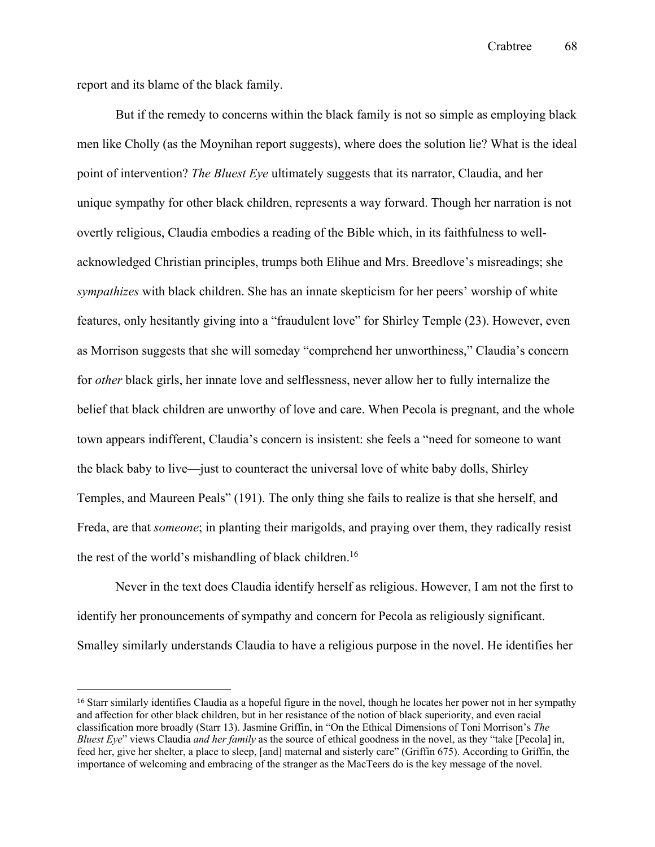report and its blame of the black family.

But if the remedy to concerns within the black family is not so simple as employing black men like Cholly (as the Moynihan report suggests), where does the solution lie? What is the ideal point of intervention? *The Bluest Eye* ultimately suggests that its narrator, Claudia, and her unique sympathy for other black children, represents a way forward. Though her narration is not overtly religious, Claudia embodies a reading of the Bible which, in its faithfulness to wellacknowledged Christian principles, trumps both Elihue and Mrs. Breedlove's misreadings; she *sympathizes* with black children. She has an innate skepticism for her peers' worship of white features, only hesitantly giving into a "fraudulent love" for Shirley Temple (23). However, even as Morrison suggests that she will someday "comprehend her unworthiness," Claudia's concern for *other* black girls, her innate love and selflessness, never allow her to fully internalize the belief that black children are unworthy of love and care. When Pecola is pregnant, and the whole town appears indifferent, Claudia's concern is insistent: she feels a "need for someone to want the black baby to live—just to counteract the universal love of white baby dolls, Shirley Temples, and Maureen Peals" (191). The only thing she fails to realize is that she herself, and Freda, are that *someone*; in planting their marigolds, and praying over them, they radically resist the rest of the world's mishandling of black children.<sup>16</sup>

Never in the text does Claudia identify herself as religious. However, I am not the first to identify her pronouncements of sympathy and concern for Pecola as religiously significant. Smalley similarly understands Claudia to have a religious purpose in the novel. He identifies her

<sup>16</sup> Starr similarly identifies Claudia as a hopeful figure in the novel, though he locates her power not in her sympathy and affection for other black children, but in her resistance of the notion of black superiority, and even racial classification more broadly (Starr 13). Jasmine Griffin, in "On the Ethical Dimensions of Toni Morrison's *The Bluest Eye*" views Claudia *and her family* as the source of ethical goodness in the novel, as they "take [Pecola] in, feed her, give her shelter, a place to sleep, [and] maternal and sisterly care" (Griffin 675). According to Griffin, the importance of welcoming and embracing of the stranger as the MacTeers do is the key message of the novel.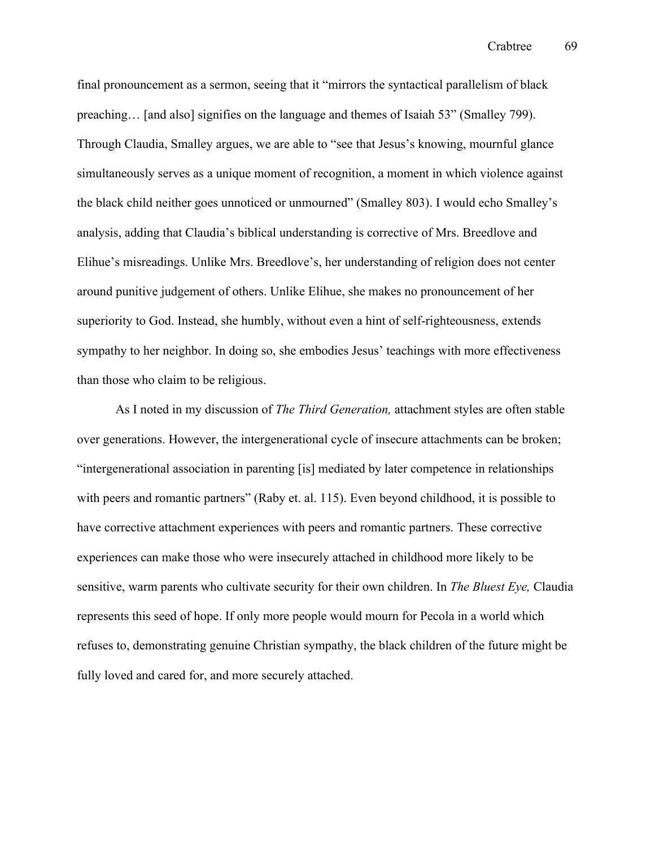final pronouncement as a sermon, seeing that it "mirrors the syntactical parallelism of black preaching… [and also] signifies on the language and themes of Isaiah 53" (Smalley 799). Through Claudia, Smalley argues, we are able to "see that Jesus's knowing, mournful glance simultaneously serves as a unique moment of recognition, a moment in which violence against the black child neither goes unnoticed or unmourned" (Smalley 803). I would echo Smalley's analysis, adding that Claudia's biblical understanding is corrective of Mrs. Breedlove and Elihue's misreadings. Unlike Mrs. Breedlove's, her understanding of religion does not center around punitive judgement of others. Unlike Elihue, she makes no pronouncement of her superiority to God. Instead, she humbly, without even a hint of self-righteousness, extends sympathy to her neighbor. In doing so, she embodies Jesus' teachings with more effectiveness than those who claim to be religious.

As I noted in my discussion of *The Third Generation,* attachment styles are often stable over generations. However, the intergenerational cycle of insecure attachments can be broken; "intergenerational association in parenting [is] mediated by later competence in relationships with peers and romantic partners" (Raby et. al. 115). Even beyond childhood, it is possible to have corrective attachment experiences with peers and romantic partners. These corrective experiences can make those who were insecurely attached in childhood more likely to be sensitive, warm parents who cultivate security for their own children. In *The Bluest Eye,* Claudia represents this seed of hope. If only more people would mourn for Pecola in a world which refuses to, demonstrating genuine Christian sympathy, the black children of the future might be fully loved and cared for, and more securely attached.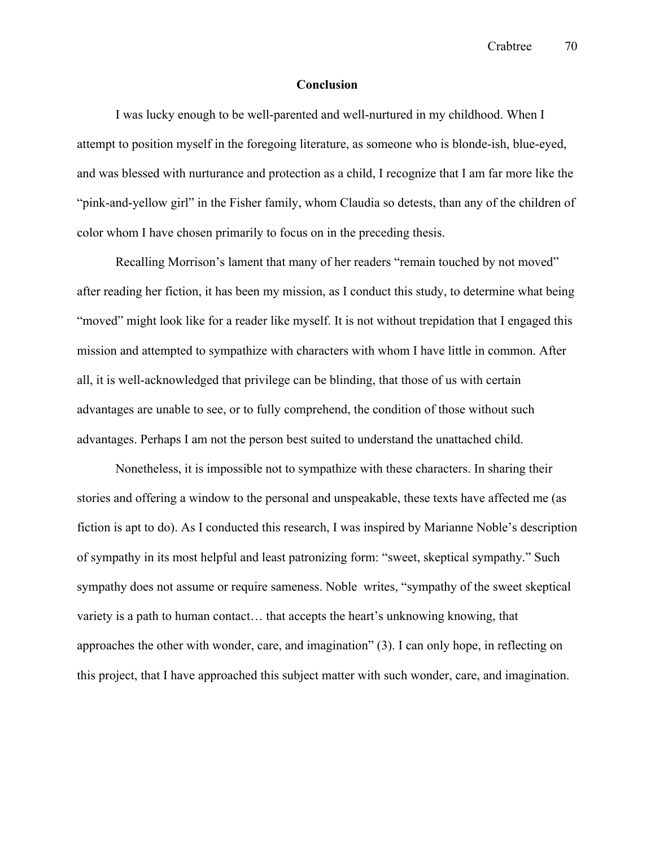Crabtree 70

# **Conclusion**

I was lucky enough to be well-parented and well-nurtured in my childhood. When I attempt to position myself in the foregoing literature, as someone who is blonde-ish, blue-eyed, and was blessed with nurturance and protection as a child, I recognize that I am far more like the "pink-and-yellow girl" in the Fisher family, whom Claudia so detests, than any of the children of color whom I have chosen primarily to focus on in the preceding thesis.

Recalling Morrison's lament that many of her readers "remain touched by not moved" after reading her fiction, it has been my mission, as I conduct this study, to determine what being "moved" might look like for a reader like myself. It is not without trepidation that I engaged this mission and attempted to sympathize with characters with whom I have little in common. After all, it is well-acknowledged that privilege can be blinding, that those of us with certain advantages are unable to see, or to fully comprehend, the condition of those without such advantages. Perhaps I am not the person best suited to understand the unattached child.

Nonetheless, it is impossible not to sympathize with these characters. In sharing their stories and offering a window to the personal and unspeakable, these texts have affected me (as fiction is apt to do). As I conducted this research, I was inspired by Marianne Noble's description of sympathy in its most helpful and least patronizing form: "sweet, skeptical sympathy." Such sympathy does not assume or require sameness. Noble writes, "sympathy of the sweet skeptical variety is a path to human contact… that accepts the heart's unknowing knowing, that approaches the other with wonder, care, and imagination" (3). I can only hope, in reflecting on this project, that I have approached this subject matter with such wonder, care, and imagination.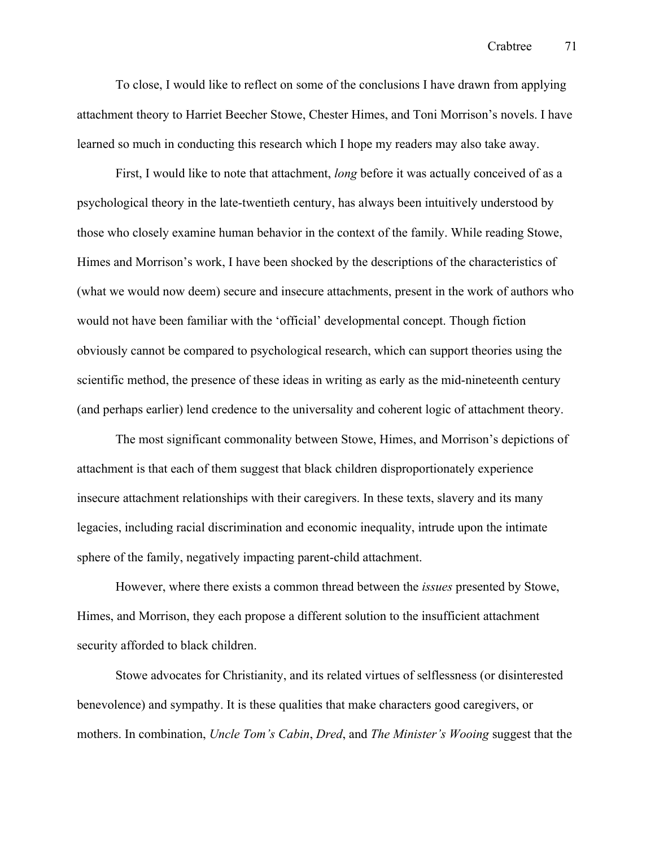To close, I would like to reflect on some of the conclusions I have drawn from applying attachment theory to Harriet Beecher Stowe, Chester Himes, and Toni Morrison's novels. I have learned so much in conducting this research which I hope my readers may also take away.

First, I would like to note that attachment, *long* before it was actually conceived of as a psychological theory in the late-twentieth century, has always been intuitively understood by those who closely examine human behavior in the context of the family. While reading Stowe, Himes and Morrison's work, I have been shocked by the descriptions of the characteristics of (what we would now deem) secure and insecure attachments, present in the work of authors who would not have been familiar with the 'official' developmental concept. Though fiction obviously cannot be compared to psychological research, which can support theories using the scientific method, the presence of these ideas in writing as early as the mid-nineteenth century (and perhaps earlier) lend credence to the universality and coherent logic of attachment theory.

The most significant commonality between Stowe, Himes, and Morrison's depictions of attachment is that each of them suggest that black children disproportionately experience insecure attachment relationships with their caregivers. In these texts, slavery and its many legacies, including racial discrimination and economic inequality, intrude upon the intimate sphere of the family, negatively impacting parent-child attachment.

However, where there exists a common thread between the *issues* presented by Stowe, Himes, and Morrison, they each propose a different solution to the insufficient attachment security afforded to black children.

Stowe advocates for Christianity, and its related virtues of selflessness (or disinterested benevolence) and sympathy. It is these qualities that make characters good caregivers, or mothers. In combination, *Uncle Tom's Cabin*, *Dred*, and *The Minister's Wooing* suggest that the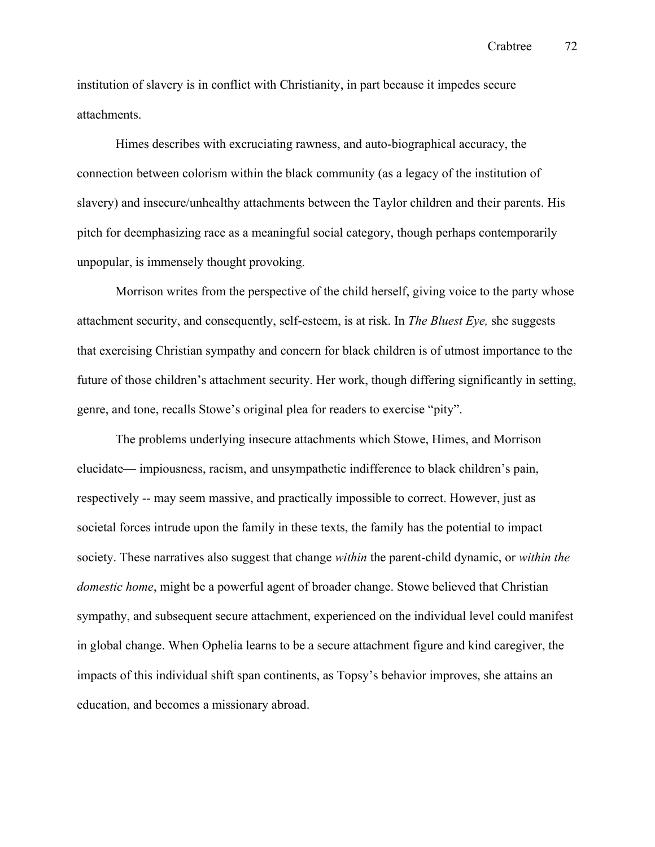institution of slavery is in conflict with Christianity, in part because it impedes secure attachments.

Himes describes with excruciating rawness, and auto-biographical accuracy, the connection between colorism within the black community (as a legacy of the institution of slavery) and insecure/unhealthy attachments between the Taylor children and their parents. His pitch for deemphasizing race as a meaningful social category, though perhaps contemporarily unpopular, is immensely thought provoking.

Morrison writes from the perspective of the child herself, giving voice to the party whose attachment security, and consequently, self-esteem, is at risk. In *The Bluest Eye,* she suggests that exercising Christian sympathy and concern for black children is of utmost importance to the future of those children's attachment security. Her work, though differing significantly in setting, genre, and tone, recalls Stowe's original plea for readers to exercise "pity".

The problems underlying insecure attachments which Stowe, Himes, and Morrison elucidate— impiousness, racism, and unsympathetic indifference to black children's pain, respectively -- may seem massive, and practically impossible to correct. However, just as societal forces intrude upon the family in these texts, the family has the potential to impact society. These narratives also suggest that change *within* the parent-child dynamic, or *within the domestic home*, might be a powerful agent of broader change. Stowe believed that Christian sympathy, and subsequent secure attachment, experienced on the individual level could manifest in global change. When Ophelia learns to be a secure attachment figure and kind caregiver, the impacts of this individual shift span continents, as Topsy's behavior improves, she attains an education, and becomes a missionary abroad.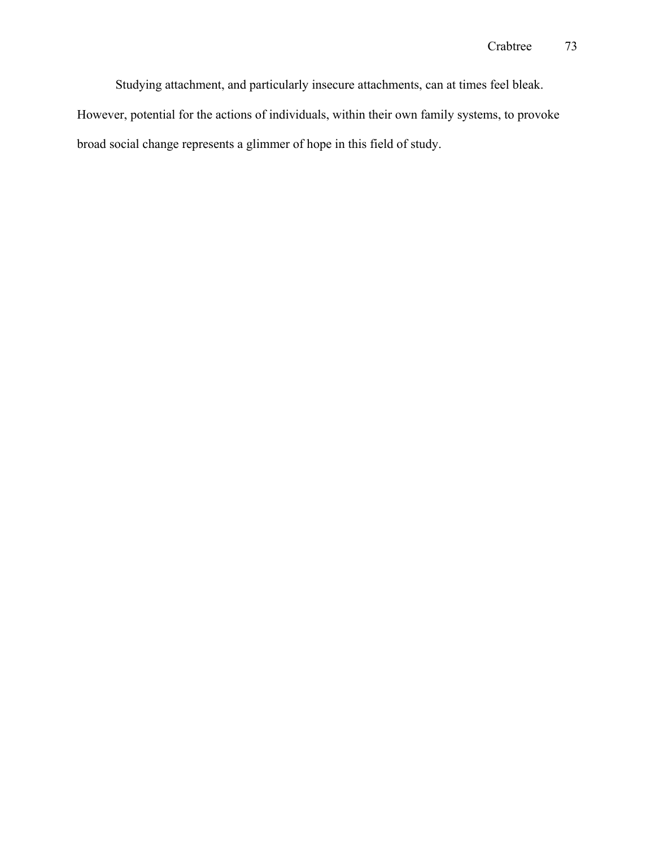Studying attachment, and particularly insecure attachments, can at times feel bleak.

However, potential for the actions of individuals, within their own family systems, to provoke broad social change represents a glimmer of hope in this field of study.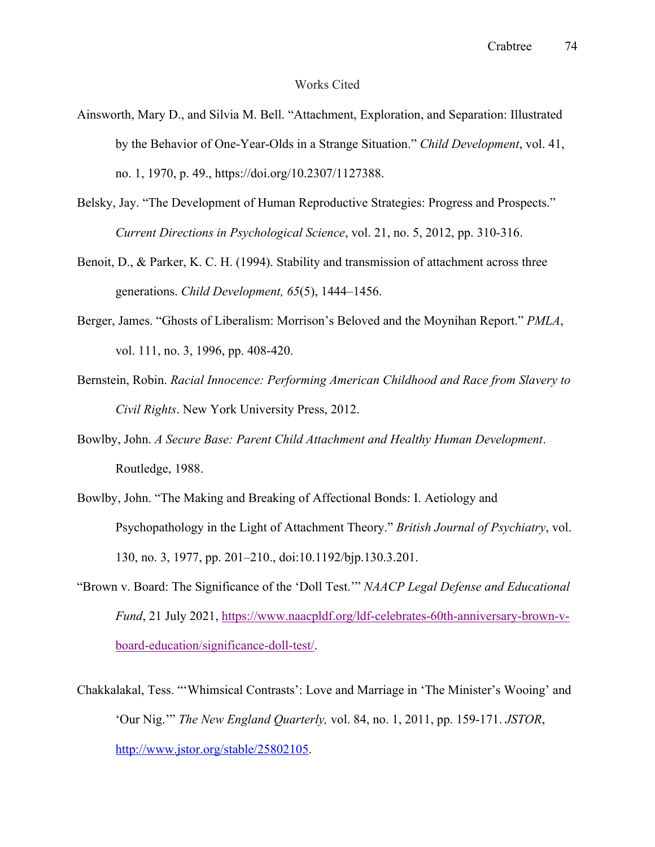## Works Cited

- Ainsworth, Mary D., and Silvia M. Bell. "Attachment, Exploration, and Separation: Illustrated by the Behavior of One-Year-Olds in a Strange Situation." *Child Development*, vol. 41, no. 1, 1970, p. 49., https://doi.org/10.2307/1127388.
- Belsky, Jay. "The Development of Human Reproductive Strategies: Progress and Prospects." *Current Directions in Psychological Science*, vol. 21, no. 5, 2012, pp. 310-316.
- Benoit, D., & Parker, K. C. H. (1994). Stability and transmission of attachment across three generations. *Child Development, 65*(5), 1444–1456.
- Berger, James. "Ghosts of Liberalism: Morrison's Beloved and the Moynihan Report." *PMLA*, vol. 111, no. 3, 1996, pp. 408-420.
- Bernstein, Robin. *Racial Innocence: Performing American Childhood and Race from Slavery to Civil Rights*. New York University Press, 2012.
- Bowlby, John. *A Secure Base: Parent Child Attachment and Healthy Human Development*. Routledge, 1988.
- Bowlby, John. "The Making and Breaking of Affectional Bonds: I. Aetiology and Psychopathology in the Light of Attachment Theory." *British Journal of Psychiatry*, vol. 130, no. 3, 1977, pp. 201–210., doi:10.1192/bjp.130.3.201.
- "Brown v. Board: The Significance of the 'Doll Test.'" *NAACP Legal Defense and Educational Fund*, 21 July 2021, https://www.naacpldf.org/ldf-celebrates-60th-anniversary-brown-vboard-education/significance-doll-test/.
- Chakkalakal, Tess. "'Whimsical Contrasts': Love and Marriage in 'The Minister's Wooing' and 'Our Nig.'" *The New England Quarterly,* vol. 84, no. 1, 2011, pp. 159-171. *JSTOR*, http://www.jstor.org/stable/25802105.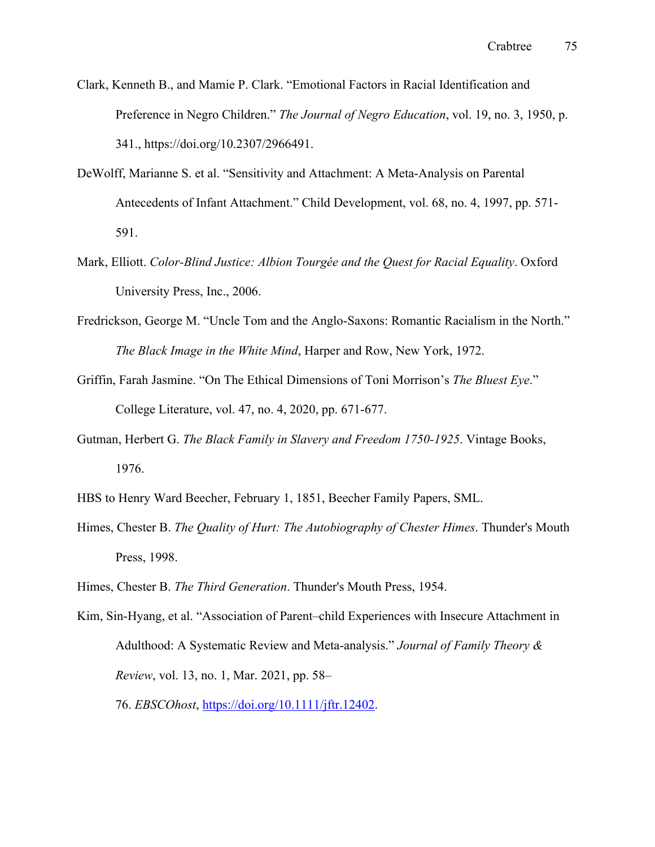- Clark, Kenneth B., and Mamie P. Clark. "Emotional Factors in Racial Identification and Preference in Negro Children." *The Journal of Negro Education*, vol. 19, no. 3, 1950, p. 341., https://doi.org/10.2307/2966491.
- DeWolff, Marianne S. et al. "Sensitivity and Attachment: A Meta-Analysis on Parental Antecedents of Infant Attachment." Child Development, vol. 68, no. 4, 1997, pp. 571- 591.
- Mark, Elliott. *Color-Blind Justice: Albion Tourgée and the Quest for Racial Equality*. Oxford University Press, Inc., 2006.
- Fredrickson, George M. "Uncle Tom and the Anglo-Saxons: Romantic Racialism in the North." *The Black Image in the White Mind*, Harper and Row, New York, 1972.
- Griffin, Farah Jasmine. "On The Ethical Dimensions of Toni Morrison's *The Bluest Eye*." College Literature, vol. 47, no. 4, 2020, pp. 671-677.
- Gutman, Herbert G. *The Black Family in Slavery and Freedom 1750-1925*. Vintage Books, 1976.
- HBS to Henry Ward Beecher, February 1, 1851, Beecher Family Papers, SML.
- Himes, Chester B. *The Quality of Hurt: The Autobiography of Chester Himes*. Thunder's Mouth Press, 1998.
- Himes, Chester B. *The Third Generation*. Thunder's Mouth Press, 1954.
- Kim, Sin‐Hyang, et al. "Association of Parent–child Experiences with Insecure Attachment in Adulthood: A Systematic Review and Meta‐analysis." *Journal of Family Theory & Review*, vol. 13, no. 1, Mar. 2021, pp. 58–

76. *EBSCOhost*, https://doi.org/10.1111/jftr.12402.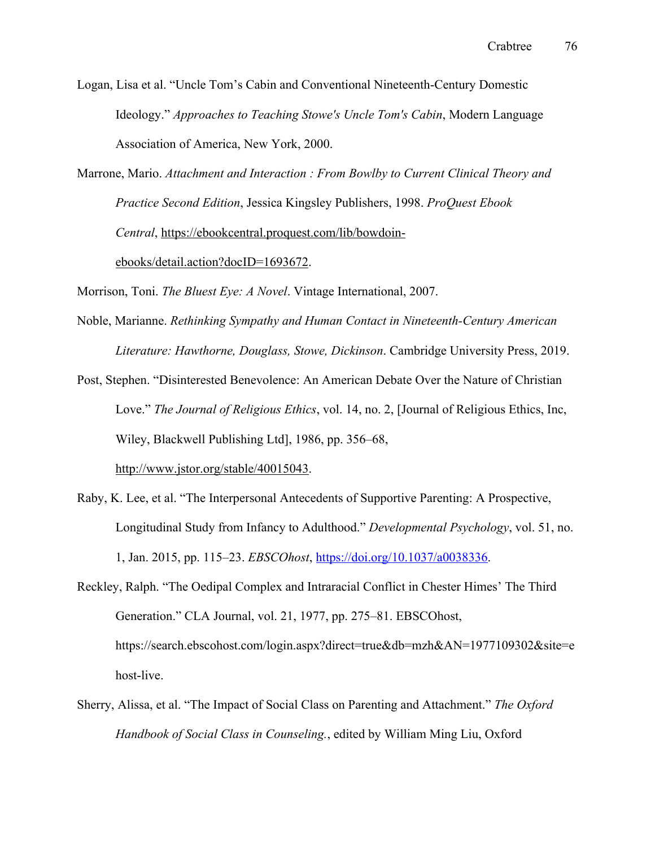Logan, Lisa et al. "Uncle Tom's Cabin and Conventional Nineteenth-Century Domestic Ideology." *Approaches to Teaching Stowe's Uncle Tom's Cabin*, Modern Language Association of America, New York, 2000.

Marrone, Mario. *Attachment and Interaction : From Bowlby to Current Clinical Theory and Practice Second Edition*, Jessica Kingsley Publishers, 1998. *ProQuest Ebook Central*, https://ebookcentral.proquest.com/lib/bowdoin-

ebooks/detail.action?docID=1693672.

Morrison, Toni. *The Bluest Eye: A Novel*. Vintage International, 2007.

Noble, Marianne. *Rethinking Sympathy and Human Contact in Nineteenth-Century American Literature: Hawthorne, Douglass, Stowe, Dickinson*. Cambridge University Press, 2019.

Post, Stephen. "Disinterested Benevolence: An American Debate Over the Nature of Christian Love." *The Journal of Religious Ethics*, vol. 14, no. 2, [Journal of Religious Ethics, Inc, Wiley, Blackwell Publishing Ltd], 1986, pp. 356–68, http://www.jstor.org/stable/40015043.

Raby, K. Lee, et al. "The Interpersonal Antecedents of Supportive Parenting: A Prospective, Longitudinal Study from Infancy to Adulthood." *Developmental Psychology*, vol. 51, no.

1, Jan. 2015, pp. 115–23. *EBSCOhost*, https://doi.org/10.1037/a0038336.

Reckley, Ralph. "The Oedipal Complex and Intraracial Conflict in Chester Himes' The Third Generation." CLA Journal, vol. 21, 1977, pp. 275–81. EBSCOhost, https://search.ebscohost.com/login.aspx?direct=true&db=mzh&AN=1977109302&site=e host-live.

Sherry, Alissa, et al. "The Impact of Social Class on Parenting and Attachment." *The Oxford Handbook of Social Class in Counseling.*, edited by William Ming Liu, Oxford